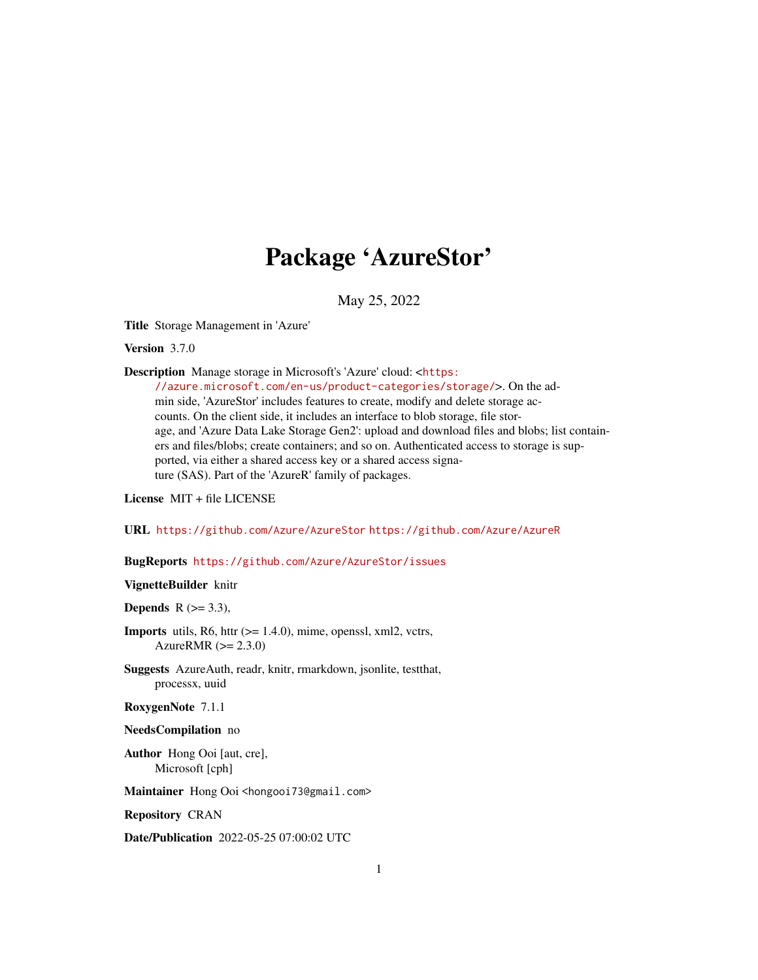# Package 'AzureStor'

May 25, 2022

<span id="page-0-0"></span>Title Storage Management in 'Azure'

Version 3.7.0

Description Manage storage in Microsoft's 'Azure' cloud: <[https:](https://azure.microsoft.com/en-us/product-categories/storage/)

[//azure.microsoft.com/en-us/product-categories/storage/](https://azure.microsoft.com/en-us/product-categories/storage/)>. On the admin side, 'AzureStor' includes features to create, modify and delete storage accounts. On the client side, it includes an interface to blob storage, file storage, and 'Azure Data Lake Storage Gen2': upload and download files and blobs; list containers and files/blobs; create containers; and so on. Authenticated access to storage is supported, via either a shared access key or a shared access signature (SAS). Part of the 'AzureR' family of packages.

License MIT + file LICENSE

URL <https://github.com/Azure/AzureStor> <https://github.com/Azure/AzureR>

#### BugReports <https://github.com/Azure/AzureStor/issues>

# VignetteBuilder knitr

Depends  $R$  ( $> = 3.3$ ),

- **Imports** utils, R6, httr  $(>= 1.4.0)$ , mime, openssl, xml2, vctrs, AzureRMR  $(>= 2.3.0)$
- Suggests AzureAuth, readr, knitr, rmarkdown, jsonlite, testthat, processx, uuid

RoxygenNote 7.1.1

#### NeedsCompilation no

Author Hong Ooi [aut, cre], Microsoft [cph]

Maintainer Hong Ooi <hongooi73@gmail.com>

Repository CRAN

Date/Publication 2022-05-25 07:00:02 UTC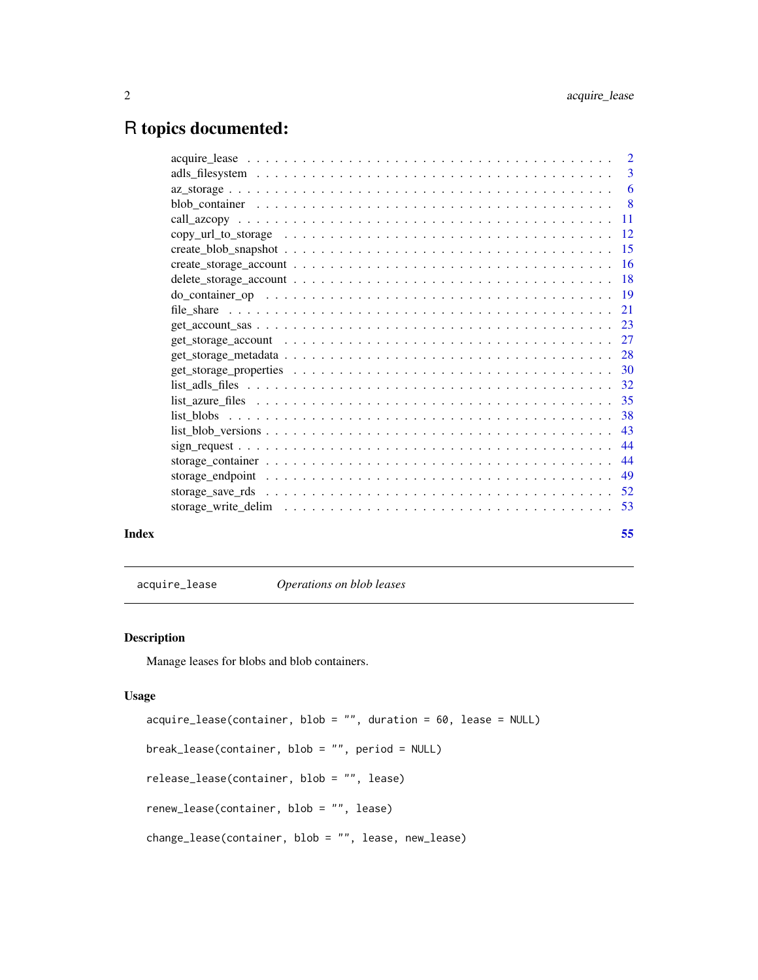# <span id="page-1-0"></span>R topics documented:

|                                                                                                                 | $\overline{2}$ |
|-----------------------------------------------------------------------------------------------------------------|----------------|
|                                                                                                                 | 3              |
|                                                                                                                 | 6              |
|                                                                                                                 | -8             |
|                                                                                                                 | -11            |
|                                                                                                                 | -12            |
|                                                                                                                 |                |
|                                                                                                                 | -16            |
|                                                                                                                 |                |
|                                                                                                                 |                |
|                                                                                                                 | 21             |
|                                                                                                                 |                |
|                                                                                                                 |                |
|                                                                                                                 |                |
|                                                                                                                 | -30            |
|                                                                                                                 | 32             |
|                                                                                                                 |                |
|                                                                                                                 | 38             |
| $list_blob_versions \ldots \ldots \ldots \ldots \ldots \ldots \ldots \ldots \ldots \ldots \ldots \ldots \ldots$ | 43             |
|                                                                                                                 | 44             |
|                                                                                                                 | 44             |
|                                                                                                                 | 49             |
|                                                                                                                 |                |
|                                                                                                                 | 53             |
|                                                                                                                 |                |

# **Index** [55](#page-54-0)

acquire\_lease *Operations on blob leases*

# Description

Manage leases for blobs and blob containers.

# Usage

```
acquire_lease(container, blob = "", duration = 60, lease = NULL)
break_lease(container, blob = "", period = NULL)
release_lease(container, blob = "", lease)
renew_lease(container, blob = "", lease)
change_lease(container, blob = "", lease, new_lease)
```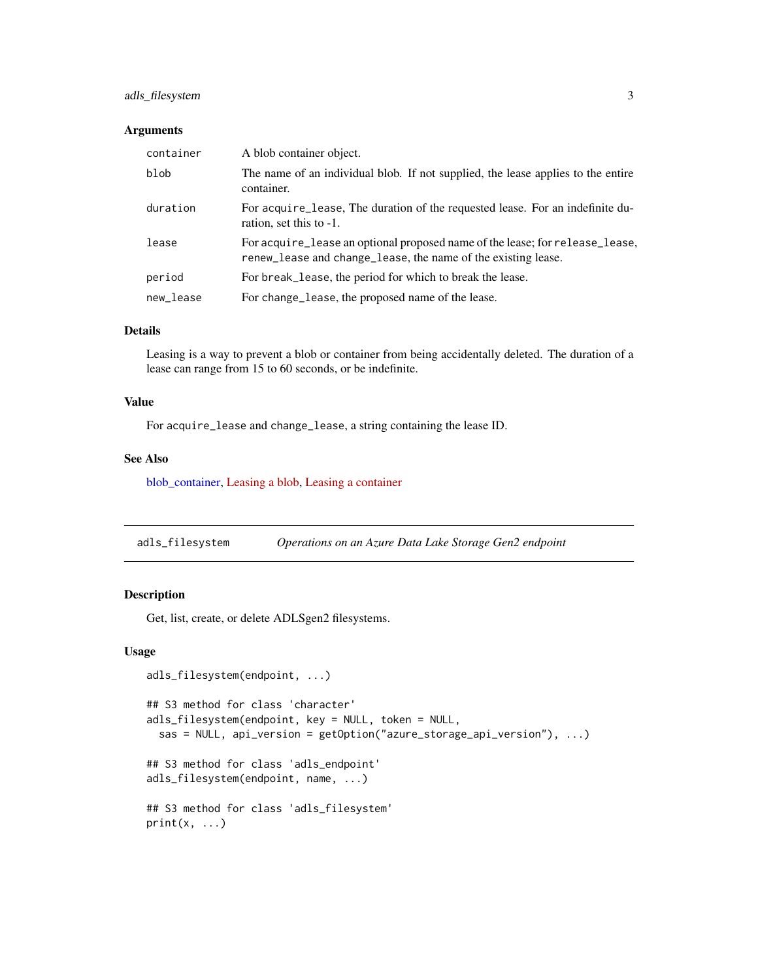# <span id="page-2-0"></span>adls\_filesystem 3

# Arguments

| container | A blob container object.                                                                                                                      |
|-----------|-----------------------------------------------------------------------------------------------------------------------------------------------|
| blob      | The name of an individual blob. If not supplied, the lease applies to the entire<br>container.                                                |
| duration  | For acquire lease, The duration of the requested lease. For an indefinite du-<br>ration, set this to -1.                                      |
| lease     | For acquire_lease an optional proposed name of the lease; for release_lease,<br>renew_lease and change_lease, the name of the existing lease. |
| period    | For break lease, the period for which to break the lease.                                                                                     |
| new_lease | For change_lease, the proposed name of the lease.                                                                                             |

# Details

Leasing is a way to prevent a blob or container from being accidentally deleted. The duration of a lease can range from 15 to 60 seconds, or be indefinite.

# Value

For acquire\_lease and change\_lease, a string containing the lease ID.

# See Also

[blob\\_container,](#page-7-1) [Leasing a blob,](https://docs.microsoft.com/en-us/rest/api/storageservices/lease-blob) [Leasing a container](https://docs.microsoft.com/en-us/rest/api/storageservices/lease-container)

<span id="page-2-1"></span>adls\_filesystem *Operations on an Azure Data Lake Storage Gen2 endpoint*

# <span id="page-2-2"></span>Description

Get, list, create, or delete ADLSgen2 filesystems.

#### Usage

```
adls_filesystem(endpoint, ...)
## S3 method for class 'character'
adls_filesystem(endpoint, key = NULL, token = NULL,
 sas = NULL, api_version = getOption("azure_storage_api_version"), ...)
## S3 method for class 'adls_endpoint'
adls_filesystem(endpoint, name, ...)
## S3 method for class 'adls_filesystem'
print(x, \ldots)
```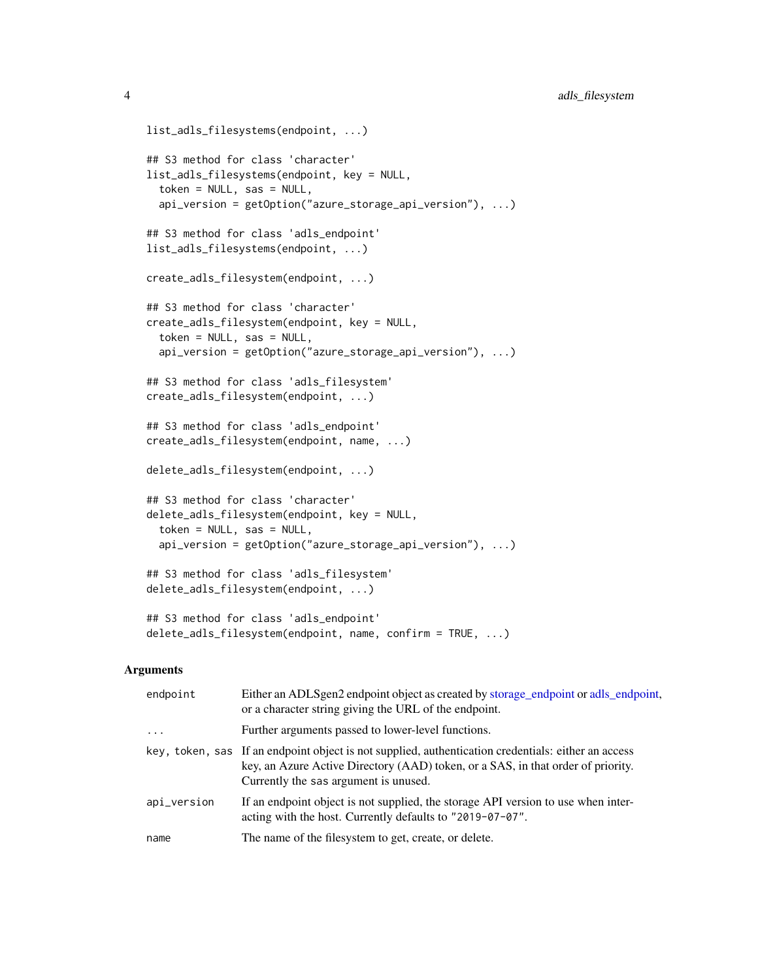```
list_adls_filesystems(endpoint, ...)
## S3 method for class 'character'
list_adls_filesystems(endpoint, key = NULL,
  token = NULL, sas = NULL,
  api_version = getOption("azure_storage_api_version"), ...)
## S3 method for class 'adls_endpoint'
list_adls_filesystems(endpoint, ...)
create_adls_filesystem(endpoint, ...)
## S3 method for class 'character'
create_adls_filesystem(endpoint, key = NULL,
  token = NULL, sas = NULL,
  api_version = getOption("azure_storage_api_version"), ...)
## S3 method for class 'adls_filesystem'
create_adls_filesystem(endpoint, ...)
## S3 method for class 'adls_endpoint'
create_adls_filesystem(endpoint, name, ...)
delete_adls_filesystem(endpoint, ...)
## S3 method for class 'character'
delete_adls_filesystem(endpoint, key = NULL,
  token = NULL, sas = NULL,
  api_version = getOption("azure_storage_api_version"), ...)
## S3 method for class 'adls_filesystem'
delete_adls_filesystem(endpoint, ...)
## S3 method for class 'adls_endpoint'
delete_adls_filesystem(endpoint, name, confirm = TRUE, ...)
```
#### Arguments

| endpoint    | Either an ADLSgen2 endpoint object as created by storage_endpoint or adls_endpoint,<br>or a character string giving the URL of the endpoint.                                                                                     |
|-------------|----------------------------------------------------------------------------------------------------------------------------------------------------------------------------------------------------------------------------------|
| $\cdot$     | Further arguments passed to lower-level functions.                                                                                                                                                                               |
|             | key, token, sas If an endpoint object is not supplied, authentication credentials: either an access<br>key, an Azure Active Directory (AAD) token, or a SAS, in that order of priority.<br>Currently the sas argument is unused. |
| api_version | If an endpoint object is not supplied, the storage API version to use when inter-<br>acting with the host. Currently defaults to "2019-07-07".                                                                                   |
| name        | The name of the filesystem to get, create, or delete.                                                                                                                                                                            |

<span id="page-3-0"></span>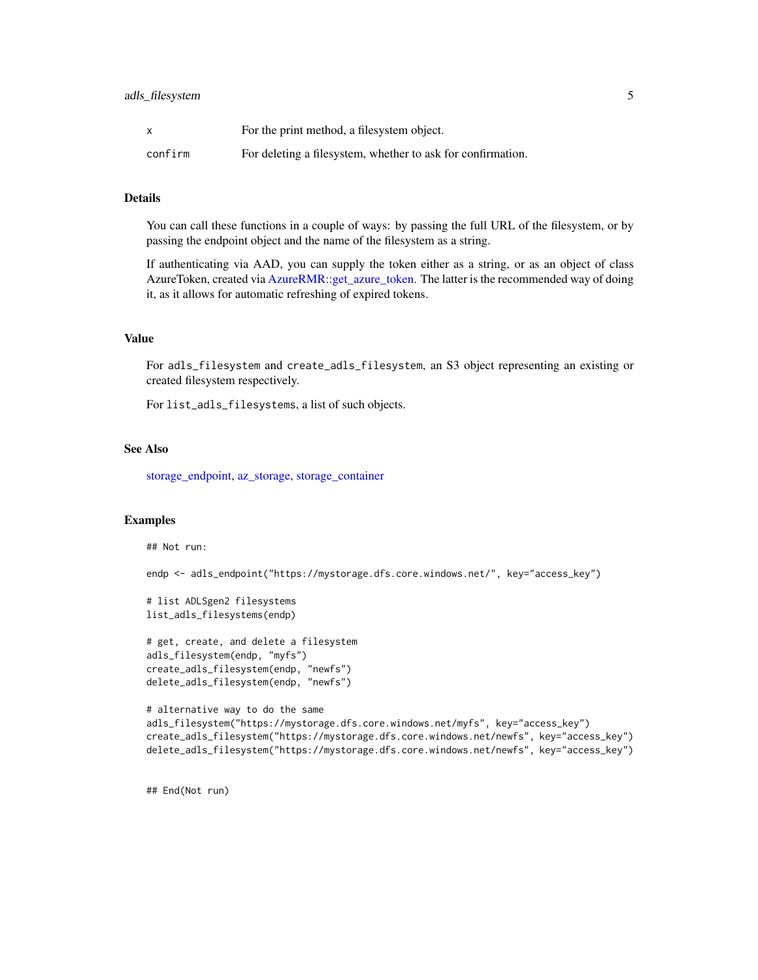<span id="page-4-0"></span>

| X       | For the print method, a filesystem object.                  |
|---------|-------------------------------------------------------------|
| confirm | For deleting a filesystem, whether to ask for confirmation. |

# Details

You can call these functions in a couple of ways: by passing the full URL of the filesystem, or by passing the endpoint object and the name of the filesystem as a string.

If authenticating via AAD, you can supply the token either as a string, or as an object of class AzureToken, created via [AzureRMR::get\\_azure\\_token.](#page-0-0) The latter is the recommended way of doing it, as it allows for automatic refreshing of expired tokens.

#### Value

For adls\_filesystem and create\_adls\_filesystem, an S3 object representing an existing or created filesystem respectively.

For list\_adls\_filesystems, a list of such objects.

# See Also

[storage\\_endpoint,](#page-48-1) [az\\_storage,](#page-5-1) [storage\\_container](#page-43-1)

# Examples

## Not run:

endp <- adls\_endpoint("https://mystorage.dfs.core.windows.net/", key="access\_key")

```
# list ADLSgen2 filesystems
list_adls_filesystems(endp)
```

```
# get, create, and delete a filesystem
adls_filesystem(endp, "myfs")
create_adls_filesystem(endp, "newfs")
delete_adls_filesystem(endp, "newfs")
```

```
# alternative way to do the same
adls_filesystem("https://mystorage.dfs.core.windows.net/myfs", key="access_key")
create_adls_filesystem("https://mystorage.dfs.core.windows.net/newfs", key="access_key")
delete_adls_filesystem("https://mystorage.dfs.core.windows.net/newfs", key="access_key")
```
## End(Not run)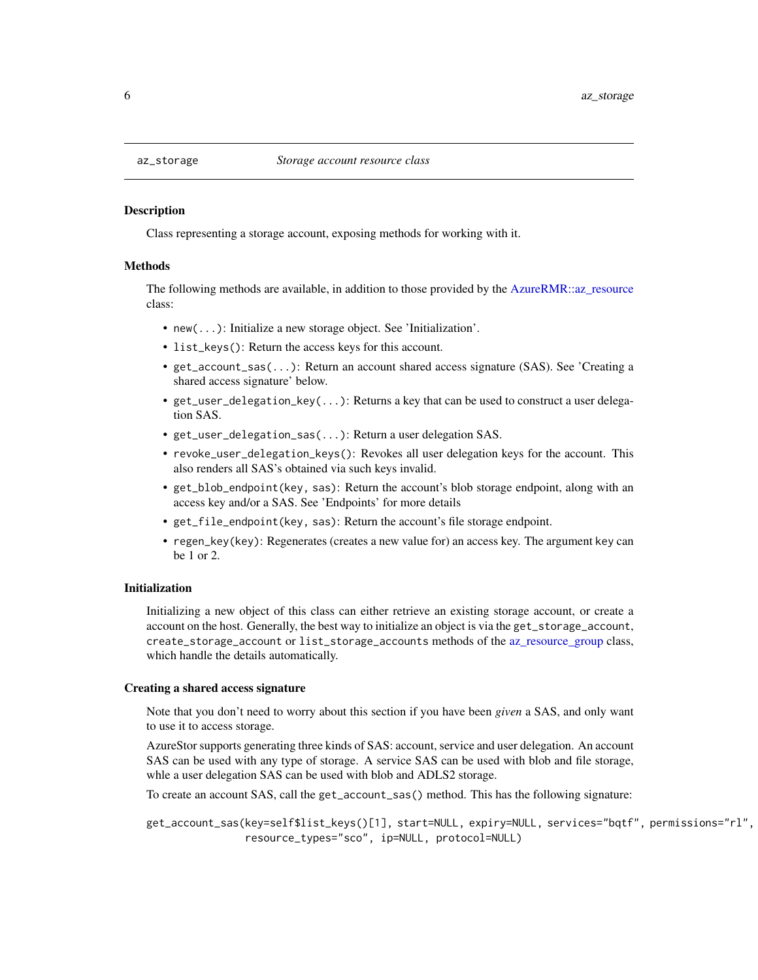<span id="page-5-1"></span><span id="page-5-0"></span>

#### Description

Class representing a storage account, exposing methods for working with it.

#### Methods

The following methods are available, in addition to those provided by the [AzureRMR::az\\_resource](#page-0-0) class:

- new(...): Initialize a new storage object. See 'Initialization'.
- list\_keys(): Return the access keys for this account.
- get\_account\_sas(...): Return an account shared access signature (SAS). See 'Creating a shared access signature' below.
- get\_user\_delegation\_key(...): Returns a key that can be used to construct a user delegation SAS.
- get\_user\_delegation\_sas(...): Return a user delegation SAS.
- revoke\_user\_delegation\_keys(): Revokes all user delegation keys for the account. This also renders all SAS's obtained via such keys invalid.
- get\_blob\_endpoint(key, sas): Return the account's blob storage endpoint, along with an access key and/or a SAS. See 'Endpoints' for more details
- get\_file\_endpoint(key, sas): Return the account's file storage endpoint.
- regen\_key(key): Regenerates (creates a new value for) an access key. The argument key can be 1 or 2.

#### Initialization

Initializing a new object of this class can either retrieve an existing storage account, or create a account on the host. Generally, the best way to initialize an object is via the get\_storage\_account, create\_storage\_account or list\_storage\_accounts methods of the [az\\_resource\\_group](#page-0-0) class, which handle the details automatically.

# Creating a shared access signature

Note that you don't need to worry about this section if you have been *given* a SAS, and only want to use it to access storage.

AzureStor supports generating three kinds of SAS: account, service and user delegation. An account SAS can be used with any type of storage. A service SAS can be used with blob and file storage, whle a user delegation SAS can be used with blob and ADLS2 storage.

To create an account SAS, call the get\_account\_sas() method. This has the following signature:

get\_account\_sas(key=self\$list\_keys()[1], start=NULL, expiry=NULL, services="bqtf", permissions="rl", resource\_types="sco", ip=NULL, protocol=NULL)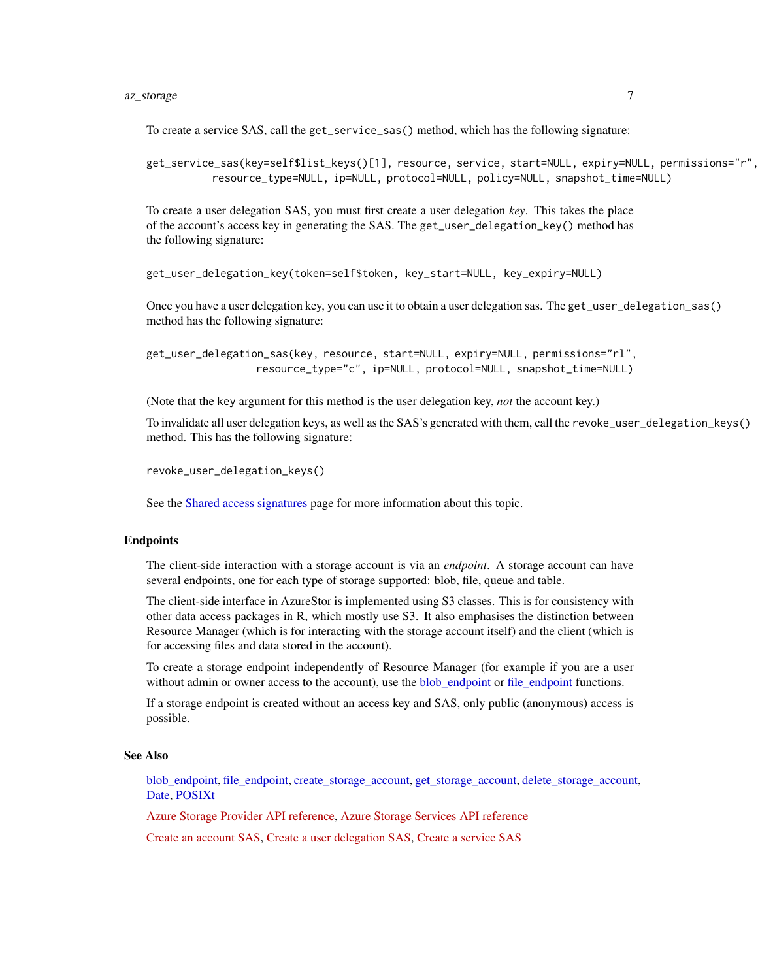# <span id="page-6-0"></span>az\_storage 7

To create a service SAS, call the get\_service\_sas() method, which has the following signature:

get\_service\_sas(key=self\$list\_keys()[1], resource, service, start=NULL, expiry=NULL, permissions="r", resource\_type=NULL, ip=NULL, protocol=NULL, policy=NULL, snapshot\_time=NULL)

To create a user delegation SAS, you must first create a user delegation *key*. This takes the place of the account's access key in generating the SAS. The get\_user\_delegation\_key() method has the following signature:

```
get_user_delegation_key(token=self$token, key_start=NULL, key_expiry=NULL)
```
Once you have a user delegation key, you can use it to obtain a user delegation sas. The get\_user\_delegation\_sas() method has the following signature:

```
get_user_delegation_sas(key, resource, start=NULL, expiry=NULL, permissions="rl",
                  resource_type="c", ip=NULL, protocol=NULL, snapshot_time=NULL)
```
(Note that the key argument for this method is the user delegation key, *not* the account key.)

To invalidate all user delegation keys, as well as the SAS's generated with them, call the revoke\_user\_delegation\_keys() method. This has the following signature:

```
revoke_user_delegation_keys()
```
See the [Shared access signatures](#page-22-1) page for more information about this topic.

#### Endpoints

The client-side interaction with a storage account is via an *endpoint*. A storage account can have several endpoints, one for each type of storage supported: blob, file, queue and table.

The client-side interface in AzureStor is implemented using S3 classes. This is for consistency with other data access packages in R, which mostly use S3. It also emphasises the distinction between Resource Manager (which is for interacting with the storage account itself) and the client (which is for accessing files and data stored in the account).

To create a storage endpoint independently of Resource Manager (for example if you are a user without admin or owner access to the account), use the [blob\\_endpoint](#page-48-2) or [file\\_endpoint](#page-48-2) functions.

If a storage endpoint is created without an access key and SAS, only public (anonymous) access is possible.

# See Also

[blob\\_endpoint,](#page-48-2) [file\\_endpoint,](#page-48-2) [create\\_storage\\_account,](#page-15-1) [get\\_storage\\_account,](#page-26-1) [delete\\_storage\\_account,](#page-17-1) [Date,](#page-0-0) [POSIXt](#page-0-0)

[Azure Storage Provider API reference,](https://docs.microsoft.com/en-us/rest/api/storagerp/) [Azure Storage Services API reference](https://docs.microsoft.com/en-us/rest/api/storageservices/)

[Create an account SAS,](https://docs.microsoft.com/en-us/rest/api/storageservices/create-account-sas) [Create a user delegation SAS,](https://docs.microsoft.com/en-us/rest/api/storageservices/create-user-delegation-sas) [Create a service SAS](https://docs.microsoft.com/en-us/rest/api/storageservices/create-service-sas)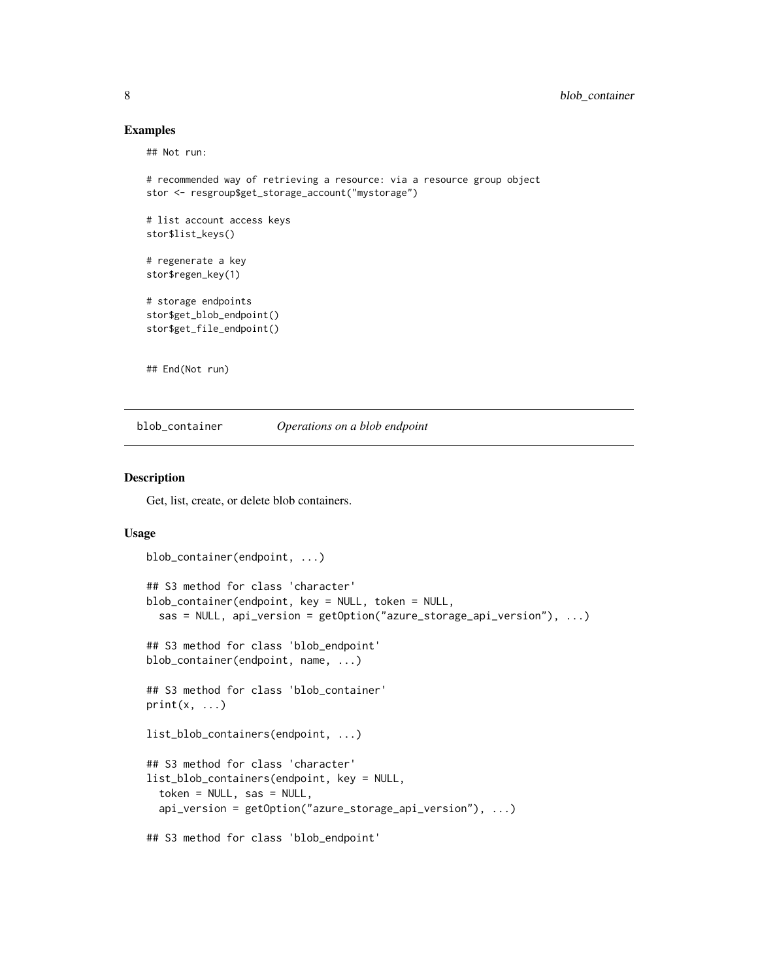# Examples

## Not run:

```
# recommended way of retrieving a resource: via a resource group object
stor <- resgroup$get_storage_account("mystorage")
# list account access keys
stor$list_keys()
# regenerate a key
stor$regen_key(1)
# storage endpoints
stor$get_blob_endpoint()
stor$get_file_endpoint()
## End(Not run)
```
<span id="page-7-1"></span>blob\_container *Operations on a blob endpoint*

# <span id="page-7-2"></span>Description

Get, list, create, or delete blob containers.

# Usage

```
blob_container(endpoint, ...)
## S3 method for class 'character'
blob_container(endpoint, key = NULL, token = NULL,
  sas = NULL, api_version = getOption("azure_storage_api_version"), ...)
## S3 method for class 'blob_endpoint'
blob_container(endpoint, name, ...)
## S3 method for class 'blob_container'
print(x, \ldots)list_blob_containers(endpoint, ...)
## S3 method for class 'character'
list_blob_containers(endpoint, key = NULL,
  token = NULL, sas = NULL,
  api_version = getOption("azure_storage_api_version"), ...)
## S3 method for class 'blob_endpoint'
```
<span id="page-7-0"></span>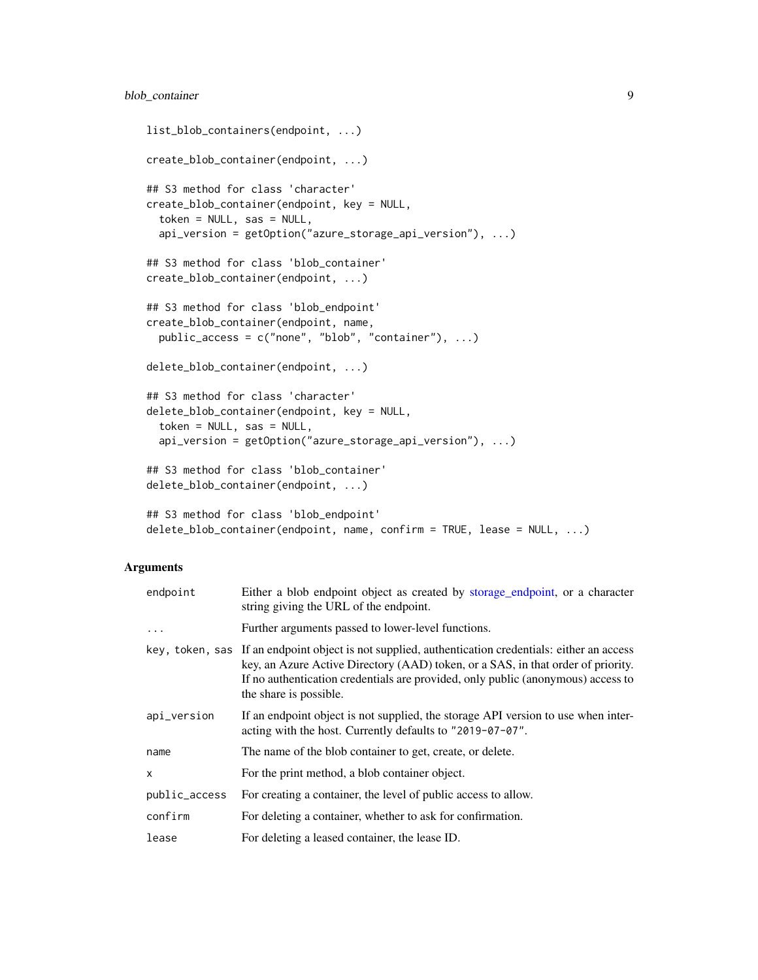```
list_blob_containers(endpoint, ...)
create_blob_container(endpoint, ...)
## S3 method for class 'character'
create_blob_container(endpoint, key = NULL,
  token = NULL, sas = NULL,
  api_version = getOption("azure_storage_api_version"), ...)
## S3 method for class 'blob_container'
create_blob_container(endpoint, ...)
## S3 method for class 'blob_endpoint'
create_blob_container(endpoint, name,
 public_access = c("none", "blob", "container"), ...)
delete_blob_container(endpoint, ...)
## S3 method for class 'character'
delete_blob_container(endpoint, key = NULL,
  token = NULL, sas = NULL,
  api_version = getOption("azure_storage_api_version"), ...)
## S3 method for class 'blob_container'
delete_blob_container(endpoint, ...)
## S3 method for class 'blob_endpoint'
delete_blob_container(endpoint, name, confirm = TRUE, lease = NULL, ...)
```
# Arguments

| endpoint      | Either a blob endpoint object as created by storage_endpoint, or a character<br>string giving the URL of the endpoint.                                                                                                                                                                                |
|---------------|-------------------------------------------------------------------------------------------------------------------------------------------------------------------------------------------------------------------------------------------------------------------------------------------------------|
| $\ddots$ .    | Further arguments passed to lower-level functions.                                                                                                                                                                                                                                                    |
|               | key, token, sas If an endpoint object is not supplied, authentication credentials: either an access<br>key, an Azure Active Directory (AAD) token, or a SAS, in that order of priority.<br>If no authentication credentials are provided, only public (anonymous) access to<br>the share is possible. |
| api_version   | If an endpoint object is not supplied, the storage API version to use when inter-<br>acting with the host. Currently defaults to "2019-07-07".                                                                                                                                                        |
| name          | The name of the blob container to get, create, or delete.                                                                                                                                                                                                                                             |
| x             | For the print method, a blob container object.                                                                                                                                                                                                                                                        |
| public_access | For creating a container, the level of public access to allow.                                                                                                                                                                                                                                        |
| confirm       | For deleting a container, whether to ask for confirmation.                                                                                                                                                                                                                                            |
| lease         | For deleting a leased container, the lease ID.                                                                                                                                                                                                                                                        |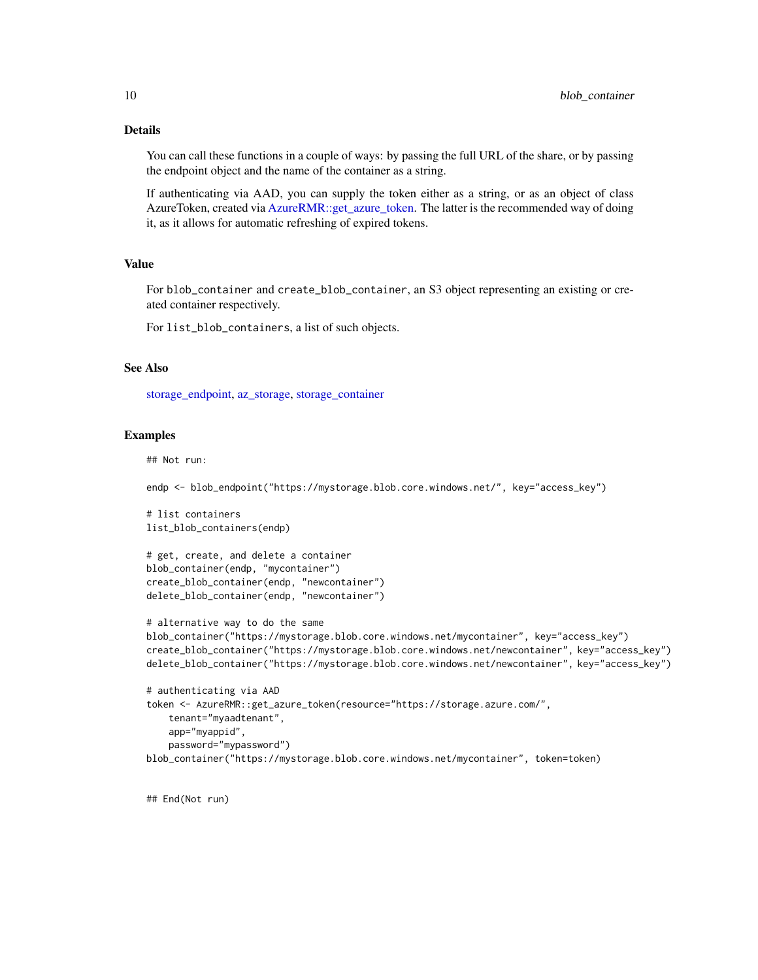# <span id="page-9-0"></span>Details

You can call these functions in a couple of ways: by passing the full URL of the share, or by passing the endpoint object and the name of the container as a string.

If authenticating via AAD, you can supply the token either as a string, or as an object of class AzureToken, created via [AzureRMR::get\\_azure\\_token.](#page-0-0) The latter is the recommended way of doing it, as it allows for automatic refreshing of expired tokens.

#### Value

For blob\_container and create\_blob\_container, an S3 object representing an existing or created container respectively.

For list\_blob\_containers, a list of such objects.

# See Also

[storage\\_endpoint,](#page-48-1) [az\\_storage,](#page-5-1) [storage\\_container](#page-43-1)

### Examples

## Not run:

endp <- blob\_endpoint("https://mystorage.blob.core.windows.net/", key="access\_key")

```
# list containers
list_blob_containers(endp)
```
# get, create, and delete a container blob\_container(endp, "mycontainer") create\_blob\_container(endp, "newcontainer") delete\_blob\_container(endp, "newcontainer")

```
# alternative way to do the same
blob_container("https://mystorage.blob.core.windows.net/mycontainer", key="access_key")
create_blob_container("https://mystorage.blob.core.windows.net/newcontainer", key="access_key")
delete_blob_container("https://mystorage.blob.core.windows.net/newcontainer", key="access_key")
```

```
# authenticating via AAD
token <- AzureRMR::get_azure_token(resource="https://storage.azure.com/",
   tenant="myaadtenant",
    app="myappid",
    password="mypassword")
blob_container("https://mystorage.blob.core.windows.net/mycontainer", token=token)
```
## End(Not run)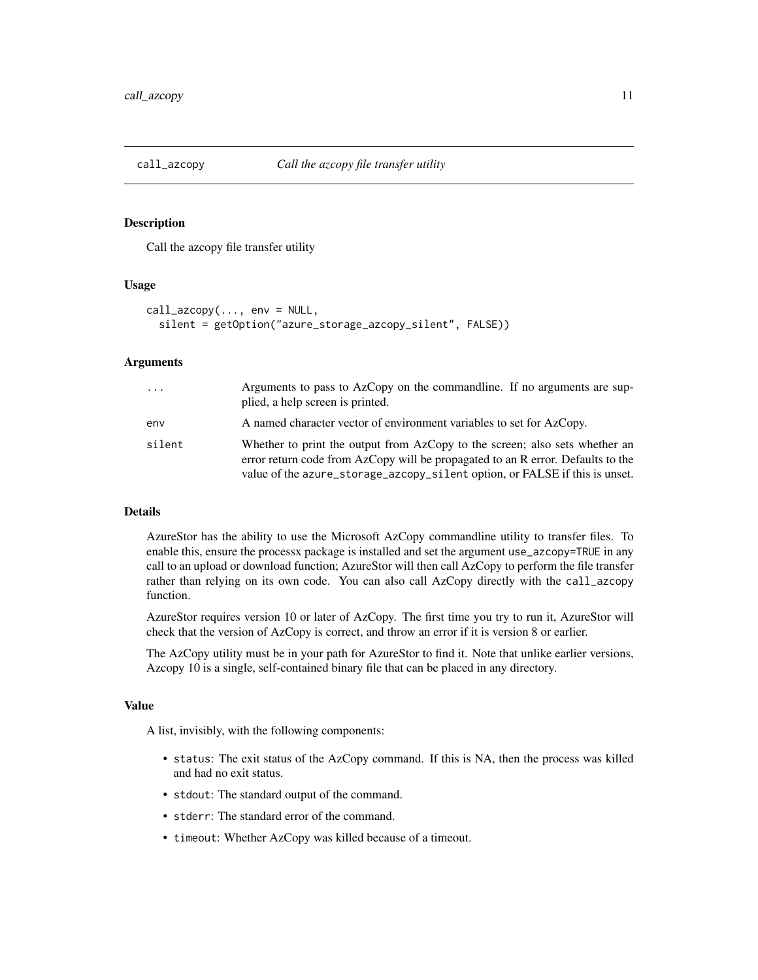<span id="page-10-1"></span><span id="page-10-0"></span>

# Description

Call the azcopy file transfer utility

# Usage

```
call_azcopy(..., env = NULL,
  silent = getOption("azure_storage_azcopy_silent", FALSE))
```
# Arguments

| $\cdots$ | Arguments to pass to AzCopy on the commandline. If no arguments are sup-<br>plied, a help screen is printed.                                                                                                                                  |
|----------|-----------------------------------------------------------------------------------------------------------------------------------------------------------------------------------------------------------------------------------------------|
| env      | A named character vector of environment variables to set for AzCopy.                                                                                                                                                                          |
| silent   | Whether to print the output from AzCopy to the screen; also sets whether an<br>error return code from AzCopy will be propagated to an R error. Defaults to the<br>value of the azure_storage_azcopy_silent option, or FALSE if this is unset. |

#### Details

AzureStor has the ability to use the Microsoft AzCopy commandline utility to transfer files. To enable this, ensure the processx package is installed and set the argument use\_azcopy=TRUE in any call to an upload or download function; AzureStor will then call AzCopy to perform the file transfer rather than relying on its own code. You can also call AzCopy directly with the call\_azcopy function.

AzureStor requires version 10 or later of AzCopy. The first time you try to run it, AzureStor will check that the version of AzCopy is correct, and throw an error if it is version 8 or earlier.

The AzCopy utility must be in your path for AzureStor to find it. Note that unlike earlier versions, Azcopy 10 is a single, self-contained binary file that can be placed in any directory.

#### Value

A list, invisibly, with the following components:

- status: The exit status of the AzCopy command. If this is NA, then the process was killed and had no exit status.
- stdout: The standard output of the command.
- stderr: The standard error of the command.
- timeout: Whether AzCopy was killed because of a timeout.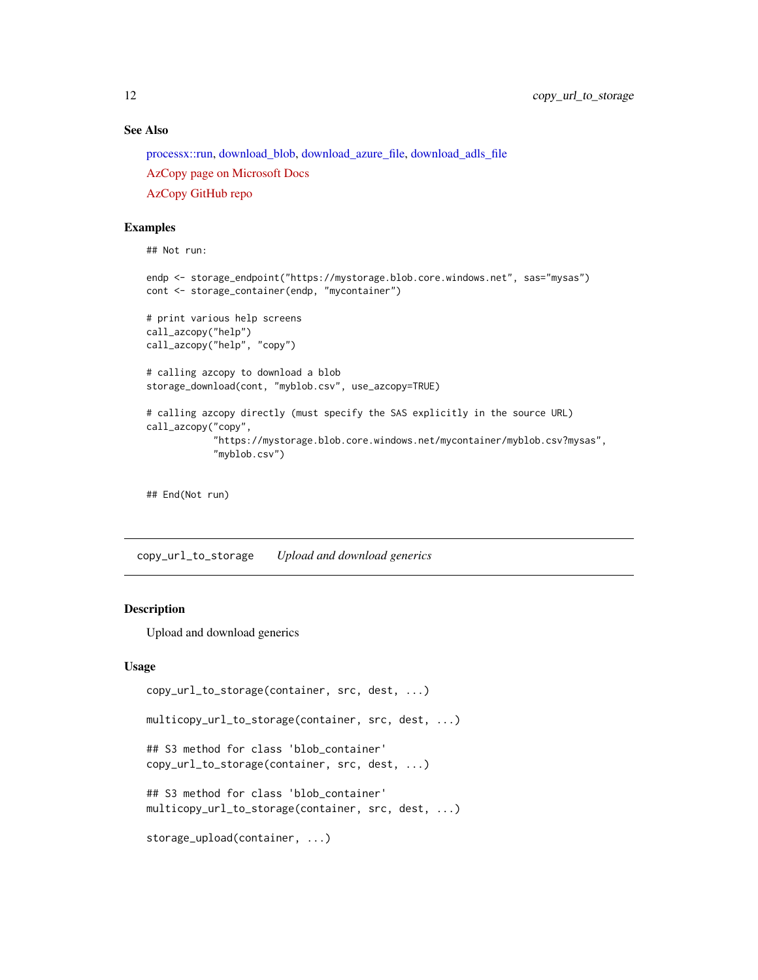# See Also

[processx::run,](#page-0-0) [download\\_blob,](#page-37-1) [download\\_azure\\_file,](#page-34-1) [download\\_adls\\_file](#page-31-1)

[AzCopy page on Microsoft Docs](https://docs.microsoft.com/en-us/azure/storage/common/storage-use-azcopy-v10)

[AzCopy GitHub repo](https://github.com/Azure/azure-storage-azcopy)

# Examples

```
## Not run:
endp <- storage_endpoint("https://mystorage.blob.core.windows.net", sas="mysas")
cont <- storage_container(endp, "mycontainer")
# print various help screens
call_azcopy("help")
call_azcopy("help", "copy")
# calling azcopy to download a blob
storage_download(cont, "myblob.csv", use_azcopy=TRUE)
# calling azcopy directly (must specify the SAS explicitly in the source URL)
call_azcopy("copy",
            "https://mystorage.blob.core.windows.net/mycontainer/myblob.csv?mysas",
            "myblob.csv")
```
## End(Not run)

copy\_url\_to\_storage *Upload and download generics*

# <span id="page-11-1"></span>Description

Upload and download generics

#### Usage

```
copy_url_to_storage(container, src, dest, ...)
multicopy_url_to_storage(container, src, dest, ...)
## S3 method for class 'blob_container'
copy_url_to_storage(container, src, dest, ...)
## S3 method for class 'blob_container'
multicopy_url_to_storage(container, src, dest, ...)
storage_upload(container, ...)
```
<span id="page-11-0"></span>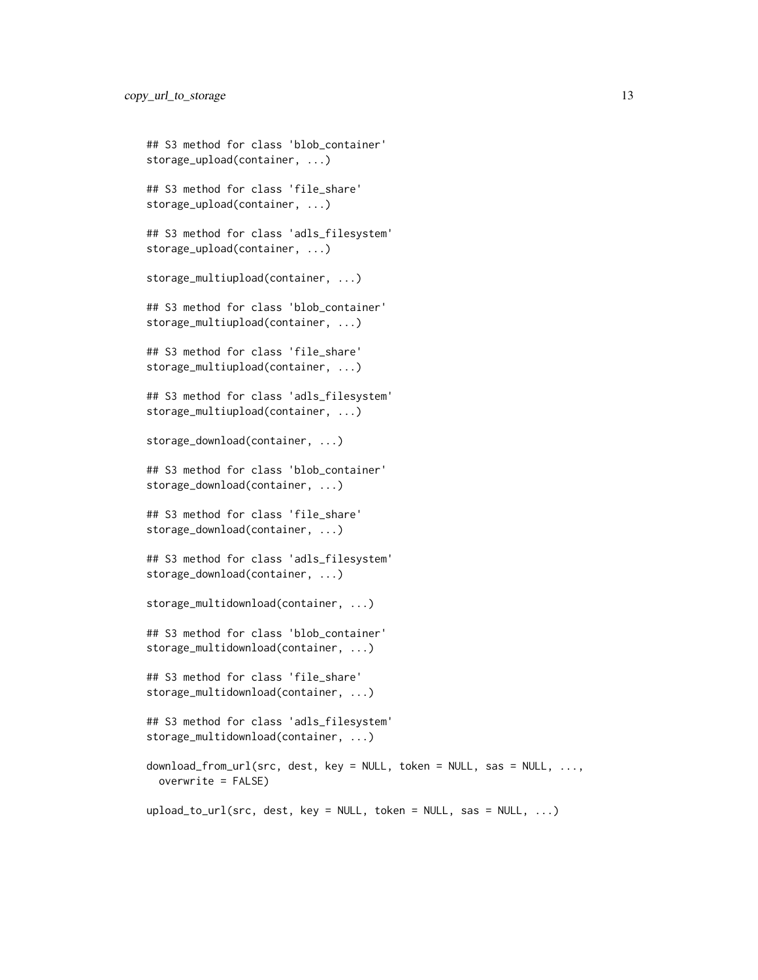```
## S3 method for class 'blob_container'
storage_upload(container, ...)
## S3 method for class 'file_share'
storage_upload(container, ...)
## S3 method for class 'adls_filesystem'
storage_upload(container, ...)
storage_multiupload(container, ...)
## S3 method for class 'blob_container'
storage_multiupload(container, ...)
## S3 method for class 'file_share'
storage_multiupload(container, ...)
## S3 method for class 'adls_filesystem'
storage_multiupload(container, ...)
storage_download(container, ...)
## S3 method for class 'blob_container'
storage_download(container, ...)
## S3 method for class 'file_share'
storage_download(container, ...)
## S3 method for class 'adls_filesystem'
storage_download(container, ...)
storage_multidownload(container, ...)
## S3 method for class 'blob_container'
storage_multidownload(container, ...)
## S3 method for class 'file_share'
storage_multidownload(container, ...)
## S3 method for class 'adls_filesystem'
storage_multidownload(container, ...)
download_from_url(src, dest, key = NULL, token = NULL, sas = NULL, ...,
  overwrite = FALSE)
upload_to_url(src, dest, key = NULL, token = NULL, sas = NULL, ...)
```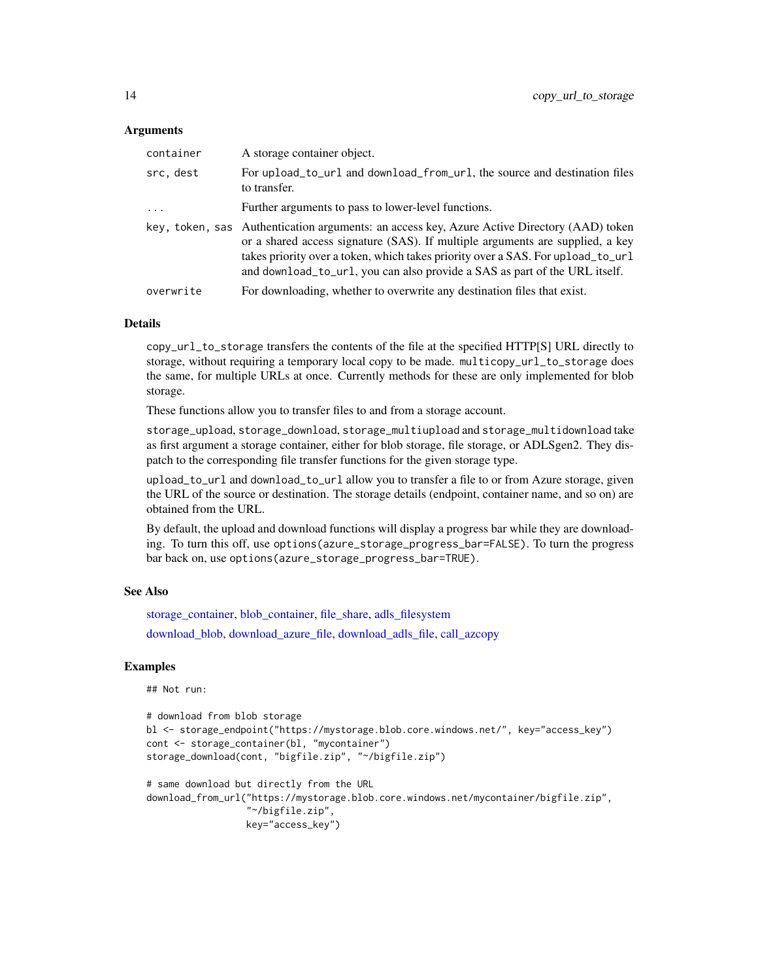# <span id="page-13-0"></span>**Arguments**

| container  | A storage container object.                                                                                                                                                                                                                                                                                                                   |
|------------|-----------------------------------------------------------------------------------------------------------------------------------------------------------------------------------------------------------------------------------------------------------------------------------------------------------------------------------------------|
| src, dest  | For upload_to_url and download_from_url, the source and destination files<br>to transfer.                                                                                                                                                                                                                                                     |
| $\ddots$ . | Further arguments to pass to lower-level functions.                                                                                                                                                                                                                                                                                           |
|            | key, token, sas Authentication arguments: an access key, Azure Active Directory (AAD) token<br>or a shared access signature (SAS). If multiple arguments are supplied, a key<br>takes priority over a token, which takes priority over a SAS. For upload_to_url<br>and download_to_url, you can also provide a SAS as part of the URL itself. |
| overwrite  | For downloading, whether to overwrite any destination files that exist.                                                                                                                                                                                                                                                                       |

#### Details

copy\_url\_to\_storage transfers the contents of the file at the specified HTTP[S] URL directly to storage, without requiring a temporary local copy to be made. multicopy\_url\_to\_storage does the same, for multiple URLs at once. Currently methods for these are only implemented for blob storage.

These functions allow you to transfer files to and from a storage account.

storage\_upload, storage\_download, storage\_multiupload and storage\_multidownload take as first argument a storage container, either for blob storage, file storage, or ADLSgen2. They dispatch to the corresponding file transfer functions for the given storage type.

upload\_to\_url and download\_to\_url allow you to transfer a file to or from Azure storage, given the URL of the source or destination. The storage details (endpoint, container name, and so on) are obtained from the URL.

By default, the upload and download functions will display a progress bar while they are downloading. To turn this off, use options(azure\_storage\_progress\_bar=FALSE). To turn the progress bar back on, use options(azure\_storage\_progress\_bar=TRUE).

# See Also

[storage\\_container,](#page-43-1) [blob\\_container,](#page-7-1) [file\\_share,](#page-20-1) [adls\\_filesystem](#page-2-1) [download\\_blob,](#page-37-1) [download\\_azure\\_file,](#page-34-1) [download\\_adls\\_file,](#page-31-1) [call\\_azcopy](#page-10-1)

# **Examples**

## Not run:

```
# download from blob storage
bl <- storage_endpoint("https://mystorage.blob.core.windows.net/", key="access_key")
cont <- storage_container(bl, "mycontainer")
storage_download(cont, "bigfile.zip", "~/bigfile.zip")
# same download but directly from the URL
```

```
download_from_url("https://mystorage.blob.core.windows.net/mycontainer/bigfile.zip",
                  "~/bigfile.zip",
                 key="access_key")
```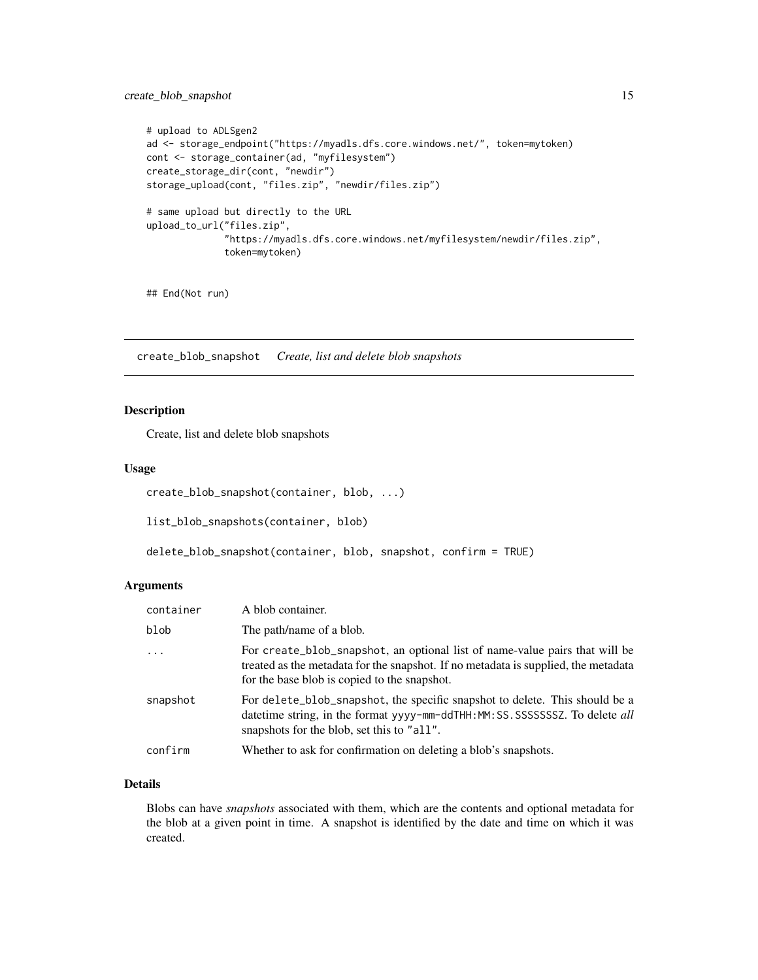# <span id="page-14-0"></span>create\_blob\_snapshot 15

```
# upload to ADLSgen2
ad <- storage_endpoint("https://myadls.dfs.core.windows.net/", token=mytoken)
cont <- storage_container(ad, "myfilesystem")
create_storage_dir(cont, "newdir")
storage_upload(cont, "files.zip", "newdir/files.zip")
# same upload but directly to the URL
upload_to_url("files.zip",
              "https://myadls.dfs.core.windows.net/myfilesystem/newdir/files.zip",
              token=mytoken)
```
## End(Not run)

create\_blob\_snapshot *Create, list and delete blob snapshots*

# <span id="page-14-1"></span>Description

Create, list and delete blob snapshots

# Usage

```
create_blob_snapshot(container, blob, ...)
list_blob_snapshots(container, blob)
```

```
delete_blob_snapshot(container, blob, snapshot, confirm = TRUE)
```
# Arguments

| container | A blob container.                                                                                                                                                                                                 |
|-----------|-------------------------------------------------------------------------------------------------------------------------------------------------------------------------------------------------------------------|
| blob      | The path/name of a blob.                                                                                                                                                                                          |
| $\cdots$  | For create_blob_snapshot, an optional list of name-value pairs that will be<br>treated as the metadata for the snapshot. If no metadata is supplied, the metadata<br>for the base blob is copied to the snapshot. |
| snapshot  | For delete_blob_snapshot, the specific snapshot to delete. This should be a<br>datetime string, in the format yyyy-mm-ddTHH: MM: SS. SSSSSSSSZ. To delete all<br>snapshots for the blob, set this to "all".       |
| confirm   | Whether to ask for confirmation on deleting a blob's snapshots.                                                                                                                                                   |

# Details

Blobs can have *snapshots* associated with them, which are the contents and optional metadata for the blob at a given point in time. A snapshot is identified by the date and time on which it was created.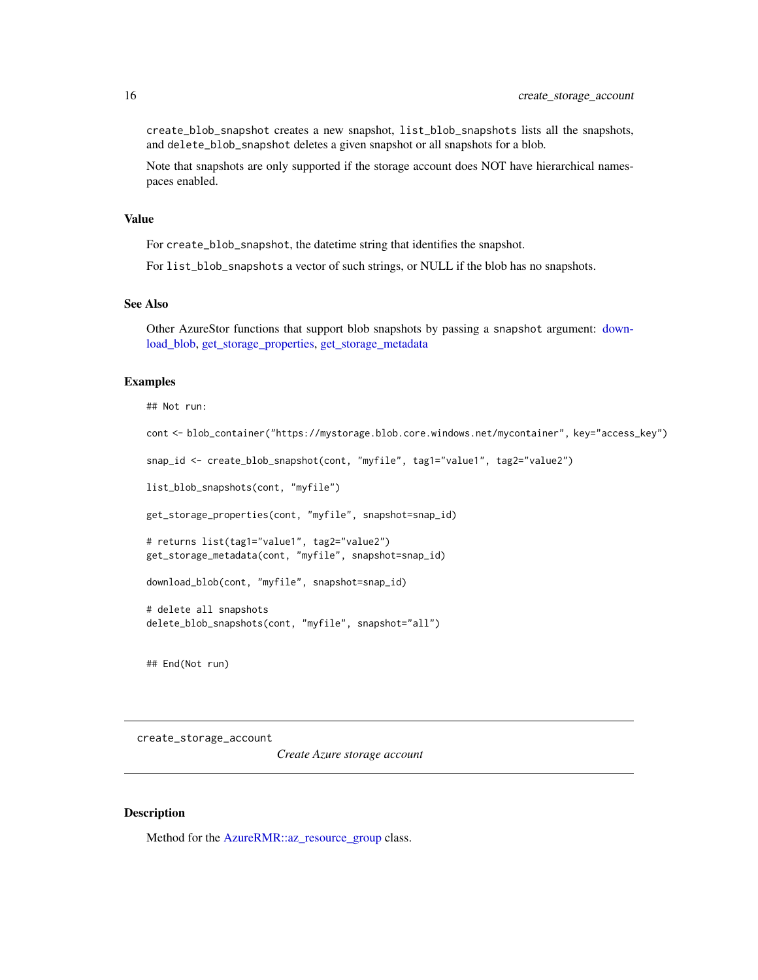<span id="page-15-0"></span>create\_blob\_snapshot creates a new snapshot, list\_blob\_snapshots lists all the snapshots, and delete\_blob\_snapshot deletes a given snapshot or all snapshots for a blob.

Note that snapshots are only supported if the storage account does NOT have hierarchical namespaces enabled.

# Value

For create\_blob\_snapshot, the datetime string that identifies the snapshot.

For list\_blob\_snapshots a vector of such strings, or NULL if the blob has no snapshots.

# See Also

Other AzureStor functions that support blob snapshots by passing a snapshot argument: [down](#page-37-1)[load\\_blob,](#page-37-1) [get\\_storage\\_properties,](#page-29-1) [get\\_storage\\_metadata](#page-27-1)

# Examples

```
## Not run:
cont <- blob_container("https://mystorage.blob.core.windows.net/mycontainer", key="access_key")
snap_id <- create_blob_snapshot(cont, "myfile", tag1="value1", tag2="value2")
list_blob_snapshots(cont, "myfile")
get_storage_properties(cont, "myfile", snapshot=snap_id)
# returns list(tag1="value1", tag2="value2")
get_storage_metadata(cont, "myfile", snapshot=snap_id)
download_blob(cont, "myfile", snapshot=snap_id)
# delete all snapshots
delete_blob_snapshots(cont, "myfile", snapshot="all")
```
## End(Not run)

<span id="page-15-1"></span>create\_storage\_account

*Create Azure storage account*

# Description

Method for the [AzureRMR::az\\_resource\\_group](#page-0-0) class.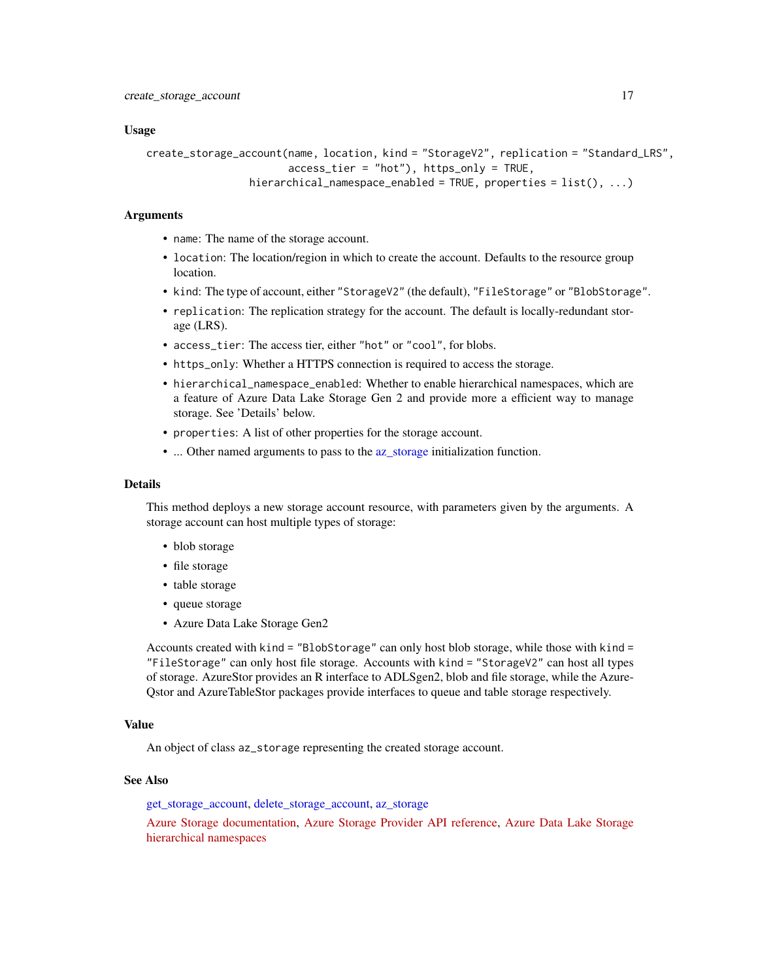#### <span id="page-16-0"></span>Usage

```
create_storage_account(name, location, kind = "StorageV2", replication = "Standard_LRS",
                       access_tier = "hot"), https_only = TRUE,
                hierarchical_namespace_enabled = TRUE, properties = list(), ...)
```
### Arguments

- name: The name of the storage account.
- location: The location/region in which to create the account. Defaults to the resource group location.
- kind: The type of account, either "StorageV2" (the default), "FileStorage" or "BlobStorage".
- replication: The replication strategy for the account. The default is locally-redundant storage (LRS).
- access\_tier: The access tier, either "hot" or "cool", for blobs.
- https\_only: Whether a HTTPS connection is required to access the storage.
- hierarchical\_namespace\_enabled: Whether to enable hierarchical namespaces, which are a feature of Azure Data Lake Storage Gen 2 and provide more a efficient way to manage storage. See 'Details' below.
- properties: A list of other properties for the storage account.
- ... Other named arguments to pass to the [az\\_storage](#page-5-1) initialization function.

# Details

This method deploys a new storage account resource, with parameters given by the arguments. A storage account can host multiple types of storage:

- blob storage
- file storage
- table storage
- queue storage
- Azure Data Lake Storage Gen2

Accounts created with kind = "BlobStorage" can only host blob storage, while those with kind = "FileStorage" can only host file storage. Accounts with kind  $=$  "StorageV2" can host all types of storage. AzureStor provides an R interface to ADLSgen2, blob and file storage, while the Azure-Qstor and AzureTableStor packages provide interfaces to queue and table storage respectively.

#### Value

An object of class az\_storage representing the created storage account.

#### See Also

[get\\_storage\\_account,](#page-26-1) [delete\\_storage\\_account,](#page-17-1) [az\\_storage](#page-5-1)

[Azure Storage documentation,](https://docs.microsoft.com/en-us/azure/storage/) [Azure Storage Provider API reference,](https://docs.microsoft.com/en-us/rest/api/storagerp/) [Azure Data Lake Storage](https://docs.microsoft.com/en-us/azure/storage/blobs/data-lake-storage-namespace) [hierarchical namespaces](https://docs.microsoft.com/en-us/azure/storage/blobs/data-lake-storage-namespace)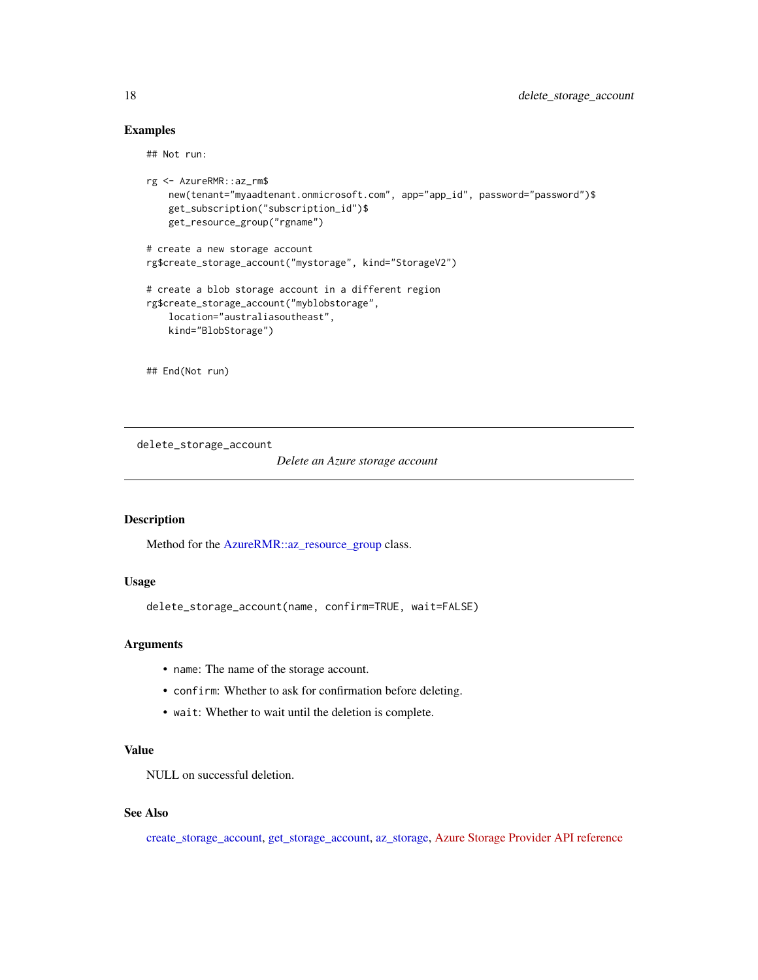# Examples

## Not run:

```
rg <- AzureRMR::az_rm$
    new(tenant="myaadtenant.onmicrosoft.com", app="app_id", password="password")$
   get_subscription("subscription_id")$
   get_resource_group("rgname")
# create a new storage account
rg$create_storage_account("mystorage", kind="StorageV2")
# create a blob storage account in a different region
rg$create_storage_account("myblobstorage",
   location="australiasoutheast",
   kind="BlobStorage")
```
## End(Not run)

<span id="page-17-1"></span>delete\_storage\_account

*Delete an Azure storage account*

## Description

Method for the [AzureRMR::az\\_resource\\_group](#page-0-0) class.

# Usage

delete\_storage\_account(name, confirm=TRUE, wait=FALSE)

# Arguments

- name: The name of the storage account.
- confirm: Whether to ask for confirmation before deleting.
- wait: Whether to wait until the deletion is complete.

# Value

NULL on successful deletion.

# See Also

[create\\_storage\\_account,](#page-15-1) [get\\_storage\\_account,](#page-26-1) [az\\_storage,](#page-5-1) [Azure Storage Provider API reference](https://docs.microsoft.com/en-us/rest/api/storagerp/)

<span id="page-17-0"></span>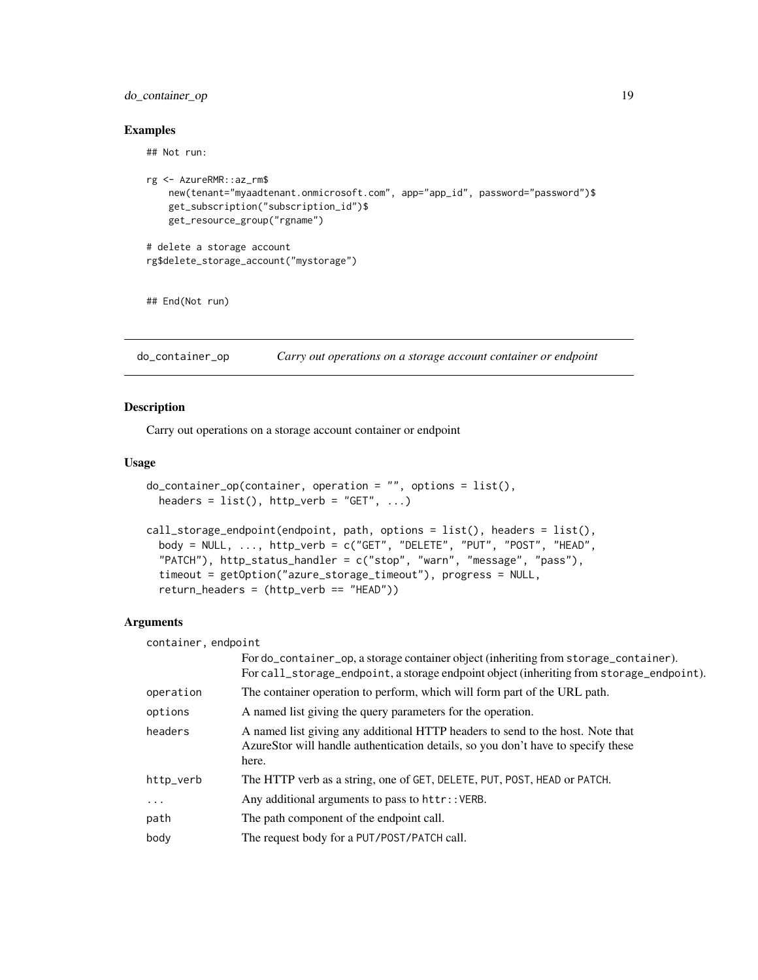# <span id="page-18-0"></span>do\_container\_op 19

# Examples

## Not run:

```
rg <- AzureRMR::az_rm$
   new(tenant="myaadtenant.onmicrosoft.com", app="app_id", password="password")$
   get_subscription("subscription_id")$
   get_resource_group("rgname")
# delete a storage account
rg$delete_storage_account("mystorage")
```
## End(Not run)

do\_container\_op *Carry out operations on a storage account container or endpoint*

# Description

Carry out operations on a storage account container or endpoint

#### Usage

```
do_{\text{container\_op}(\text{container}, \text{ operation} = "", \text{ options} = list(),headers = list(), httpverb = "GET", ...)
```

```
call_storage_endpoint(endpoint, path, options = list(), headers = list(),
 body = NULL, \ldots, http_verb = c("GET", "DELETE", "PUT", "POST", "HEAD",
  "PATCH"), http_status_handler = c("stop", "warn", "message", "pass"),
  timeout = getOption("azure_storage_timeout"), progress = NULL,
  return_headers = (http_verb == "HEAD"))
```
# Arguments

| container, endpoint |                                                                                                                                                                                  |
|---------------------|----------------------------------------------------------------------------------------------------------------------------------------------------------------------------------|
|                     | For do_container_op, a storage container object (inheriting from storage_container).<br>For call_storage_endpoint, a storage endpoint object (inheriting from storage_endpoint). |
| operation           | The container operation to perform, which will form part of the URL path.                                                                                                        |
| options             | A named list giving the query parameters for the operation.                                                                                                                      |
| headers             | A named list giving any additional HTTP headers to send to the host. Note that<br>AzureStor will handle authentication details, so you don't have to specify these<br>here.      |
| http_verb           | The HTTP verb as a string, one of GET, DELETE, PUT, POST, HEAD or PATCH.                                                                                                         |
| $\ddotsc$           | Any additional arguments to pass to httr:: VERB.                                                                                                                                 |
| path                | The path component of the endpoint call.                                                                                                                                         |
| body                | The request body for a PUT/POST/PATCH call.                                                                                                                                      |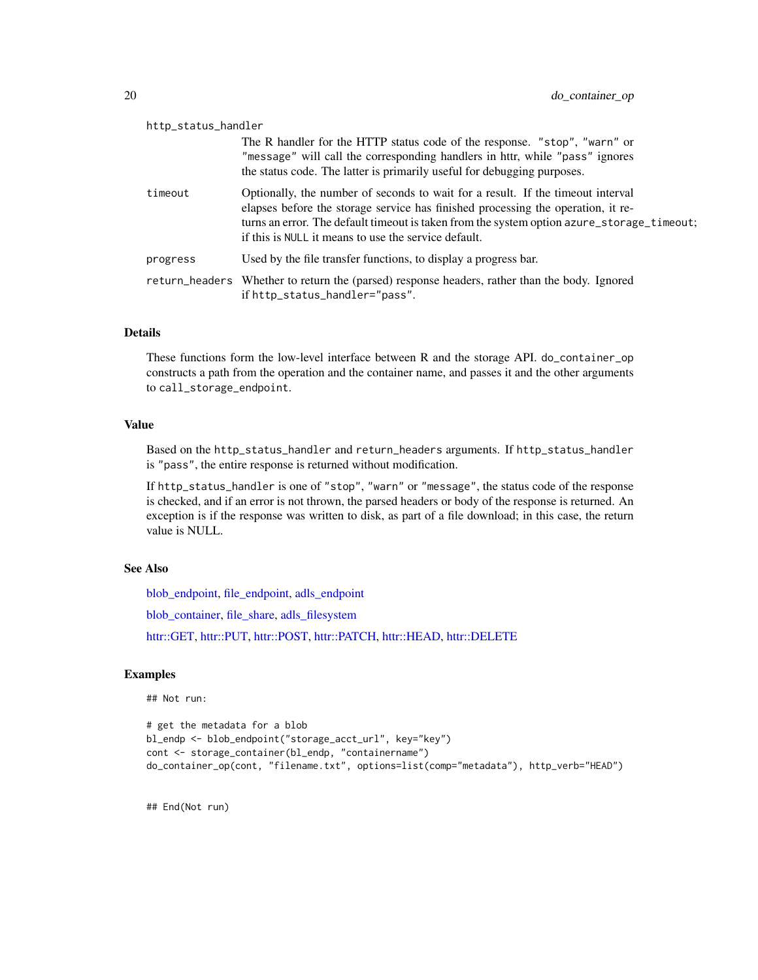<span id="page-19-0"></span>

| http_status_handler                                                                                                                                                                                                                                                                                                       |  |  |
|---------------------------------------------------------------------------------------------------------------------------------------------------------------------------------------------------------------------------------------------------------------------------------------------------------------------------|--|--|
| The R handler for the HTTP status code of the response. "stop", "warn" or<br>"message" will call the corresponding handlers in httr, while "pass" ignores<br>the status code. The latter is primarily useful for debugging purposes.                                                                                      |  |  |
| Optionally, the number of seconds to wait for a result. If the timeout interval<br>elapses before the storage service has finished processing the operation, it re-<br>turns an error. The default timeout is taken from the system option azure_storage_timeout;<br>if this is NULL it means to use the service default. |  |  |
| Used by the file transfer functions, to display a progress bar.                                                                                                                                                                                                                                                           |  |  |
| return_headers Whether to return the (parsed) response headers, rather than the body. Ignored<br>if http_status_handler="pass".                                                                                                                                                                                           |  |  |
|                                                                                                                                                                                                                                                                                                                           |  |  |

# Details

These functions form the low-level interface between R and the storage API. do\_container\_op constructs a path from the operation and the container name, and passes it and the other arguments to call\_storage\_endpoint.

#### Value

Based on the http\_status\_handler and return\_headers arguments. If http\_status\_handler is "pass", the entire response is returned without modification.

If http\_status\_handler is one of "stop", "warn" or "message", the status code of the response is checked, and if an error is not thrown, the parsed headers or body of the response is returned. An exception is if the response was written to disk, as part of a file download; in this case, the return value is NULL.

# See Also

[blob\\_endpoint,](#page-48-2) [file\\_endpoint,](#page-48-2) [adls\\_endpoint](#page-48-2)

[blob\\_container,](#page-7-1) [file\\_share,](#page-20-1) [adls\\_filesystem](#page-2-1)

[httr::GET,](#page-0-0) [httr::PUT,](#page-0-0) [httr::POST,](#page-0-0) [httr::PATCH,](#page-0-0) [httr::HEAD,](#page-0-0) [httr::DELETE](#page-0-0)

# Examples

## Not run:

```
# get the metadata for a blob
bl_endp <- blob_endpoint("storage_acct_url", key="key")
cont <- storage_container(bl_endp, "containername")
do_container_op(cont, "filename.txt", options=list(comp="metadata"), http_verb="HEAD")
```
## End(Not run)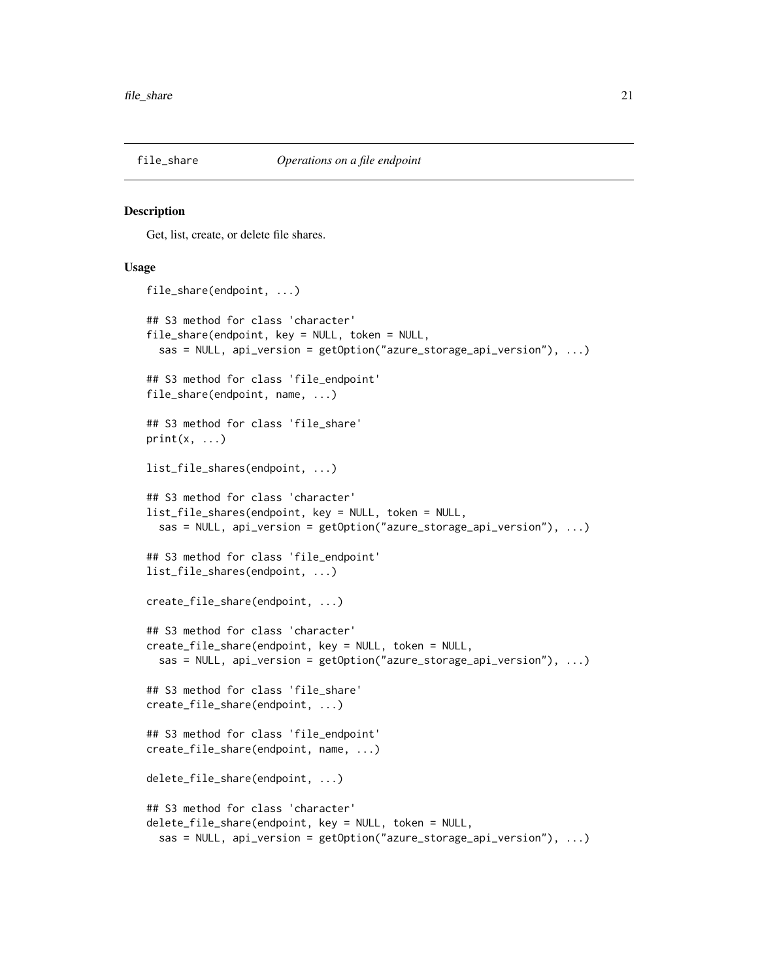<span id="page-20-1"></span><span id="page-20-0"></span>

#### <span id="page-20-2"></span>Description

Get, list, create, or delete file shares.

# Usage

```
file_share(endpoint, ...)
## S3 method for class 'character'
file_share(endpoint, key = NULL, token = NULL,
  sas = NULL, api_version = getOption("azure_storage_api_version"), ...)
## S3 method for class 'file_endpoint'
file_share(endpoint, name, ...)
## S3 method for class 'file_share'
print(x, \ldots)list_file_shares(endpoint, ...)
## S3 method for class 'character'
list_file_shares(endpoint, key = NULL, token = NULL,
  sas = NULL, api_version = getOption("azure_storage_api_version"), ...)
## S3 method for class 'file_endpoint'
list_file_shares(endpoint, ...)
create_file_share(endpoint, ...)
## S3 method for class 'character'
create_file_share(endpoint, key = NULL, token = NULL,
  sas = NULL, api_version = getOption("azure_storage_api_version"), ...)
## S3 method for class 'file_share'
create_file_share(endpoint, ...)
## S3 method for class 'file_endpoint'
create_file_share(endpoint, name, ...)
delete_file_share(endpoint, ...)
## S3 method for class 'character'
delete_file_share(endpoint, key = NULL, token = NULL,
  sas = NULL, api_version = getOption("azure_storage_api_version"), ...)
```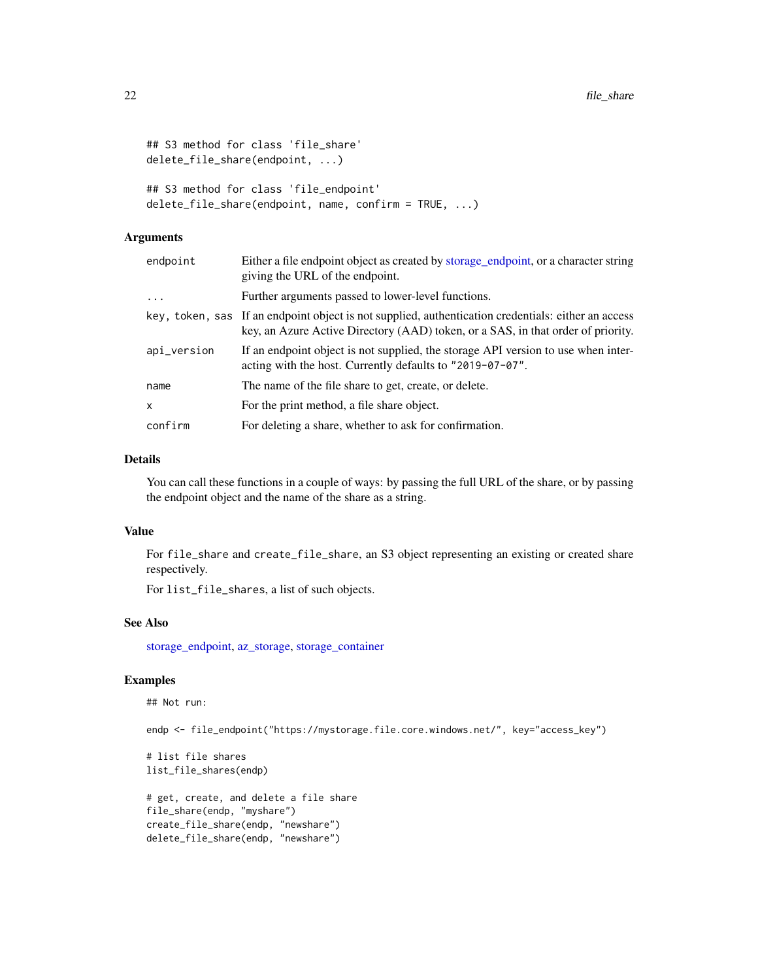```
## S3 method for class 'file_share'
delete_file_share(endpoint, ...)
## S3 method for class 'file_endpoint'
delete_file_share(endpoint, name, confirm = TRUE, ...)
```
# Arguments

| endpoint    | Either a file endpoint object as created by storage_endpoint, or a character string<br>giving the URL of the endpoint.                                                                  |
|-------------|-----------------------------------------------------------------------------------------------------------------------------------------------------------------------------------------|
| $\ddotsc$   | Further arguments passed to lower-level functions.                                                                                                                                      |
|             | key, token, sas If an endpoint object is not supplied, authentication credentials: either an access<br>key, an Azure Active Directory (AAD) token, or a SAS, in that order of priority. |
| api_version | If an endpoint object is not supplied, the storage API version to use when inter-<br>acting with the host. Currently defaults to "2019-07-07".                                          |
| name        | The name of the file share to get, create, or delete.                                                                                                                                   |
| x           | For the print method, a file share object.                                                                                                                                              |
| confirm     | For deleting a share, whether to ask for confirmation.                                                                                                                                  |

# Details

You can call these functions in a couple of ways: by passing the full URL of the share, or by passing the endpoint object and the name of the share as a string.

# Value

For file\_share and create\_file\_share, an S3 object representing an existing or created share respectively.

For list\_file\_shares, a list of such objects.

# See Also

[storage\\_endpoint,](#page-48-1) [az\\_storage,](#page-5-1) [storage\\_container](#page-43-1)

# Examples

## Not run:

endp <- file\_endpoint("https://mystorage.file.core.windows.net/", key="access\_key")

# list file shares list\_file\_shares(endp)

# get, create, and delete a file share file\_share(endp, "myshare") create\_file\_share(endp, "newshare") delete\_file\_share(endp, "newshare")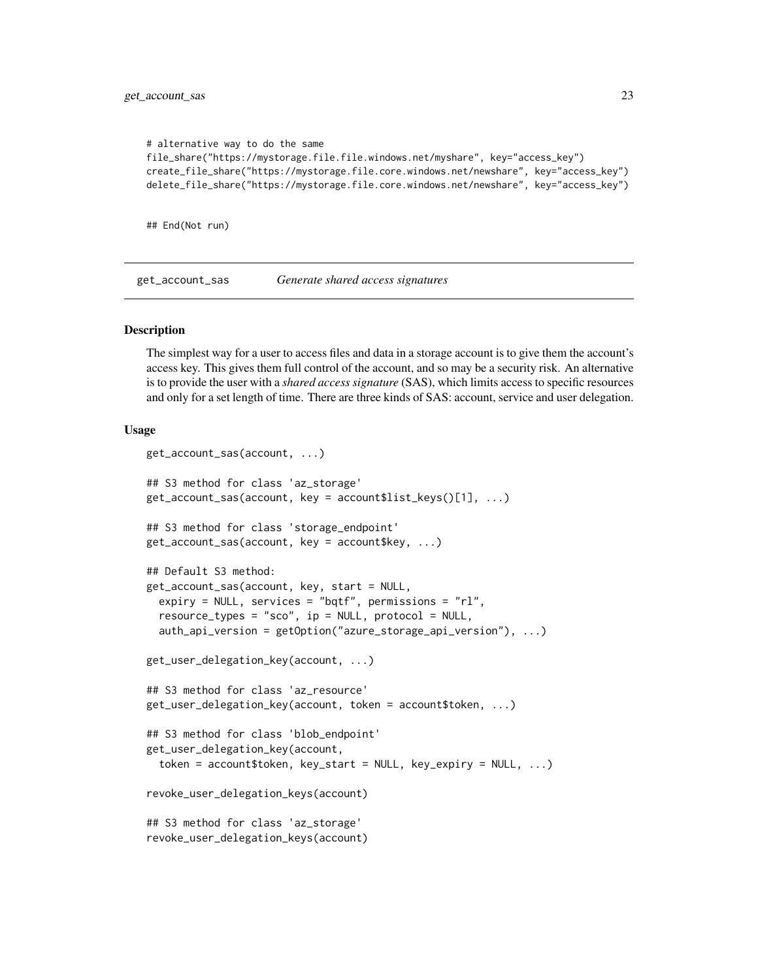```
# alternative way to do the same
file_share("https://mystorage.file.file.windows.net/myshare", key="access_key")
create_file_share("https://mystorage.file.core.windows.net/newshare", key="access_key")
delete_file_share("https://mystorage.file.core.windows.net/newshare", key="access_key")
```
## End(Not run)

get\_account\_sas *Generate shared access signatures*

#### <span id="page-22-1"></span>**Description**

The simplest way for a user to access files and data in a storage account is to give them the account's access key. This gives them full control of the account, and so may be a security risk. An alternative is to provide the user with a *shared access signature* (SAS), which limits access to specific resources and only for a set length of time. There are three kinds of SAS: account, service and user delegation.

# Usage

```
get_account_sas(account, ...)
## S3 method for class 'az_storage'
get_account_sas(account, key = account$list_keys()[1], ...)
## S3 method for class 'storage_endpoint'
get_account_sas(account, key = account$key, ...)
## Default S3 method:
get_account_sas(account, key, start = NULL,
  expiry = NULL, services = "bqtf", permissions = "rl",
  resource_types = "sco", ip = NULL, protocol = NULL,auth_api_version = getOption("azure_storage_api_version"), ...)
get_user_delegation_key(account, ...)
## S3 method for class 'az_resource'
get_user_delegation_key(account, token = account$token, ...)
## S3 method for class 'blob_endpoint'
get_user_delegation_key(account,
  token = account$token, key_start = NULL, key_expiry = NULL, ...)
revoke_user_delegation_keys(account)
## S3 method for class 'az_storage'
revoke_user_delegation_keys(account)
```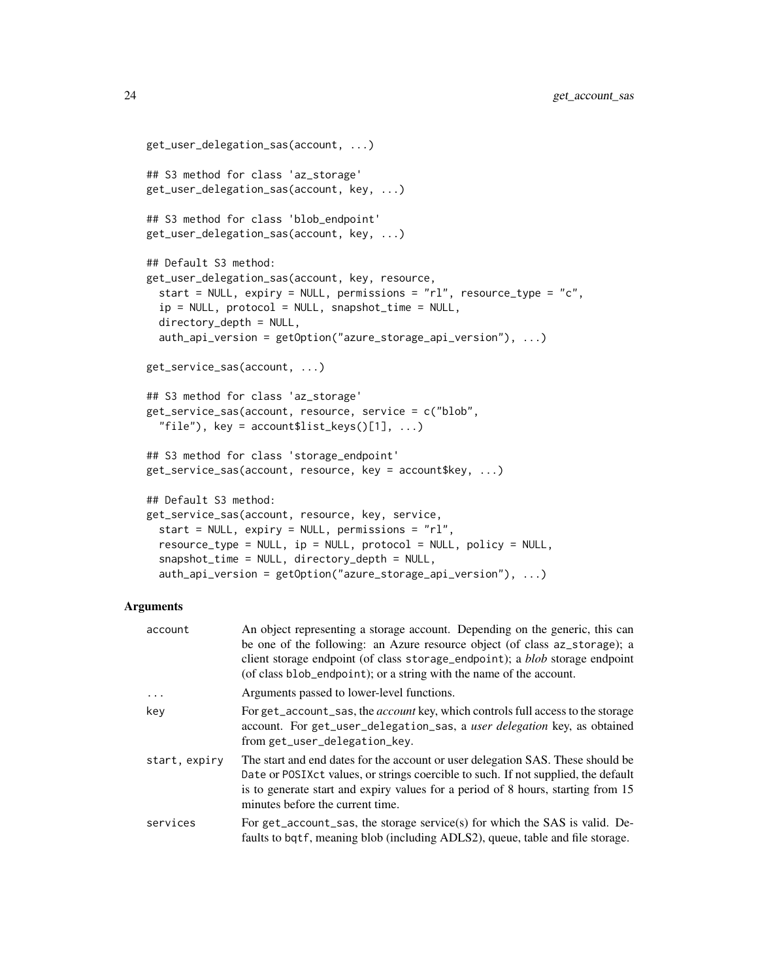```
get_user_delegation_sas(account, ...)
## S3 method for class 'az_storage'
get_user_delegation_sas(account, key, ...)
## S3 method for class 'blob_endpoint'
get_user_delegation_sas(account, key, ...)
## Default S3 method:
get_user_delegation_sas(account, key, resource,
  start = NULL, expiry = NULL, permissions = "rl", resource_type = "c",
  ip = NULL, protocol = NULL, snapshot_time = NULL,
 divectory_depth = NULL,
  auth_api_version = getOption("azure_storage_api_version"), ...)
get_service_sas(account, ...)
## S3 method for class 'az_storage'
get_service_sas(account, resource, service = c("blob",
  "file"), key = account$list_keys([1], ...)
## S3 method for class 'storage_endpoint'
get_service_sas(account, resource, key = account$key, ...)
## Default S3 method:
get_service_sas(account, resource, key, service,
  start = NULL, expiry = NULL, permissions = "rl",
  resource_type = NULL, ip = NULL, protocol = NULL, policy = NULL,
  snapshot_time = NULL, directory_depth = NULL,
  auth_api_version = getOption("azure_storage_api_version"), ...)
```
#### Arguments

| account       | An object representing a storage account. Depending on the generic, this can<br>be one of the following: an Azure resource object (of class az_storage); a<br>client storage endpoint (of class storage_endpoint); a <i>blob</i> storage endpoint<br>(of class blob_endpoint); or a string with the name of the account. |
|---------------|--------------------------------------------------------------------------------------------------------------------------------------------------------------------------------------------------------------------------------------------------------------------------------------------------------------------------|
| .             | Arguments passed to lower-level functions.                                                                                                                                                                                                                                                                               |
| key           | For get_account_sas, the account key, which controls full access to the storage<br>account. For get_user_delegation_sas, a user delegation key, as obtained<br>from get_user_delegation_key.                                                                                                                             |
| start, expiry | The start and end dates for the account or user delegation SAS. These should be<br>Date or POSIX ct values, or strings coercible to such. If not supplied, the default<br>is to generate start and expiry values for a period of 8 hours, starting from 15<br>minutes before the current time.                           |
| services      | For get_account_sas, the storage service(s) for which the SAS is valid. De-<br>faults to bqtf, meaning blob (including ADLS2), queue, table and file storage.                                                                                                                                                            |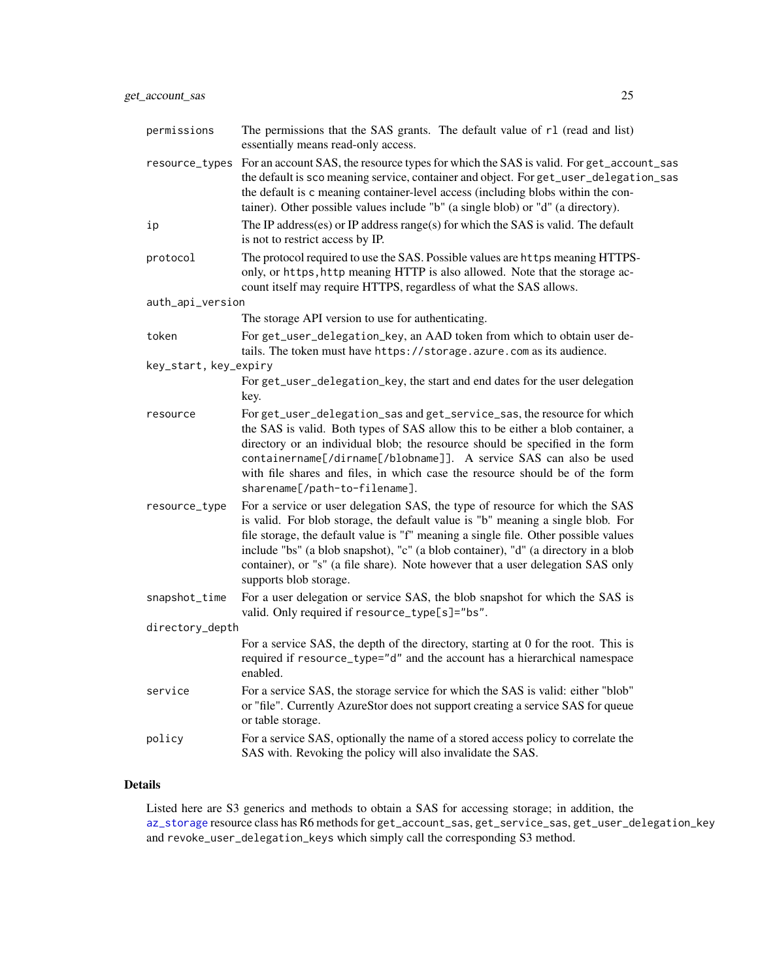<span id="page-24-0"></span>

| permissions           | The permissions that the SAS grants. The default value of r1 (read and list)<br>essentially means read-only access.                                                                                                                                                                                                                                                                                                                                       |
|-----------------------|-----------------------------------------------------------------------------------------------------------------------------------------------------------------------------------------------------------------------------------------------------------------------------------------------------------------------------------------------------------------------------------------------------------------------------------------------------------|
| resource_types        | For an account SAS, the resource types for which the SAS is valid. For get_account_sas<br>the default is sco meaning service, container and object. For get_user_delegation_sas<br>the default is c meaning container-level access (including blobs within the con-<br>tainer). Other possible values include "b" (a single blob) or "d" (a directory).                                                                                                   |
| ip                    | The IP address(es) or IP address range(s) for which the SAS is valid. The default<br>is not to restrict access by IP.                                                                                                                                                                                                                                                                                                                                     |
| protocol              | The protocol required to use the SAS. Possible values are https meaning HTTPS-<br>only, or https, http meaning HTTP is also allowed. Note that the storage ac-<br>count itself may require HTTPS, regardless of what the SAS allows.                                                                                                                                                                                                                      |
| auth_api_version      |                                                                                                                                                                                                                                                                                                                                                                                                                                                           |
|                       | The storage API version to use for authenticating.                                                                                                                                                                                                                                                                                                                                                                                                        |
| token                 | For get_user_delegation_key, an AAD token from which to obtain user de-<br>tails. The token must have https://storage.azure.com as its audience.                                                                                                                                                                                                                                                                                                          |
| key_start, key_expiry |                                                                                                                                                                                                                                                                                                                                                                                                                                                           |
|                       | For get_user_delegation_key, the start and end dates for the user delegation<br>key.                                                                                                                                                                                                                                                                                                                                                                      |
| resource              | For get_user_delegation_sas and get_service_sas, the resource for which<br>the SAS is valid. Both types of SAS allow this to be either a blob container, a<br>directory or an individual blob; the resource should be specified in the form<br>containername[/dirname[/blobname]]. A service SAS can also be used<br>with file shares and files, in which case the resource should be of the form<br>sharename[/path-to-filename].                        |
| resource_type         | For a service or user delegation SAS, the type of resource for which the SAS<br>is valid. For blob storage, the default value is "b" meaning a single blob. For<br>file storage, the default value is "f" meaning a single file. Other possible values<br>include "bs" (a blob snapshot), "c" (a blob container), "d" (a directory in a blob<br>container), or "s" (a file share). Note however that a user delegation SAS only<br>supports blob storage. |
| snapshot_time         | For a user delegation or service SAS, the blob snapshot for which the SAS is<br>valid. Only required if resource_type[s]="bs".                                                                                                                                                                                                                                                                                                                            |
| directory_depth       |                                                                                                                                                                                                                                                                                                                                                                                                                                                           |
|                       | For a service SAS, the depth of the directory, starting at 0 for the root. This is<br>required if resource_type="d" and the account has a hierarchical namespace<br>enabled.                                                                                                                                                                                                                                                                              |
| service               | For a service SAS, the storage service for which the SAS is valid: either "blob"<br>or "file". Currently AzureStor does not support creating a service SAS for queue<br>or table storage.                                                                                                                                                                                                                                                                 |
| policy                | For a service SAS, optionally the name of a stored access policy to correlate the<br>SAS with. Revoking the policy will also invalidate the SAS.                                                                                                                                                                                                                                                                                                          |

# Details

Listed here are S3 generics and methods to obtain a SAS for accessing storage; in addition, the [az\\_storage](#page-5-1) resource class has R6 methods for get\_account\_sas, get\_service\_sas, get\_user\_delegation\_key and revoke\_user\_delegation\_keys which simply call the corresponding S3 method.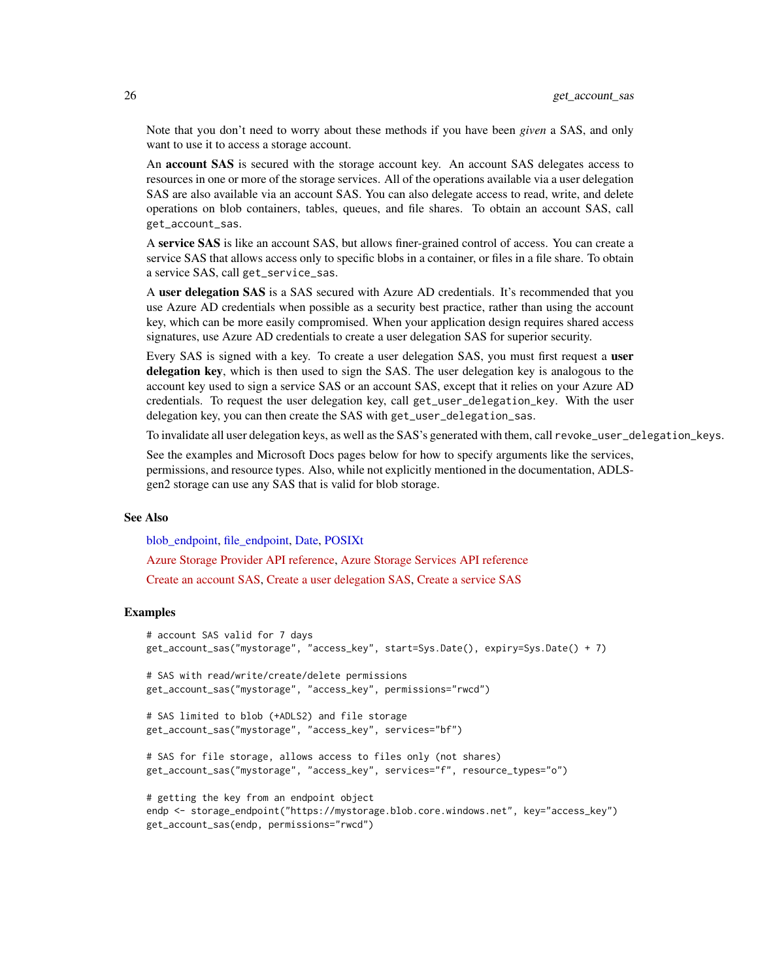Note that you don't need to worry about these methods if you have been *given* a SAS, and only want to use it to access a storage account.

An account SAS is secured with the storage account key. An account SAS delegates access to resources in one or more of the storage services. All of the operations available via a user delegation SAS are also available via an account SAS. You can also delegate access to read, write, and delete operations on blob containers, tables, queues, and file shares. To obtain an account SAS, call get\_account\_sas.

A service SAS is like an account SAS, but allows finer-grained control of access. You can create a service SAS that allows access only to specific blobs in a container, or files in a file share. To obtain a service SAS, call get\_service\_sas.

A user delegation SAS is a SAS secured with Azure AD credentials. It's recommended that you use Azure AD credentials when possible as a security best practice, rather than using the account key, which can be more easily compromised. When your application design requires shared access signatures, use Azure AD credentials to create a user delegation SAS for superior security.

Every SAS is signed with a key. To create a user delegation SAS, you must first request a user delegation key, which is then used to sign the SAS. The user delegation key is analogous to the account key used to sign a service SAS or an account SAS, except that it relies on your Azure AD credentials. To request the user delegation key, call get\_user\_delegation\_key. With the user delegation key, you can then create the SAS with get\_user\_delegation\_sas.

To invalidate all user delegation keys, as well as the SAS's generated with them, call revoke\_user\_delegation\_keys.

See the examples and Microsoft Docs pages below for how to specify arguments like the services, permissions, and resource types. Also, while not explicitly mentioned in the documentation, ADLSgen2 storage can use any SAS that is valid for blob storage.

# See Also

[blob\\_endpoint,](#page-48-2) [file\\_endpoint,](#page-48-2) [Date,](#page-0-0) [POSIXt](#page-0-0)

[Azure Storage Provider API reference,](https://docs.microsoft.com/en-us/rest/api/storagerp/) [Azure Storage Services API reference](https://docs.microsoft.com/en-us/rest/api/storageservices/)

[Create an account SAS,](https://docs.microsoft.com/en-us/rest/api/storageservices/create-account-sas) [Create a user delegation SAS,](https://docs.microsoft.com/en-us/rest/api/storageservices/create-user-delegation-sas) [Create a service SAS](https://docs.microsoft.com/en-us/rest/api/storageservices/create-service-sas)

# Examples

```
# account SAS valid for 7 days
get_account_sas("mystorage", "access_key", start=Sys.Date(), expiry=Sys.Date() + 7)
# SAS with read/write/create/delete permissions
get_account_sas("mystorage", "access_key", permissions="rwcd")
# SAS limited to blob (+ADLS2) and file storage
get_account_sas("mystorage", "access_key", services="bf")
# SAS for file storage, allows access to files only (not shares)
get_account_sas("mystorage", "access_key", services="f", resource_types="o")
# getting the key from an endpoint object
endp <- storage_endpoint("https://mystorage.blob.core.windows.net", key="access_key")
get_account_sas(endp, permissions="rwcd")
```
<span id="page-25-0"></span>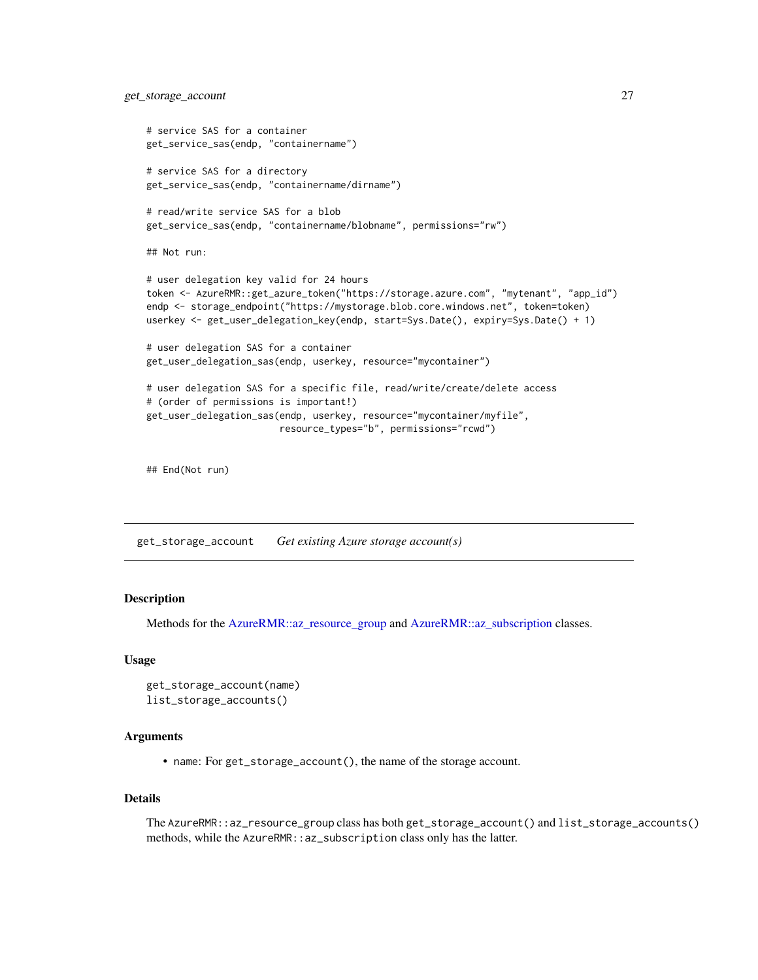```
get_storage_account 27
```

```
# service SAS for a container
get_service_sas(endp, "containername")
# service SAS for a directory
get_service_sas(endp, "containername/dirname")
# read/write service SAS for a blob
get_service_sas(endp, "containername/blobname", permissions="rw")
## Not run:
# user delegation key valid for 24 hours
token <- AzureRMR::get_azure_token("https://storage.azure.com", "mytenant", "app_id")
endp <- storage_endpoint("https://mystorage.blob.core.windows.net", token=token)
userkey <- get_user_delegation_key(endp, start=Sys.Date(), expiry=Sys.Date() + 1)
# user delegation SAS for a container
get_user_delegation_sas(endp, userkey, resource="mycontainer")
# user delegation SAS for a specific file, read/write/create/delete access
# (order of permissions is important!)
get_user_delegation_sas(endp, userkey, resource="mycontainer/myfile",
                        resource_types="b", permissions="rcwd")
```
## End(Not run)

<span id="page-26-1"></span>get\_storage\_account *Get existing Azure storage account(s)*

# Description

Methods for the [AzureRMR::az\\_resource\\_group](#page-0-0) and [AzureRMR::az\\_subscription](#page-0-0) classes.

# Usage

```
get_storage_account(name)
list_storage_accounts()
```
# Arguments

• name: For get\_storage\_account(), the name of the storage account.

#### Details

The AzureRMR::az\_resource\_group class has both get\_storage\_account() and list\_storage\_accounts() methods, while the AzureRMR::az\_subscription class only has the latter.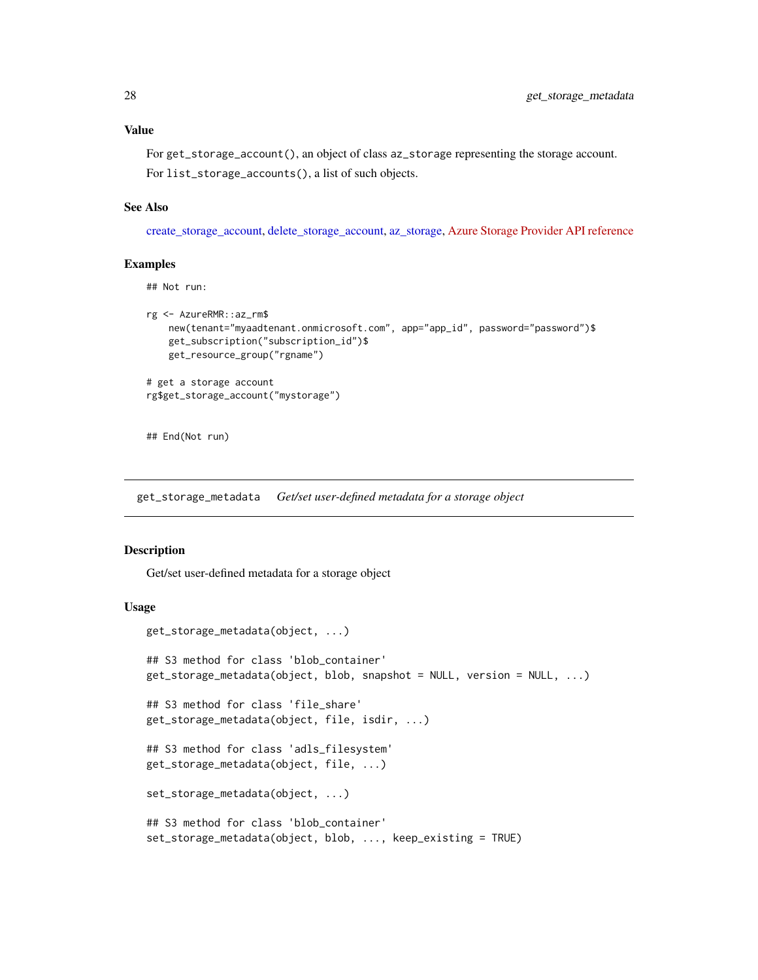<span id="page-27-0"></span>For get\_storage\_account(), an object of class az\_storage representing the storage account. For list\_storage\_accounts(), a list of such objects.

# See Also

[create\\_storage\\_account,](#page-15-1) [delete\\_storage\\_account,](#page-17-1) [az\\_storage,](#page-5-1) [Azure Storage Provider API reference](https://docs.microsoft.com/en-us/rest/api/storagerp/)

#### Examples

## Not run:

```
rg <- AzureRMR::az_rm$
   new(tenant="myaadtenant.onmicrosoft.com", app="app_id", password="password")$
   get_subscription("subscription_id")$
   get_resource_group("rgname")
# get a storage account
rg$get_storage_account("mystorage")
```
## End(Not run)

<span id="page-27-1"></span>get\_storage\_metadata *Get/set user-defined metadata for a storage object*

# Description

Get/set user-defined metadata for a storage object

#### Usage

```
get_storage_metadata(object, ...)
## S3 method for class 'blob_container'
get_storage_metadata(object, blob, snapshot = NULL, version = NULL, ...)
## S3 method for class 'file_share'
get_storage_metadata(object, file, isdir, ...)
## S3 method for class 'adls_filesystem'
get_storage_metadata(object, file, ...)
set_storage_metadata(object, ...)
## S3 method for class 'blob_container'
set_storage_metadata(object, blob, ..., keep_existing = TRUE)
```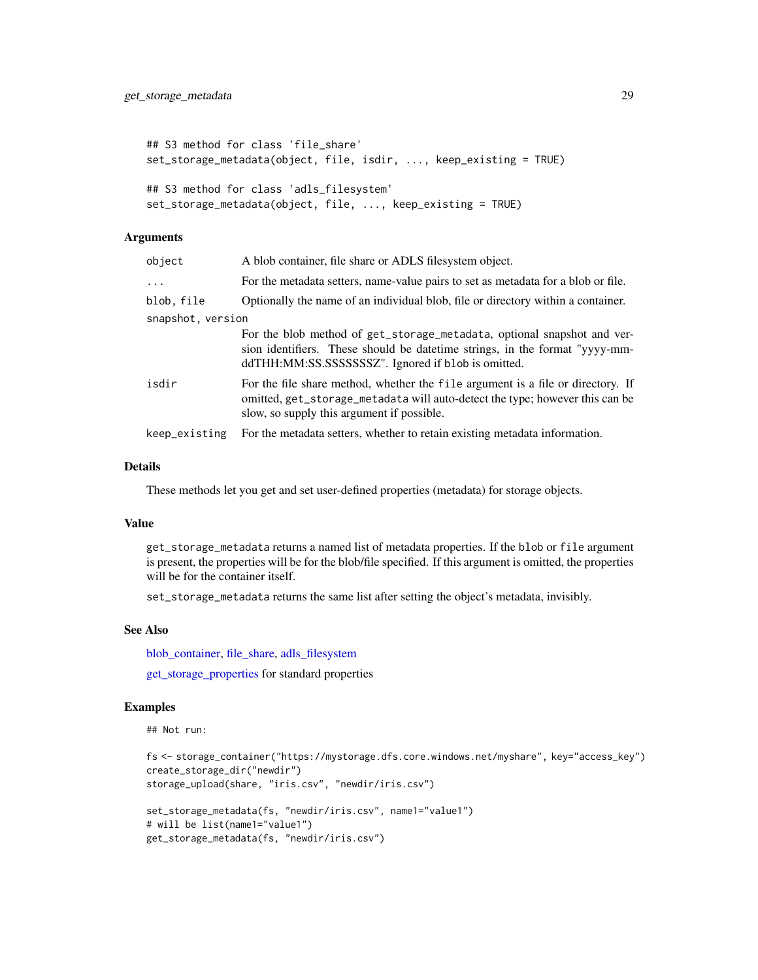```
## S3 method for class 'file_share'
set_storage_metadata(object, file, isdir, ..., keep_existing = TRUE)
## S3 method for class 'adls_filesystem'
set_storage_metadata(object, file, ..., keep_existing = TRUE)
```
# **Arguments**

| object            | A blob container, file share or ADLS filesystem object.                                                                                                                                                        |  |
|-------------------|----------------------------------------------------------------------------------------------------------------------------------------------------------------------------------------------------------------|--|
| $\ddots$ .        | For the metadata setters, name-value pairs to set as metadata for a blob or file.                                                                                                                              |  |
| blob, file        | Optionally the name of an individual blob, file or directory within a container.                                                                                                                               |  |
| snapshot, version |                                                                                                                                                                                                                |  |
|                   | For the blob method of get_storage_metadata, optional snapshot and ver-<br>sion identifiers. These should be date time strings, in the format "yyyy-mm-<br>ddTHH:MM:SS.SSSSSSSSZ". Ignored if blob is omitted. |  |
| isdir             | For the file share method, whether the file argument is a file or directory. If<br>omitted, get_storage_metadata will auto-detect the type; however this can be<br>slow, so supply this argument if possible.  |  |
| keep_existing     | For the metadata setters, whether to retain existing metadata information.                                                                                                                                     |  |

# Details

These methods let you get and set user-defined properties (metadata) for storage objects.

# Value

get\_storage\_metadata returns a named list of metadata properties. If the blob or file argument is present, the properties will be for the blob/file specified. If this argument is omitted, the properties will be for the container itself.

set\_storage\_metadata returns the same list after setting the object's metadata, invisibly.

# See Also

[blob\\_container,](#page-7-1) [file\\_share,](#page-20-1) [adls\\_filesystem](#page-2-1)

[get\\_storage\\_properties](#page-29-1) for standard properties

# Examples

## Not run:

```
fs <- storage_container("https://mystorage.dfs.core.windows.net/myshare", key="access_key")
create_storage_dir("newdir")
```

```
storage_upload(share, "iris.csv", "newdir/iris.csv")
```

```
set_storage_metadata(fs, "newdir/iris.csv", name1="value1")
# will be list(name1="value1")
get_storage_metadata(fs, "newdir/iris.csv")
```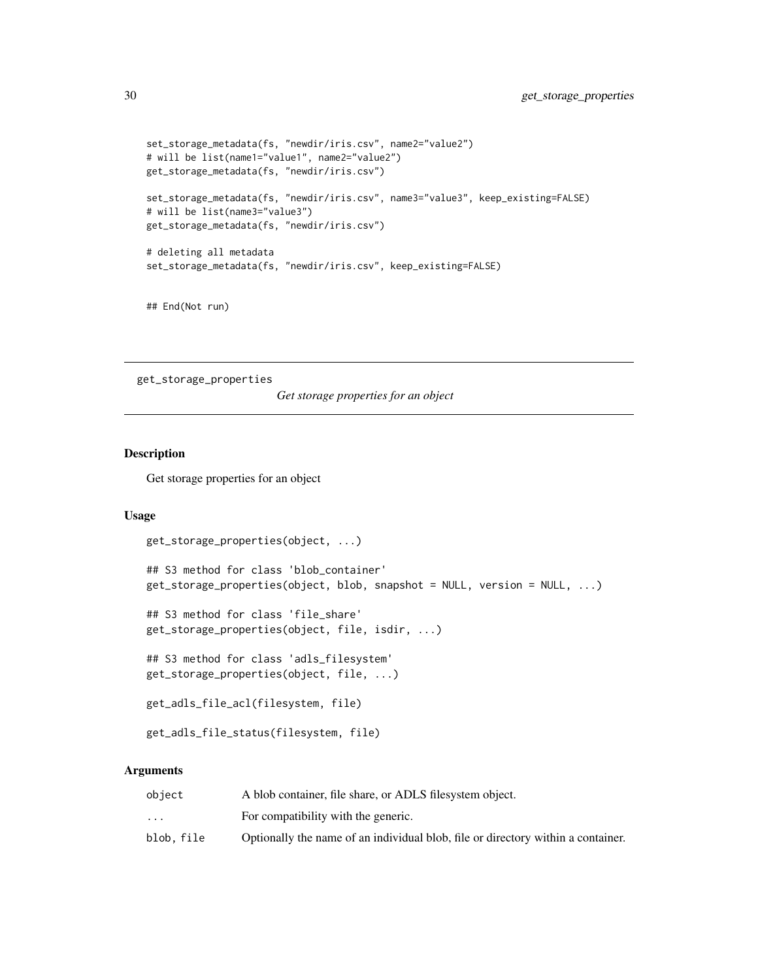```
set_storage_metadata(fs, "newdir/iris.csv", name2="value2")
# will be list(name1="value1", name2="value2")
get_storage_metadata(fs, "newdir/iris.csv")
set_storage_metadata(fs, "newdir/iris.csv", name3="value3", keep_existing=FALSE)
# will be list(name3="value3")
get_storage_metadata(fs, "newdir/iris.csv")
# deleting all metadata
set_storage_metadata(fs, "newdir/iris.csv", keep_existing=FALSE)
```
## End(Not run)

<span id="page-29-1"></span>get\_storage\_properties

*Get storage properties for an object*

# Description

Get storage properties for an object

# Usage

```
get_storage_properties(object, ...)
```
## S3 method for class 'blob\_container' get\_storage\_properties(object, blob, snapshot = NULL, version = NULL, ...)

```
## S3 method for class 'file_share'
get_storage_properties(object, file, isdir, ...)
```
## S3 method for class 'adls\_filesystem' get\_storage\_properties(object, file, ...)

```
get_adls_file_acl(filesystem, file)
```
get\_adls\_file\_status(filesystem, file)

# **Arguments**

| object                  | A blob container, file share, or ADLS filesystem object.                         |
|-------------------------|----------------------------------------------------------------------------------|
| $\cdot$ $\cdot$ $\cdot$ | For compatibility with the generic.                                              |
| blob.file               | Optionally the name of an individual blob, file or directory within a container. |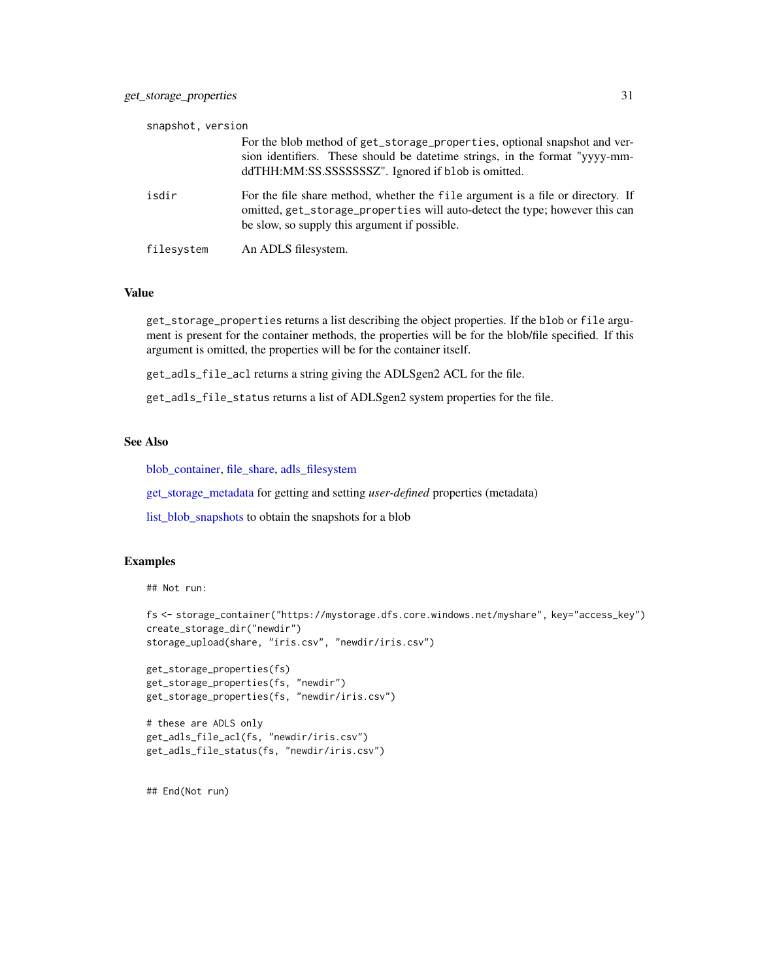<span id="page-30-0"></span>

| snapshot, version |                                                                                                                                                                                                                  |
|-------------------|------------------------------------------------------------------------------------------------------------------------------------------------------------------------------------------------------------------|
|                   | For the blob method of get_storage_properties, optional snapshot and ver-<br>sion identifiers. These should be date time strings, in the format "yyyy-mm-<br>ddTHH:MM:SS.SSSSSSSSZ". Ignored if blob is omitted. |
| isdir             | For the file share method, whether the file argument is a file or directory. If<br>omitted, get_storage_properties will auto-detect the type; however this can<br>be slow, so supply this argument if possible.  |
| filesystem        | An ADLS filesystem.                                                                                                                                                                                              |

# Value

get\_storage\_properties returns a list describing the object properties. If the blob or file argument is present for the container methods, the properties will be for the blob/file specified. If this argument is omitted, the properties will be for the container itself.

get\_adls\_file\_acl returns a string giving the ADLSgen2 ACL for the file.

get\_adls\_file\_status returns a list of ADLSgen2 system properties for the file.

# See Also

[blob\\_container,](#page-7-1) [file\\_share,](#page-20-1) [adls\\_filesystem](#page-2-1)

[get\\_storage\\_metadata](#page-27-1) for getting and setting *user-defined* properties (metadata)

[list\\_blob\\_snapshots](#page-14-1) to obtain the snapshots for a blob

#### Examples

## Not run:

```
fs <- storage_container("https://mystorage.dfs.core.windows.net/myshare", key="access_key")
create_storage_dir("newdir")
storage_upload(share, "iris.csv", "newdir/iris.csv")
get_storage_properties(fs)
get_storage_properties(fs, "newdir")
get_storage_properties(fs, "newdir/iris.csv")
# these are ADLS only
get_adls_file_acl(fs, "newdir/iris.csv")
get_adls_file_status(fs, "newdir/iris.csv")
```
## End(Not run)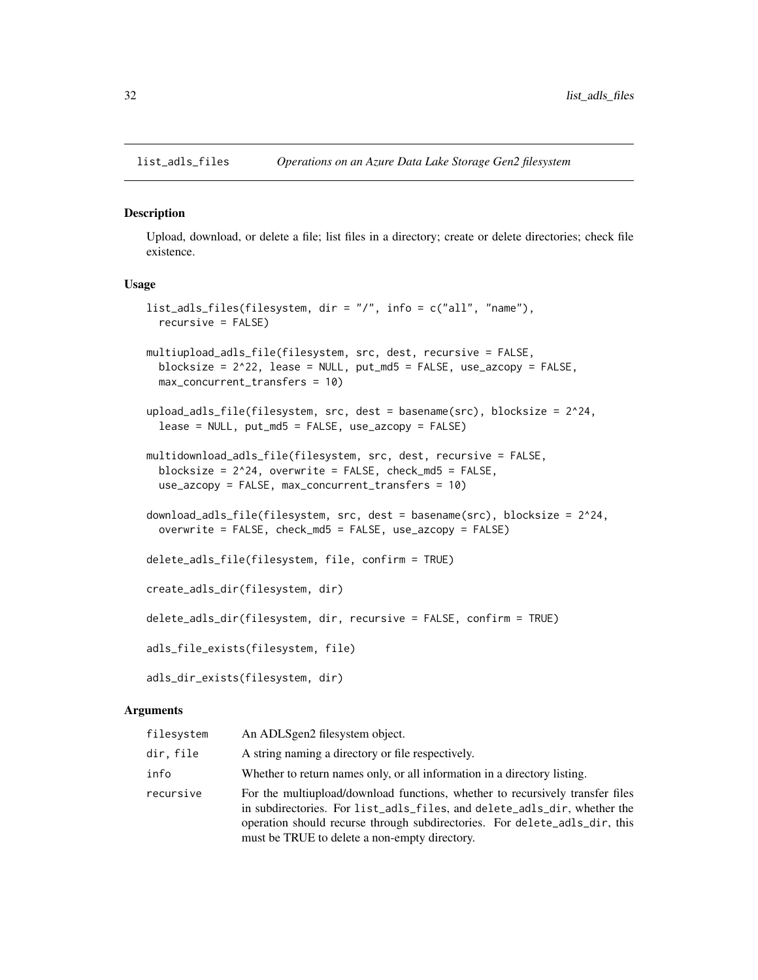<span id="page-31-2"></span><span id="page-31-0"></span>

#### <span id="page-31-1"></span>Description

Upload, download, or delete a file; list files in a directory; create or delete directories; check file existence.

# Usage

```
list_adls_files(filesystem, dir = "/", info = c("all", "name"),
  recursive = FALSE)
multiupload_adls_file(filesystem, src, dest, recursive = FALSE,
 blocksize = 2^22, lease = NULL, put_md5 = FALSE, use_azcopy = FALSE,
 max_concurrent_transfers = 10)
upload_adls_file(filesystem, src, dest = basename(src), blocksize = 2^24,
  lease = NULL, put_md5 = FALSE, use_azcopy = FALSE)
multidownload_adls_file(filesystem, src, dest, recursive = FALSE,
  blocksize = 2^24, overwrite = FALSE, check_md5 = FALSE,
 use_azcopy = FALSE, max_concurrent_transfers = 10)
download_adls_file(filesystem, src, dest = basename(src), blocksize = 2^24,
  overwrite = FALSE, check_md5 = FALSE, use_azcopy = FALSE)
delete_adls_file(filesystem, file, confirm = TRUE)
create_adls_dir(filesystem, dir)
delete_adls_dir(filesystem, dir, recursive = FALSE, confirm = TRUE)
adls_file_exists(filesystem, file)
adls_dir_exists(filesystem, dir)
```
#### Arguments

| filesystem | An ADLSgen2 filesystem object.                                                                                                                                                                                                                                                           |
|------------|------------------------------------------------------------------------------------------------------------------------------------------------------------------------------------------------------------------------------------------------------------------------------------------|
| dir. file  | A string naming a directory or file respectively.                                                                                                                                                                                                                                        |
| info       | Whether to return names only, or all information in a directory listing.                                                                                                                                                                                                                 |
| recursive  | For the multiupload/download functions, whether to recursively transfer files<br>in subdirectories. For list_adls_files, and delete_adls_dir, whether the<br>operation should recurse through subdirectories. For delete_adls_dir, this<br>must be TRUE to delete a non-empty directory. |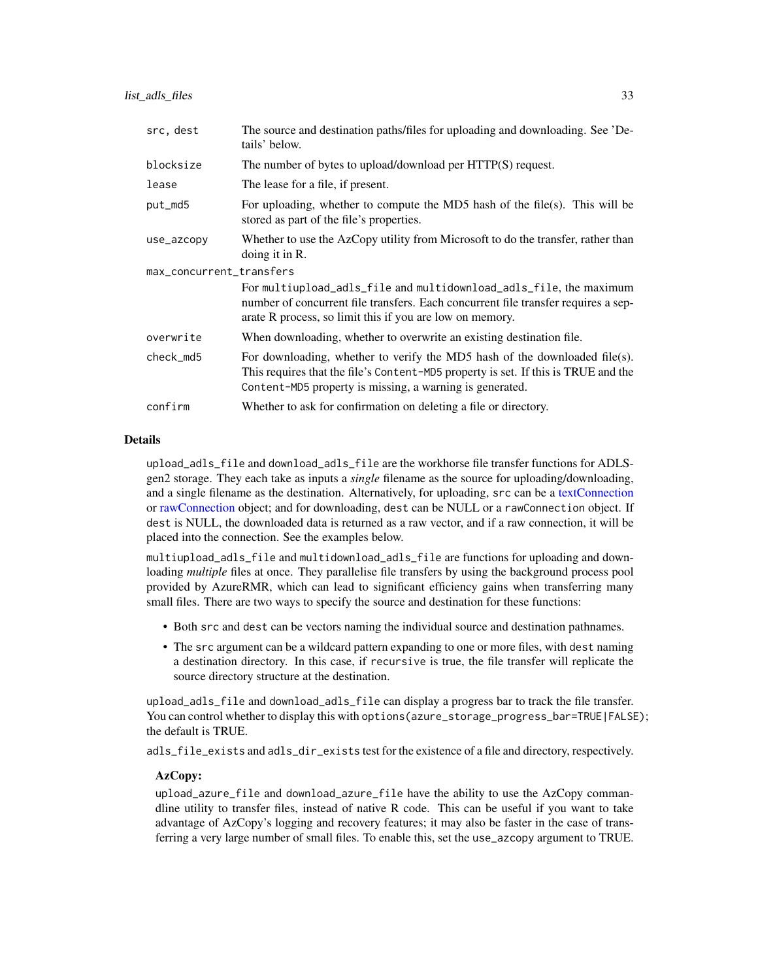<span id="page-32-0"></span>

| src, dest                | The source and destination paths/files for uploading and downloading. See 'De-<br>tails' below.                                                                                                                              |  |
|--------------------------|------------------------------------------------------------------------------------------------------------------------------------------------------------------------------------------------------------------------------|--|
| blocksize                | The number of bytes to upload/download per HTTP(S) request.                                                                                                                                                                  |  |
| lease                    | The lease for a file, if present.                                                                                                                                                                                            |  |
| put_md5                  | For uploading, whether to compute the MD5 hash of the file(s). This will be<br>stored as part of the file's properties.                                                                                                      |  |
| use_azcopy               | Whether to use the AzCopy utility from Microsoft to do the transfer, rather than<br>doing it in R.                                                                                                                           |  |
| max_concurrent_transfers |                                                                                                                                                                                                                              |  |
|                          | For multiupload_adls_file and multidownload_adls_file, the maximum<br>number of concurrent file transfers. Each concurrent file transfer requires a sep-<br>arate R process, so limit this if you are low on memory.         |  |
| overwrite                | When downloading, whether to overwrite an existing destination file.                                                                                                                                                         |  |
| check_md5                | For downloading, whether to verify the MD5 hash of the downloaded file(s).<br>This requires that the file's Content-MD5 property is set. If this is TRUE and the<br>Content-MD5 property is missing, a warning is generated. |  |
| confirm                  | Whether to ask for confirmation on deleting a file or directory.                                                                                                                                                             |  |

#### Details

upload\_adls\_file and download\_adls\_file are the workhorse file transfer functions for ADLSgen2 storage. They each take as inputs a *single* filename as the source for uploading/downloading, and a single filename as the destination. Alternatively, for uploading, src can be a [textConnection](#page-0-0) or [rawConnection](#page-0-0) object; and for downloading, dest can be NULL or a rawConnection object. If dest is NULL, the downloaded data is returned as a raw vector, and if a raw connection, it will be placed into the connection. See the examples below.

multiupload\_adls\_file and multidownload\_adls\_file are functions for uploading and downloading *multiple* files at once. They parallelise file transfers by using the background process pool provided by AzureRMR, which can lead to significant efficiency gains when transferring many small files. There are two ways to specify the source and destination for these functions:

- Both src and dest can be vectors naming the individual source and destination pathnames.
- The src argument can be a wildcard pattern expanding to one or more files, with dest naming a destination directory. In this case, if recursive is true, the file transfer will replicate the source directory structure at the destination.

upload\_adls\_file and download\_adls\_file can display a progress bar to track the file transfer. You can control whether to display this with options (azure\_storage\_progress\_bar=TRUE|FALSE); the default is TRUE.

adls\_file\_exists and adls\_dir\_exists test for the existence of a file and directory, respectively.

#### AzCopy:

upload\_azure\_file and download\_azure\_file have the ability to use the AzCopy commandline utility to transfer files, instead of native R code. This can be useful if you want to take advantage of AzCopy's logging and recovery features; it may also be faster in the case of transferring a very large number of small files. To enable this, set the use\_azcopy argument to TRUE.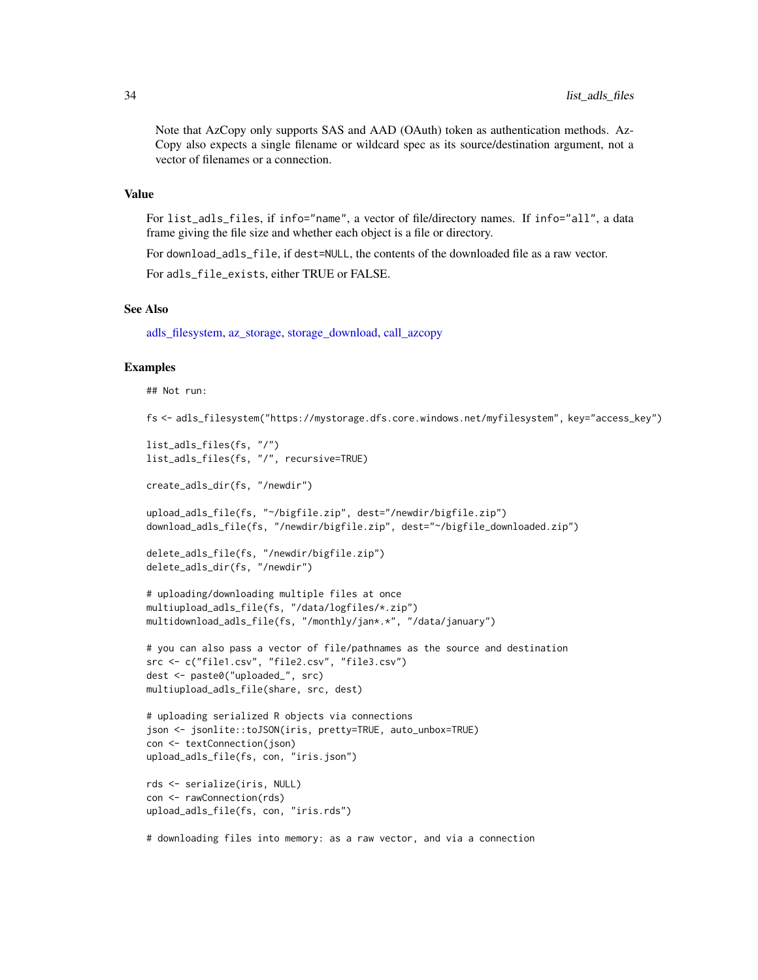<span id="page-33-0"></span>Note that AzCopy only supports SAS and AAD (OAuth) token as authentication methods. Az-Copy also expects a single filename or wildcard spec as its source/destination argument, not a vector of filenames or a connection.

# Value

For list\_adls\_files, if info="name", a vector of file/directory names. If info="all", a data frame giving the file size and whether each object is a file or directory.

For download\_adls\_file, if dest=NULL, the contents of the downloaded file as a raw vector.

For adls\_file\_exists, either TRUE or FALSE.

#### See Also

[adls\\_filesystem,](#page-2-1) [az\\_storage,](#page-5-1) [storage\\_download,](#page-11-1) [call\\_azcopy](#page-10-1)

#### Examples

```
## Not run:
```

```
fs <- adls_filesystem("https://mystorage.dfs.core.windows.net/myfilesystem", key="access_key")
```

```
list_adls_files(fs, "/")
list_adls_files(fs, "/", recursive=TRUE)
create_adls_dir(fs, "/newdir")
upload_adls_file(fs, "~/bigfile.zip", dest="/newdir/bigfile.zip")
download_adls_file(fs, "/newdir/bigfile.zip", dest="~/bigfile_downloaded.zip")
delete_adls_file(fs, "/newdir/bigfile.zip")
delete_adls_dir(fs, "/newdir")
# uploading/downloading multiple files at once
multiupload_adls_file(fs, "/data/logfiles/*.zip")
multidownload_adls_file(fs, "/monthly/jan*.*", "/data/january")
# you can also pass a vector of file/pathnames as the source and destination
src <- c("file1.csv", "file2.csv", "file3.csv")
dest <- paste0("uploaded_", src)
multiupload_adls_file(share, src, dest)
# uploading serialized R objects via connections
json <- jsonlite::toJSON(iris, pretty=TRUE, auto_unbox=TRUE)
con <- textConnection(json)
upload_adls_file(fs, con, "iris.json")
rds <- serialize(iris, NULL)
con <- rawConnection(rds)
upload_adls_file(fs, con, "iris.rds")
```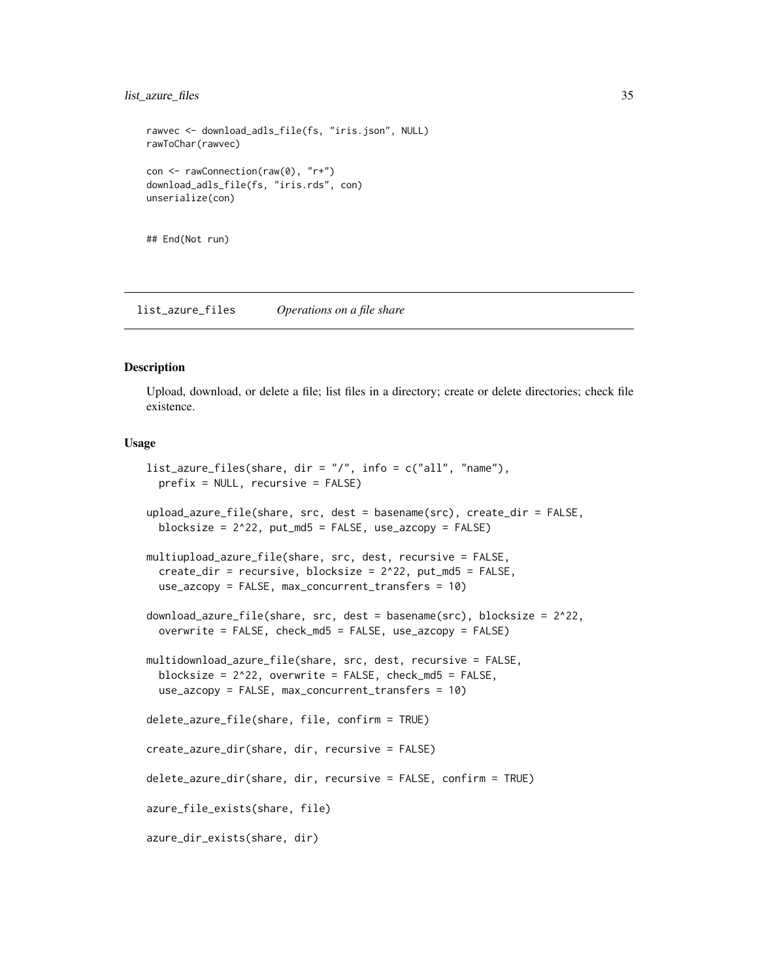# <span id="page-34-0"></span>list\_azure\_files 35

```
rawvec <- download_adls_file(fs, "iris.json", NULL)
rawToChar(rawvec)
con <- rawConnection(raw(0), "r+")
download_adls_file(fs, "iris.rds", con)
unserialize(con)
```
## End(Not run)

<span id="page-34-2"></span>list\_azure\_files *Operations on a file share*

# <span id="page-34-1"></span>Description

Upload, download, or delete a file; list files in a directory; create or delete directories; check file existence.

# Usage

```
list_azure_files(share, dir = "/", info = c("all", "name"),
 prefix = NULL, recursive = FALSE)
upload_azure_file(share, src, dest = basename(src), create_dir = FALSE,
 blocksize = 2^22, put_md5 = FALSE, use_azcopy = FALSE)
multiupload_azure_file(share, src, dest, recursive = FALSE,
 create_dir = recursive, blocksize = 2^22, put_md5 = FALSE,
 use_azcopy = FALSE, max_concurrent_transfers = 10)
download_azure_file(share, src, dest = basename(src), blocksize = 2^22,
 overwrite = FALSE, check_md5 = FALSE, use_azcopy = FALSE)
multidownload_azure_file(share, src, dest, recursive = FALSE,
 blocksize = 2^22, overwrite = FALSE, check_md5 = FALSE,
 use_azcopy = FALSE, max_concurrent_transfers = 10)
delete_azure_file(share, file, confirm = TRUE)
create_azure_dir(share, dir, recursive = FALSE)
delete_azure_dir(share, dir, recursive = FALSE, confirm = TRUE)
azure_file_exists(share, file)
azure_dir_exists(share, dir)
```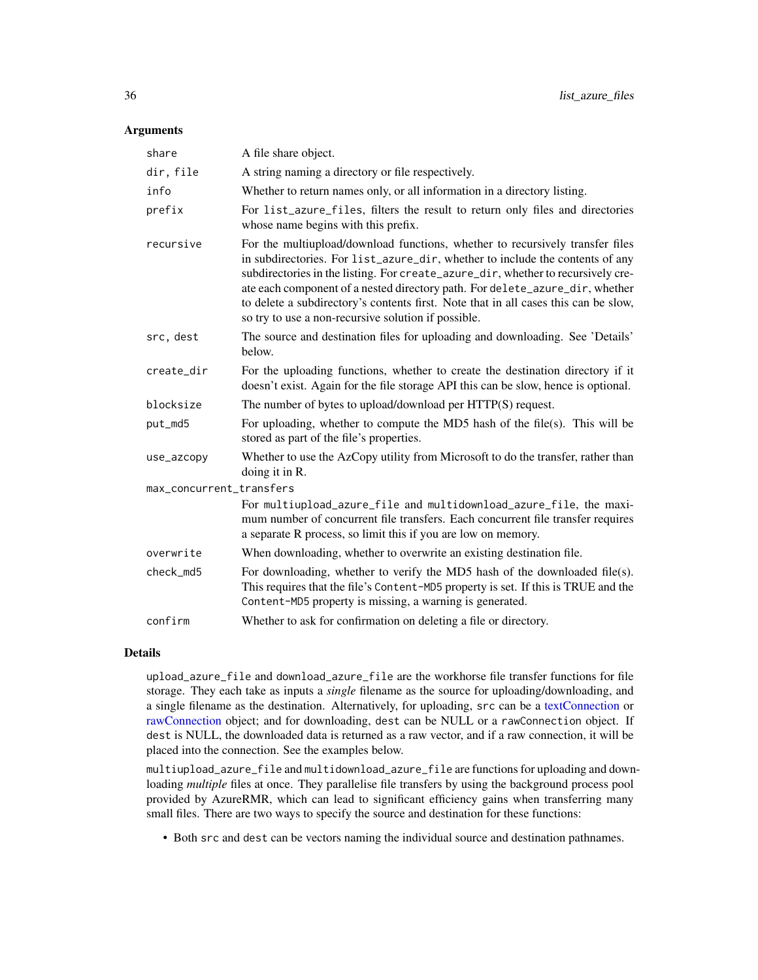# <span id="page-35-0"></span>**Arguments**

| share                    | A file share object.                                                                                                                                                                                                                                                                                                                                                                                                                                                             |
|--------------------------|----------------------------------------------------------------------------------------------------------------------------------------------------------------------------------------------------------------------------------------------------------------------------------------------------------------------------------------------------------------------------------------------------------------------------------------------------------------------------------|
| dir, file                | A string naming a directory or file respectively.                                                                                                                                                                                                                                                                                                                                                                                                                                |
| info                     | Whether to return names only, or all information in a directory listing.                                                                                                                                                                                                                                                                                                                                                                                                         |
| prefix                   | For list_azure_files, filters the result to return only files and directories<br>whose name begins with this prefix.                                                                                                                                                                                                                                                                                                                                                             |
| recursive                | For the multiupload/download functions, whether to recursively transfer files<br>in subdirectories. For list_azure_dir, whether to include the contents of any<br>subdirectories in the listing. For create_azure_dir, whether to recursively cre-<br>ate each component of a nested directory path. For delete_azure_dir, whether<br>to delete a subdirectory's contents first. Note that in all cases this can be slow,<br>so try to use a non-recursive solution if possible. |
| src, dest                | The source and destination files for uploading and downloading. See 'Details'<br>below.                                                                                                                                                                                                                                                                                                                                                                                          |
| create_dir               | For the uploading functions, whether to create the destination directory if it<br>doesn't exist. Again for the file storage API this can be slow, hence is optional.                                                                                                                                                                                                                                                                                                             |
| blocksize                | The number of bytes to upload/download per HTTP(S) request.                                                                                                                                                                                                                                                                                                                                                                                                                      |
| put_md5                  | For uploading, whether to compute the MD5 hash of the file(s). This will be<br>stored as part of the file's properties.                                                                                                                                                                                                                                                                                                                                                          |
| use_azcopy               | Whether to use the AzCopy utility from Microsoft to do the transfer, rather than<br>doing it in R.                                                                                                                                                                                                                                                                                                                                                                               |
| max_concurrent_transfers |                                                                                                                                                                                                                                                                                                                                                                                                                                                                                  |
|                          | For multiupload_azure_file and multidownload_azure_file, the maxi-<br>mum number of concurrent file transfers. Each concurrent file transfer requires<br>a separate R process, so limit this if you are low on memory.                                                                                                                                                                                                                                                           |
| overwrite                | When downloading, whether to overwrite an existing destination file.                                                                                                                                                                                                                                                                                                                                                                                                             |
| check_md5                | For downloading, whether to verify the MD5 hash of the downloaded file(s).<br>This requires that the file's Content-MD5 property is set. If this is TRUE and the<br>Content-MD5 property is missing, a warning is generated.                                                                                                                                                                                                                                                     |
| confirm                  | Whether to ask for confirmation on deleting a file or directory.                                                                                                                                                                                                                                                                                                                                                                                                                 |

# Details

upload\_azure\_file and download\_azure\_file are the workhorse file transfer functions for file storage. They each take as inputs a *single* filename as the source for uploading/downloading, and a single filename as the destination. Alternatively, for uploading, src can be a [textConnection](#page-0-0) or [rawConnection](#page-0-0) object; and for downloading, dest can be NULL or a rawConnection object. If dest is NULL, the downloaded data is returned as a raw vector, and if a raw connection, it will be placed into the connection. See the examples below.

multiupload\_azure\_file and multidownload\_azure\_file are functions for uploading and downloading *multiple* files at once. They parallelise file transfers by using the background process pool provided by AzureRMR, which can lead to significant efficiency gains when transferring many small files. There are two ways to specify the source and destination for these functions:

• Both src and dest can be vectors naming the individual source and destination pathnames.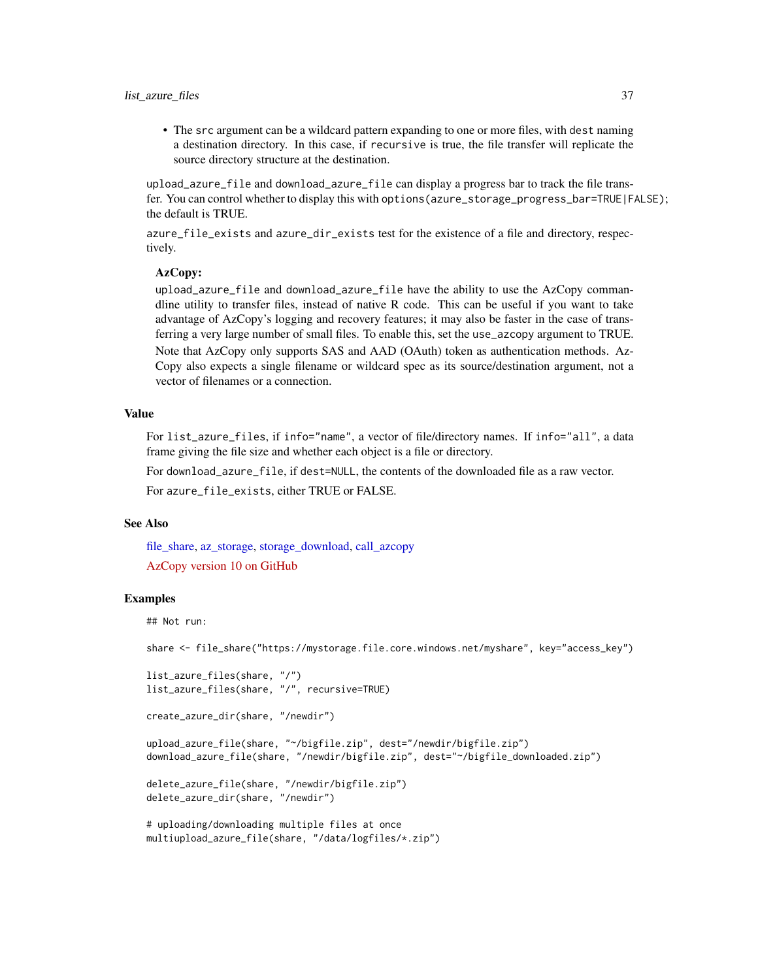<span id="page-36-0"></span>• The src argument can be a wildcard pattern expanding to one or more files, with dest naming a destination directory. In this case, if recursive is true, the file transfer will replicate the source directory structure at the destination.

upload\_azure\_file and download\_azure\_file can display a progress bar to track the file transfer. You can control whether to display this with options(azure\_storage\_progress\_bar=TRUE|FALSE); the default is TRUE.

azure\_file\_exists and azure\_dir\_exists test for the existence of a file and directory, respectively.

# AzCopy:

upload\_azure\_file and download\_azure\_file have the ability to use the AzCopy commandline utility to transfer files, instead of native R code. This can be useful if you want to take advantage of AzCopy's logging and recovery features; it may also be faster in the case of transferring a very large number of small files. To enable this, set the use\_azcopy argument to TRUE. Note that AzCopy only supports SAS and AAD (OAuth) token as authentication methods. Az-Copy also expects a single filename or wildcard spec as its source/destination argument, not a vector of filenames or a connection.

# Value

For list\_azure\_files, if info="name", a vector of file/directory names. If info="all", a data frame giving the file size and whether each object is a file or directory.

For download\_azure\_file, if dest=NULL, the contents of the downloaded file as a raw vector.

For azure\_file\_exists, either TRUE or FALSE.

# See Also

[file\\_share,](#page-20-1) [az\\_storage,](#page-5-1) [storage\\_download,](#page-11-1) [call\\_azcopy](#page-10-1) [AzCopy version 10 on GitHub](https://github.com/Azure/azure-storage-azcopy)

# Examples

## Not run:

share <- file\_share("https://mystorage.file.core.windows.net/myshare", key="access\_key")

```
list_azure_files(share, "/")
list_azure_files(share, "/", recursive=TRUE)
create_azure_dir(share, "/newdir")
upload_azure_file(share, "~/bigfile.zip", dest="/newdir/bigfile.zip")
download_azure_file(share, "/newdir/bigfile.zip", dest="~/bigfile_downloaded.zip")
delete_azure_file(share, "/newdir/bigfile.zip")
delete_azure_dir(share, "/newdir")
# uploading/downloading multiple files at once
multiupload_azure_file(share, "/data/logfiles/*.zip")
```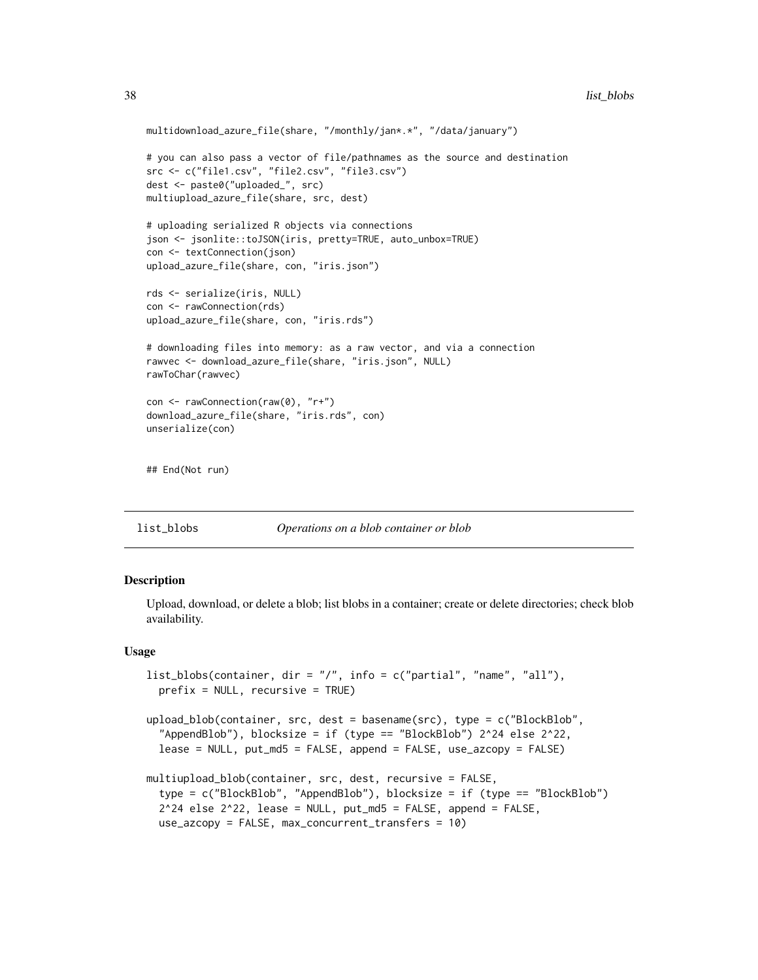```
multidownload_azure_file(share, "/monthly/jan*.*", "/data/january")
# you can also pass a vector of file/pathnames as the source and destination
src <- c("file1.csv", "file2.csv", "file3.csv")
dest <- paste0("uploaded_", src)
multiupload_azure_file(share, src, dest)
# uploading serialized R objects via connections
json <- jsonlite::toJSON(iris, pretty=TRUE, auto_unbox=TRUE)
con <- textConnection(json)
upload_azure_file(share, con, "iris.json")
rds <- serialize(iris, NULL)
con <- rawConnection(rds)
upload_azure_file(share, con, "iris.rds")
# downloading files into memory: as a raw vector, and via a connection
rawvec <- download_azure_file(share, "iris.json", NULL)
rawToChar(rawvec)
con <- rawConnection(raw(0), "r+")
download_azure_file(share, "iris.rds", con)
unserialize(con)
## End(Not run)
```
<span id="page-37-2"></span>list\_blobs *Operations on a blob container or blob*

# <span id="page-37-1"></span>**Description**

Upload, download, or delete a blob; list blobs in a container; create or delete directories; check blob availability.

#### Usage

```
list_blobs(container, dir = \sqrt{"}, info = c("partial", "name", "all"),
 prefix = NULL, recursive = TRUE)
```

```
upload_blob(container, src, dest = basename(src), type = c("BlockBlob",
  "AppendBlob"), blocksize = if (type == "BlockBlob") 2^24 else 2^22,
  lease = NULL, put_md5 = FALSE, append = FALSE, use_azcopy = FALSE)
```

```
multiupload_blob(container, src, dest, recursive = FALSE,
  type = c("BlockBlob", "AppendBlob"), blocksize = if (type == "BlockBlob")
  2^24 else 2^22, lease = NULL, put_md5 = FALSE, append = FALSE,
  use_azcopy = FALSE, max_concurrent_transfers = 10)
```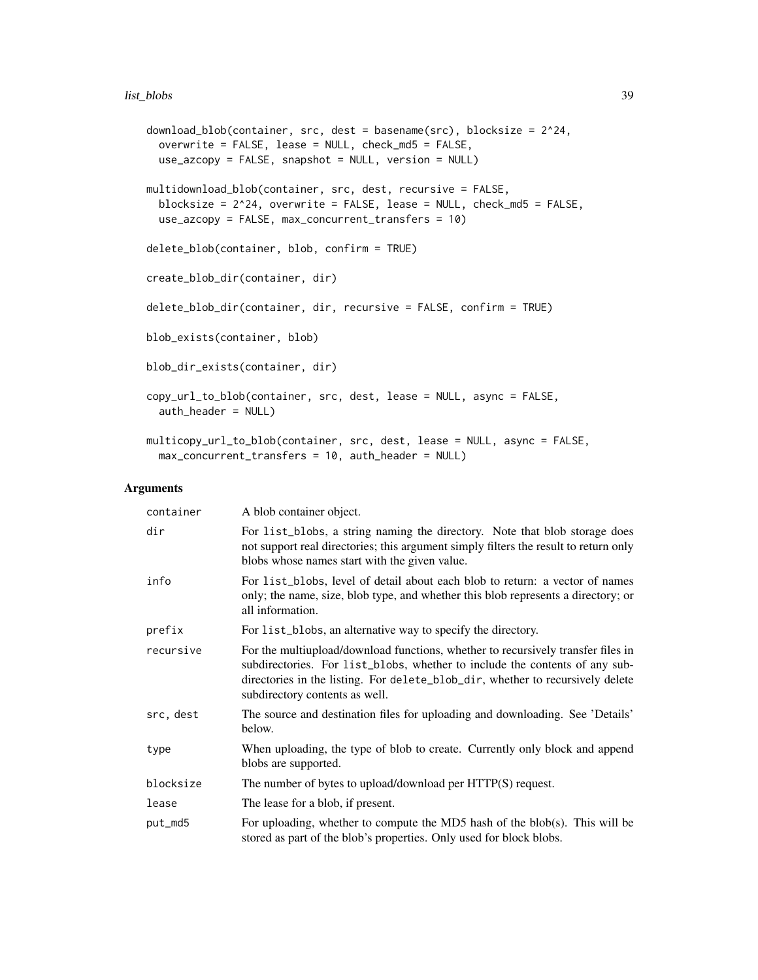```
download_blob(container, src, dest = basename(src), blocksize = 2^24,
 overwrite = FALSE, lease = NULL, check_md5 = FALSE,
 use_azcopy = FALSE, snapshot = NULL, version = NULL)
multidownload_blob(container, src, dest, recursive = FALSE,
  blocksize = 2^24, overwrite = FALSE, lease = NULL, check_md5 = FALSE,
 use_azcopy = FALSE, max_concurrent_transfers = 10)
delete_blob(container, blob, confirm = TRUE)
create_blob_dir(container, dir)
delete_blob_dir(container, dir, recursive = FALSE, confirm = TRUE)
blob_exists(container, blob)
blob_dir_exists(container, dir)
copy_url_to_blob(container, src, dest, lease = NULL, async = FALSE,
  auth_header = NULL)
multicopy_url_to_blob(container, src, dest, lease = NULL, async = FALSE,
  max_concurrent_transfers = 10, auth_header = NULL)
```
## Arguments

| container | A blob container object.                                                                                                                                                                                                                                                            |
|-----------|-------------------------------------------------------------------------------------------------------------------------------------------------------------------------------------------------------------------------------------------------------------------------------------|
| dir       | For list_blobs, a string naming the directory. Note that blob storage does<br>not support real directories; this argument simply filters the result to return only<br>blobs whose names start with the given value.                                                                 |
| info      | For list_blobs, level of detail about each blob to return: a vector of names<br>only; the name, size, blob type, and whether this blob represents a directory; or<br>all information.                                                                                               |
| prefix    | For list_blobs, an alternative way to specify the directory.                                                                                                                                                                                                                        |
| recursive | For the multiupload/download functions, whether to recursively transfer files in<br>subdirectories. For list_blobs, whether to include the contents of any sub-<br>directories in the listing. For delete_blob_dir, whether to recursively delete<br>subdirectory contents as well. |
| src, dest | The source and destination files for uploading and downloading. See 'Details'<br>below.                                                                                                                                                                                             |
| type      | When uploading, the type of blob to create. Currently only block and append<br>blobs are supported.                                                                                                                                                                                 |
| blocksize | The number of bytes to upload/download per HTTP(S) request.                                                                                                                                                                                                                         |
| lease     | The lease for a blob, if present.                                                                                                                                                                                                                                                   |
| put_md5   | For uploading, whether to compute the MD5 hash of the blob(s). This will be<br>stored as part of the blob's properties. Only used for block blobs.                                                                                                                                  |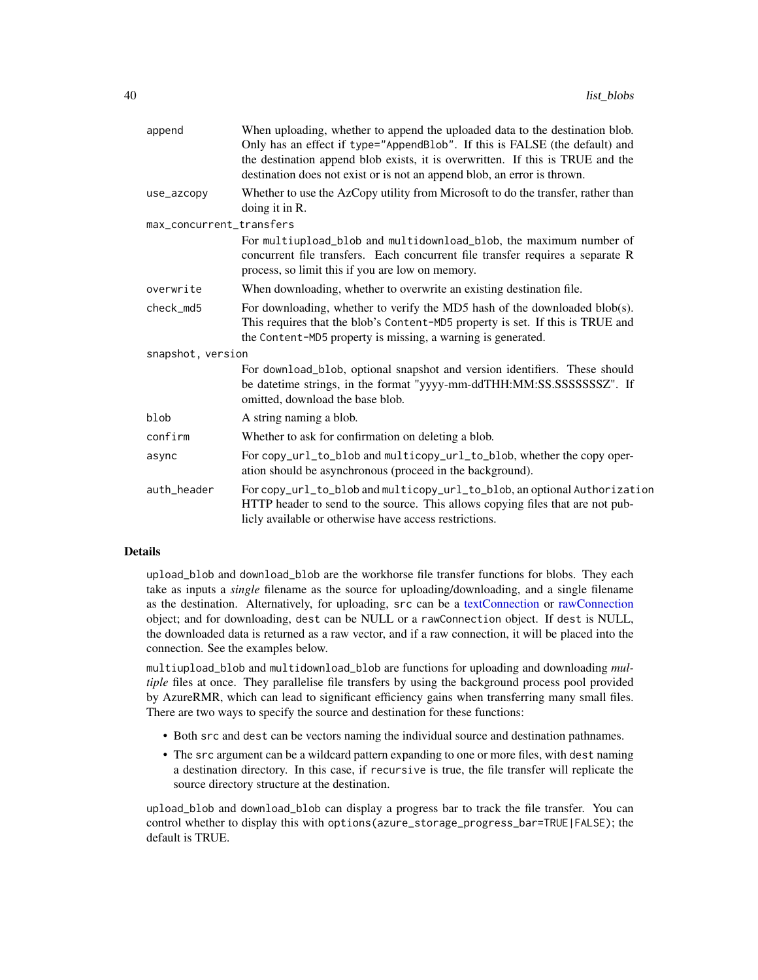<span id="page-39-0"></span>

| append                   | When uploading, whether to append the uploaded data to the destination blob.<br>Only has an effect if type="AppendBlob". If this is FALSE (the default) and<br>the destination append blob exists, it is overwritten. If this is TRUE and the<br>destination does not exist or is not an append blob, an error is thrown. |
|--------------------------|---------------------------------------------------------------------------------------------------------------------------------------------------------------------------------------------------------------------------------------------------------------------------------------------------------------------------|
| use_azcopy               | Whether to use the AzCopy utility from Microsoft to do the transfer, rather than<br>doing it in R.                                                                                                                                                                                                                        |
| max_concurrent_transfers |                                                                                                                                                                                                                                                                                                                           |
|                          | For multiupload_blob and multidownload_blob, the maximum number of<br>concurrent file transfers. Each concurrent file transfer requires a separate R<br>process, so limit this if you are low on memory.                                                                                                                  |
| overwrite                | When downloading, whether to overwrite an existing destination file.                                                                                                                                                                                                                                                      |
| check_md5                | For downloading, whether to verify the MD5 hash of the downloaded blob(s).<br>This requires that the blob's Content-MD5 property is set. If this is TRUE and<br>the Content-MD5 property is missing, a warning is generated.                                                                                              |
| snapshot, version        |                                                                                                                                                                                                                                                                                                                           |
|                          | For download_blob, optional snapshot and version identifiers. These should<br>be datetime strings, in the format "yyyy-mm-ddTHH:MM:SS.SSSSSSSSZ". If<br>omitted, download the base blob.                                                                                                                                  |
| blob                     | A string naming a blob.                                                                                                                                                                                                                                                                                                   |
| confirm                  | Whether to ask for confirmation on deleting a blob.                                                                                                                                                                                                                                                                       |
| async                    | For copy_url_to_blob and multicopy_url_to_blob, whether the copy oper-<br>ation should be asynchronous (proceed in the background).                                                                                                                                                                                       |
| auth_header              | For copy_url_to_blob and multicopy_url_to_blob, an optional Authorization<br>HTTP header to send to the source. This allows copying files that are not pub-<br>licly available or otherwise have access restrictions.                                                                                                     |
|                          |                                                                                                                                                                                                                                                                                                                           |

# Details

upload\_blob and download\_blob are the workhorse file transfer functions for blobs. They each take as inputs a *single* filename as the source for uploading/downloading, and a single filename as the destination. Alternatively, for uploading, src can be a [textConnection](#page-0-0) or [rawConnection](#page-0-0) object; and for downloading, dest can be NULL or a rawConnection object. If dest is NULL, the downloaded data is returned as a raw vector, and if a raw connection, it will be placed into the connection. See the examples below.

multiupload\_blob and multidownload\_blob are functions for uploading and downloading *multiple* files at once. They parallelise file transfers by using the background process pool provided by AzureRMR, which can lead to significant efficiency gains when transferring many small files. There are two ways to specify the source and destination for these functions:

- Both src and dest can be vectors naming the individual source and destination pathnames.
- The src argument can be a wildcard pattern expanding to one or more files, with dest naming a destination directory. In this case, if recursive is true, the file transfer will replicate the source directory structure at the destination.

upload\_blob and download\_blob can display a progress bar to track the file transfer. You can control whether to display this with options(azure\_storage\_progress\_bar=TRUE|FALSE); the default is TRUE.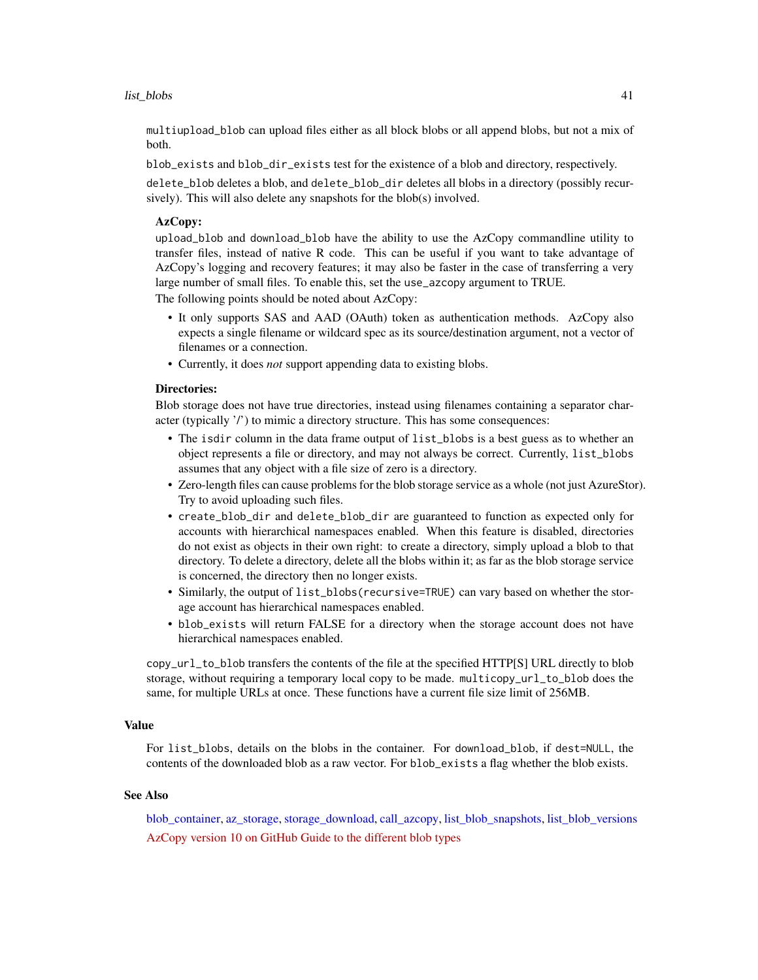<span id="page-40-0"></span>multiupload\_blob can upload files either as all block blobs or all append blobs, but not a mix of both.

blob\_exists and blob\_dir\_exists test for the existence of a blob and directory, respectively.

delete\_blob deletes a blob, and delete\_blob\_dir deletes all blobs in a directory (possibly recursively). This will also delete any snapshots for the blob(s) involved.

# AzCopy:

upload\_blob and download\_blob have the ability to use the AzCopy commandline utility to transfer files, instead of native R code. This can be useful if you want to take advantage of AzCopy's logging and recovery features; it may also be faster in the case of transferring a very large number of small files. To enable this, set the use\_azcopy argument to TRUE.

The following points should be noted about AzCopy:

- It only supports SAS and AAD (OAuth) token as authentication methods. AzCopy also expects a single filename or wildcard spec as its source/destination argument, not a vector of filenames or a connection.
- Currently, it does *not* support appending data to existing blobs.

# Directories:

Blob storage does not have true directories, instead using filenames containing a separator character (typically '/') to mimic a directory structure. This has some consequences:

- The isdir column in the data frame output of list\_blobs is a best guess as to whether an object represents a file or directory, and may not always be correct. Currently, list\_blobs assumes that any object with a file size of zero is a directory.
- Zero-length files can cause problems for the blob storage service as a whole (not just AzureStor). Try to avoid uploading such files.
- create\_blob\_dir and delete\_blob\_dir are guaranteed to function as expected only for accounts with hierarchical namespaces enabled. When this feature is disabled, directories do not exist as objects in their own right: to create a directory, simply upload a blob to that directory. To delete a directory, delete all the blobs within it; as far as the blob storage service is concerned, the directory then no longer exists.
- Similarly, the output of list\_blobs(recursive=TRUE) can vary based on whether the storage account has hierarchical namespaces enabled.
- blob\_exists will return FALSE for a directory when the storage account does not have hierarchical namespaces enabled.

copy\_url\_to\_blob transfers the contents of the file at the specified HTTP[S] URL directly to blob storage, without requiring a temporary local copy to be made. multicopy\_url\_to\_blob does the same, for multiple URLs at once. These functions have a current file size limit of 256MB.

#### Value

For list\_blobs, details on the blobs in the container. For download\_blob, if dest=NULL, the contents of the downloaded blob as a raw vector. For blob\_exists a flag whether the blob exists.

# See Also

[blob\\_container,](#page-7-1) [az\\_storage,](#page-5-1) [storage\\_download,](#page-11-1) [call\\_azcopy,](#page-10-1) [list\\_blob\\_snapshots,](#page-14-1) [list\\_blob\\_versions](#page-42-1) [AzCopy version 10 on GitHub](https://github.com/Azure/azure-storage-azcopy) [Guide to the different blob types](https://docs.microsoft.com/en-us/rest/api/storageservices/understanding-block-blobs--append-blobs--and-page-blobs)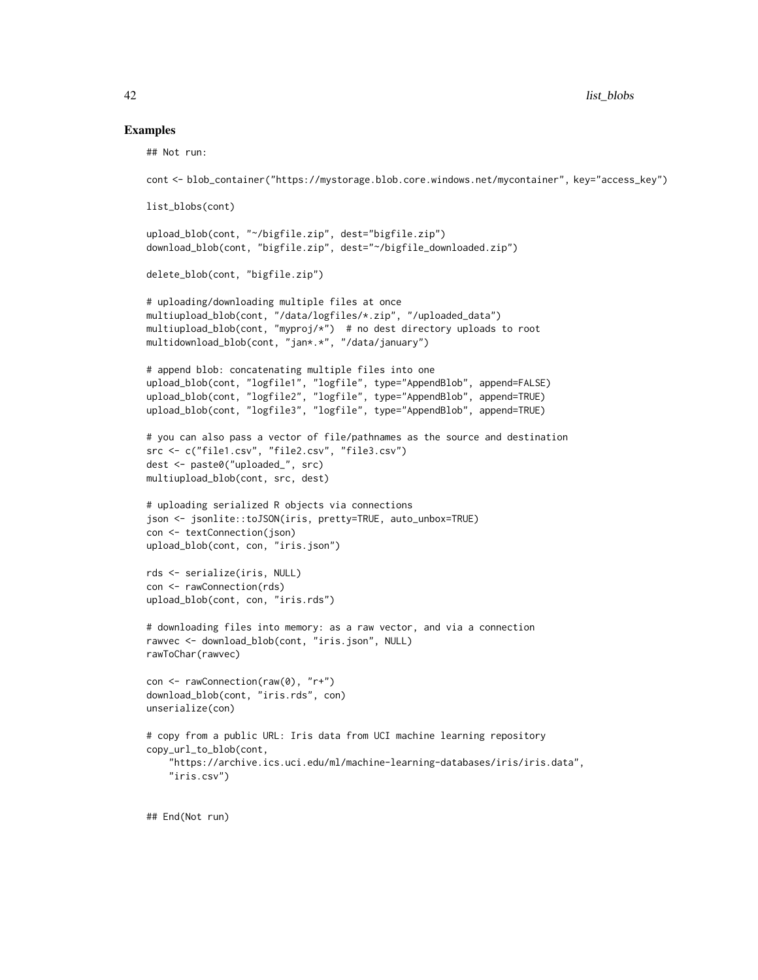# Examples

```
## Not run:
```

```
cont <- blob_container("https://mystorage.blob.core.windows.net/mycontainer", key="access_key")
list_blobs(cont)
upload_blob(cont, "~/bigfile.zip", dest="bigfile.zip")
download_blob(cont, "bigfile.zip", dest="~/bigfile_downloaded.zip")
delete_blob(cont, "bigfile.zip")
# uploading/downloading multiple files at once
multiupload_blob(cont, "/data/logfiles/*.zip", "/uploaded_data")
multiupload_blob(cont, "myproj/*") # no dest directory uploads to root
multidownload_blob(cont, "jan*.*", "/data/january")
# append blob: concatenating multiple files into one
upload_blob(cont, "logfile1", "logfile", type="AppendBlob", append=FALSE)
upload_blob(cont, "logfile2", "logfile", type="AppendBlob", append=TRUE)
upload_blob(cont, "logfile3", "logfile", type="AppendBlob", append=TRUE)
# you can also pass a vector of file/pathnames as the source and destination
src <- c("file1.csv", "file2.csv", "file3.csv")
dest <- paste0("uploaded_", src)
multiupload_blob(cont, src, dest)
# uploading serialized R objects via connections
json <- jsonlite::toJSON(iris, pretty=TRUE, auto_unbox=TRUE)
con <- textConnection(json)
upload_blob(cont, con, "iris.json")
rds <- serialize(iris, NULL)
con <- rawConnection(rds)
upload_blob(cont, con, "iris.rds")
# downloading files into memory: as a raw vector, and via a connection
rawvec <- download_blob(cont, "iris.json", NULL)
rawToChar(rawvec)
con <- rawConnection(raw(0), "r+")
download_blob(cont, "iris.rds", con)
unserialize(con)
# copy from a public URL: Iris data from UCI machine learning repository
copy_url_to_blob(cont,
    "https://archive.ics.uci.edu/ml/machine-learning-databases/iris/iris.data",
    "iris.csv")
## End(Not run)
```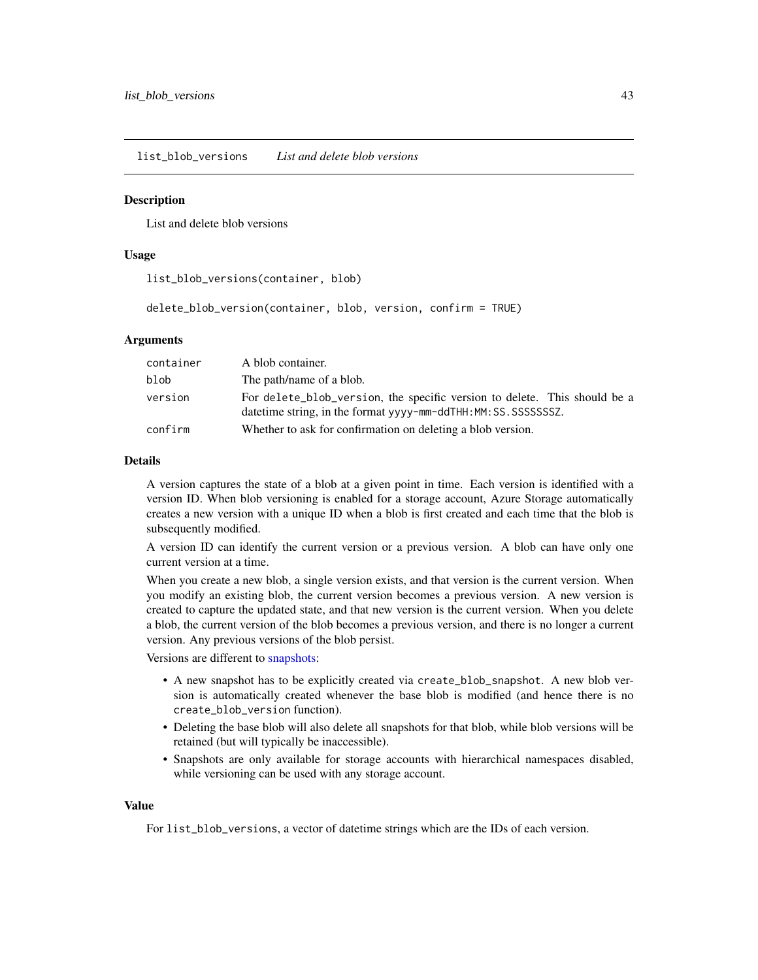<span id="page-42-1"></span><span id="page-42-0"></span>list\_blob\_versions *List and delete blob versions*

#### **Description**

List and delete blob versions

# Usage

```
list_blob_versions(container, blob)
```
delete\_blob\_version(container, blob, version, confirm = TRUE)

# Arguments

| container | A blob container.                                                                                                                             |
|-----------|-----------------------------------------------------------------------------------------------------------------------------------------------|
| blob      | The path/name of a blob.                                                                                                                      |
| version   | For delete_blob_version, the specific version to delete. This should be a<br>datetime string, in the format yyyy-mm-ddTHH: MM: SS. SSSSSSSSZ. |
| confirm   | Whether to ask for confirmation on deleting a blob version.                                                                                   |

#### Details

A version captures the state of a blob at a given point in time. Each version is identified with a version ID. When blob versioning is enabled for a storage account, Azure Storage automatically creates a new version with a unique ID when a blob is first created and each time that the blob is subsequently modified.

A version ID can identify the current version or a previous version. A blob can have only one current version at a time.

When you create a new blob, a single version exists, and that version is the current version. When you modify an existing blob, the current version becomes a previous version. A new version is created to capture the updated state, and that new version is the current version. When you delete a blob, the current version of the blob becomes a previous version, and there is no longer a current version. Any previous versions of the blob persist.

Versions are different to [snapshots:](#page-14-1)

- A new snapshot has to be explicitly created via create\_blob\_snapshot. A new blob version is automatically created whenever the base blob is modified (and hence there is no create\_blob\_version function).
- Deleting the base blob will also delete all snapshots for that blob, while blob versions will be retained (but will typically be inaccessible).
- Snapshots are only available for storage accounts with hierarchical namespaces disabled, while versioning can be used with any storage account.

#### Value

For list\_blob\_versions, a vector of datetime strings which are the IDs of each version.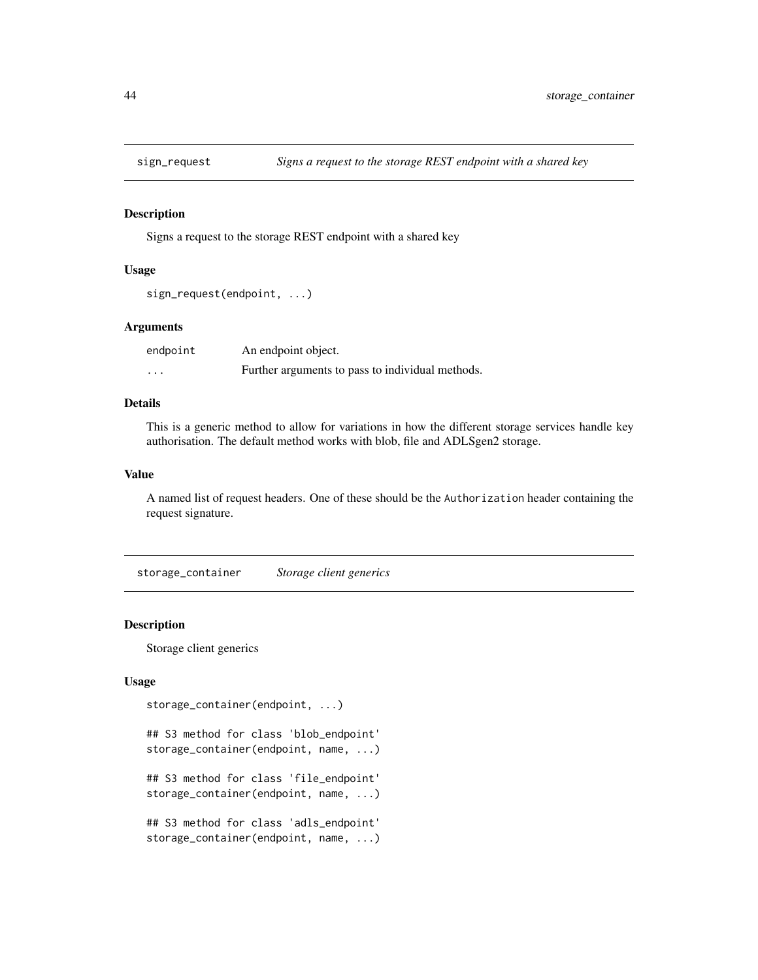<span id="page-43-0"></span>

#### Description

Signs a request to the storage REST endpoint with a shared key

# Usage

```
sign_request(endpoint, ...)
```
# Arguments

| endpoint | An endpoint object.                              |
|----------|--------------------------------------------------|
| .        | Further arguments to pass to individual methods. |

# Details

This is a generic method to allow for variations in how the different storage services handle key authorisation. The default method works with blob, file and ADLSgen2 storage.

# Value

A named list of request headers. One of these should be the Authorization header containing the request signature.

<span id="page-43-1"></span>storage\_container *Storage client generics*

# Description

Storage client generics

# Usage

```
storage_container(endpoint, ...)
```
## S3 method for class 'blob\_endpoint' storage\_container(endpoint, name, ...)

## S3 method for class 'file\_endpoint' storage\_container(endpoint, name, ...)

## S3 method for class 'adls\_endpoint' storage\_container(endpoint, name, ...)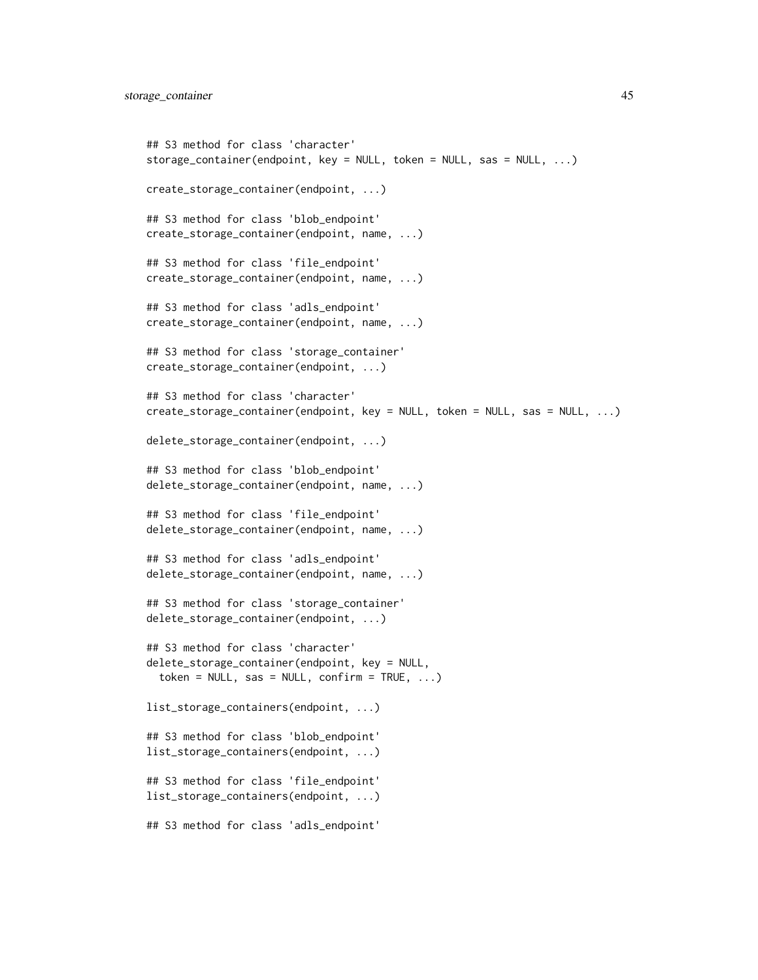```
## S3 method for class 'character'
storage_container(endpoint, key = NULL, token = NULL, sas = NULL, ...)
create_storage_container(endpoint, ...)
## S3 method for class 'blob_endpoint'
create_storage_container(endpoint, name, ...)
## S3 method for class 'file_endpoint'
create_storage_container(endpoint, name, ...)
## S3 method for class 'adls_endpoint'
create_storage_container(endpoint, name, ...)
## S3 method for class 'storage_container'
create_storage_container(endpoint, ...)
## S3 method for class 'character'
create_storage_container(endpoint, key = NULL, token = NULL, sas = NULL, ...)
delete_storage_container(endpoint, ...)
## S3 method for class 'blob_endpoint'
delete_storage_container(endpoint, name, ...)
## S3 method for class 'file_endpoint'
delete_storage_container(endpoint, name, ...)
## S3 method for class 'adls_endpoint'
delete_storage_container(endpoint, name, ...)
## S3 method for class 'storage_container'
delete_storage_container(endpoint, ...)
## S3 method for class 'character'
delete_storage_container(endpoint, key = NULL,
  token = NULL, sas = NULL, confirm = TRUE, \ldots)
list_storage_containers(endpoint, ...)
## S3 method for class 'blob_endpoint'
list_storage_containers(endpoint, ...)
## S3 method for class 'file_endpoint'
list_storage_containers(endpoint, ...)
## S3 method for class 'adls_endpoint'
```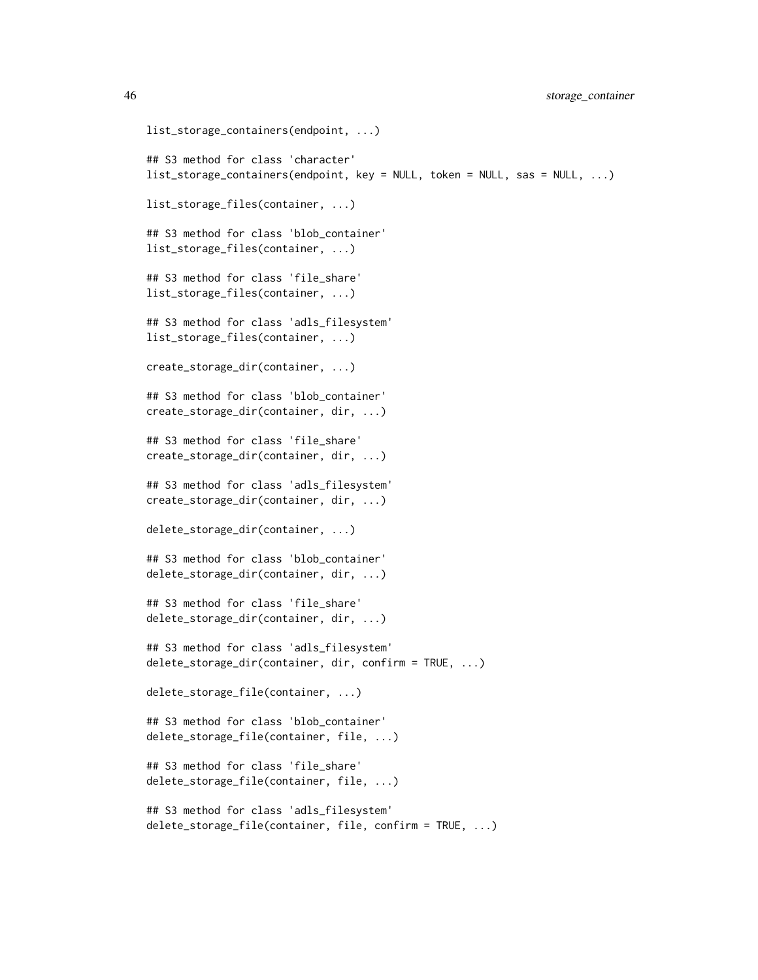46 storage\_container

```
list_storage_containers(endpoint, ...)
## S3 method for class 'character'
list_storage_containers(endpoint, key = NULL, token = NULL, sas = NULL, ...)
list_storage_files(container, ...)
## S3 method for class 'blob_container'
list_storage_files(container, ...)
## S3 method for class 'file_share'
list_storage_files(container, ...)
## S3 method for class 'adls_filesystem'
list_storage_files(container, ...)
create_storage_dir(container, ...)
## S3 method for class 'blob_container'
create_storage_dir(container, dir, ...)
## S3 method for class 'file_share'
create_storage_dir(container, dir, ...)
## S3 method for class 'adls_filesystem'
create_storage_dir(container, dir, ...)
delete_storage_dir(container, ...)
## S3 method for class 'blob_container'
delete_storage_dir(container, dir, ...)
## S3 method for class 'file_share'
delete_storage_dir(container, dir, ...)
## S3 method for class 'adls_filesystem'
delete_storage_dir(container, dir, confirm = TRUE, ...)
delete_storage_file(container, ...)
## S3 method for class 'blob_container'
delete_storage_file(container, file, ...)
## S3 method for class 'file_share'
delete_storage_file(container, file, ...)
## S3 method for class 'adls_filesystem'
delete_storage_file(container, file, confirm = TRUE, ...)
```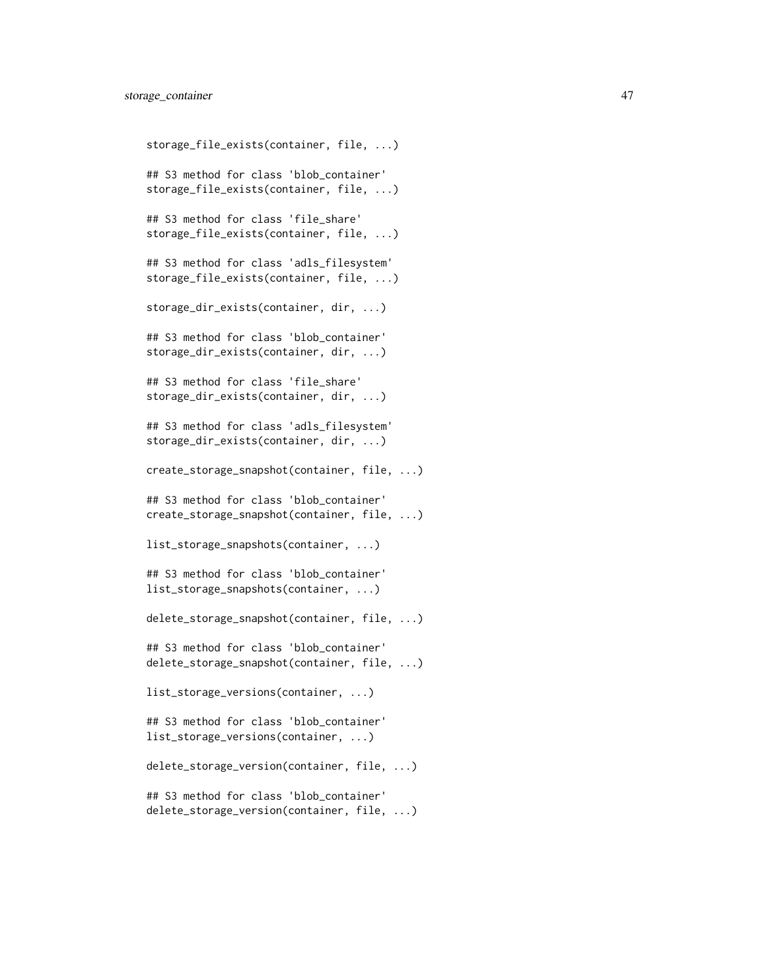```
storage_file_exists(container, file, ...)
## S3 method for class 'blob_container'
storage_file_exists(container, file, ...)
## S3 method for class 'file_share'
storage_file_exists(container, file, ...)
## S3 method for class 'adls_filesystem'
storage_file_exists(container, file, ...)
storage_dir_exists(container, dir, ...)
## S3 method for class 'blob_container'
storage_dir_exists(container, dir, ...)
## S3 method for class 'file_share'
storage_dir_exists(container, dir, ...)
## S3 method for class 'adls_filesystem'
storage_dir_exists(container, dir, ...)
create_storage_snapshot(container, file, ...)
## S3 method for class 'blob_container'
create_storage_snapshot(container, file, ...)
list_storage_snapshots(container, ...)
## S3 method for class 'blob_container'
list_storage_snapshots(container, ...)
delete_storage_snapshot(container, file, ...)
## S3 method for class 'blob_container'
delete_storage_snapshot(container, file, ...)
list_storage_versions(container, ...)
## S3 method for class 'blob_container'
list_storage_versions(container, ...)
delete_storage_version(container, file, ...)
## S3 method for class 'blob_container'
delete_storage_version(container, file, ...)
```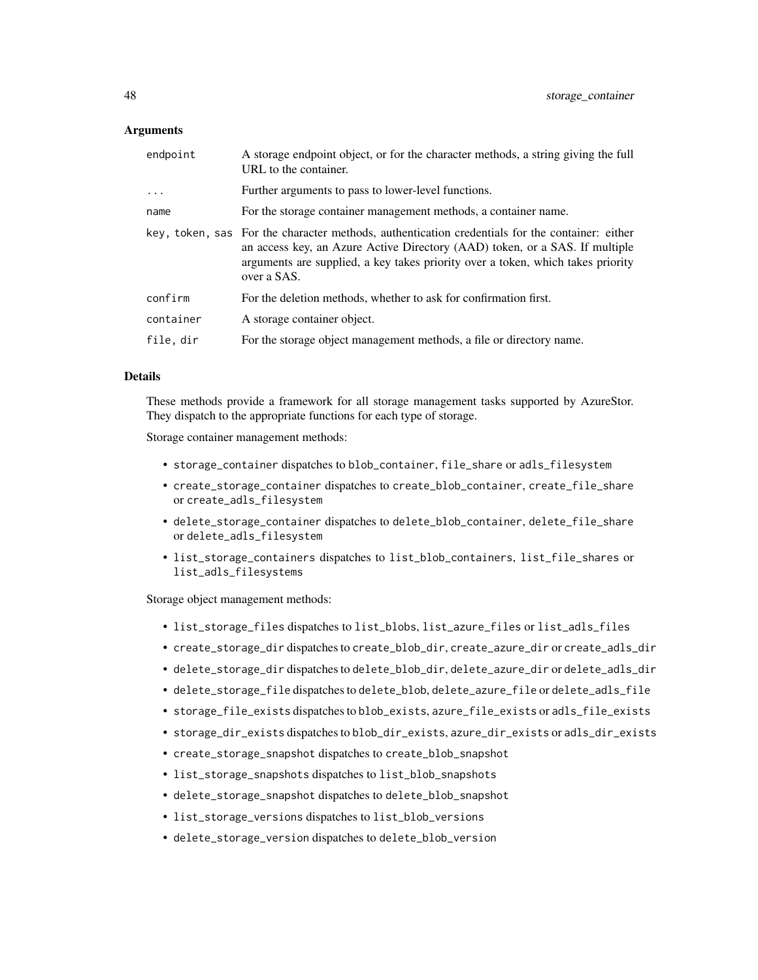# **Arguments**

| endpoint   | A storage endpoint object, or for the character methods, a string giving the full<br>URL to the container.                                                                                                                                                                       |
|------------|----------------------------------------------------------------------------------------------------------------------------------------------------------------------------------------------------------------------------------------------------------------------------------|
| $\ddots$ . | Further arguments to pass to lower-level functions.                                                                                                                                                                                                                              |
| name       | For the storage container management methods, a container name.                                                                                                                                                                                                                  |
|            | key, token, sas For the character methods, authentication credentials for the container: either<br>an access key, an Azure Active Directory (AAD) token, or a SAS. If multiple<br>arguments are supplied, a key takes priority over a token, which takes priority<br>over a SAS. |
| confirm    | For the deletion methods, whether to ask for confirmation first.                                                                                                                                                                                                                 |
| container  | A storage container object.                                                                                                                                                                                                                                                      |
| file, dir  | For the storage object management methods, a file or directory name.                                                                                                                                                                                                             |

# Details

These methods provide a framework for all storage management tasks supported by AzureStor. They dispatch to the appropriate functions for each type of storage.

Storage container management methods:

- storage\_container dispatches to blob\_container, file\_share or adls\_filesystem
- create\_storage\_container dispatches to create\_blob\_container, create\_file\_share or create\_adls\_filesystem
- delete\_storage\_container dispatches to delete\_blob\_container, delete\_file\_share or delete\_adls\_filesystem
- list\_storage\_containers dispatches to list\_blob\_containers, list\_file\_shares or list\_adls\_filesystems

Storage object management methods:

- list\_storage\_files dispatches to list\_blobs, list\_azure\_files or list\_adls\_files
- create\_storage\_dir dispatches to create\_blob\_dir, create\_azure\_dir or create\_adls\_dir
- delete\_storage\_dir dispatches to delete\_blob\_dir, delete\_azure\_dir or delete\_adls\_dir
- delete\_storage\_file dispatches to delete\_blob, delete\_azure\_file or delete\_adls\_file
- storage\_file\_exists dispatches to blob\_exists, azure\_file\_exists or adls\_file\_exists
- storage\_dir\_exists dispatches to blob\_dir\_exists, azure\_dir\_exists or adls\_dir\_exists
- create\_storage\_snapshot dispatches to create\_blob\_snapshot
- list\_storage\_snapshots dispatches to list\_blob\_snapshots
- delete\_storage\_snapshot dispatches to delete\_blob\_snapshot
- list\_storage\_versions dispatches to list\_blob\_versions
- delete\_storage\_version dispatches to delete\_blob\_version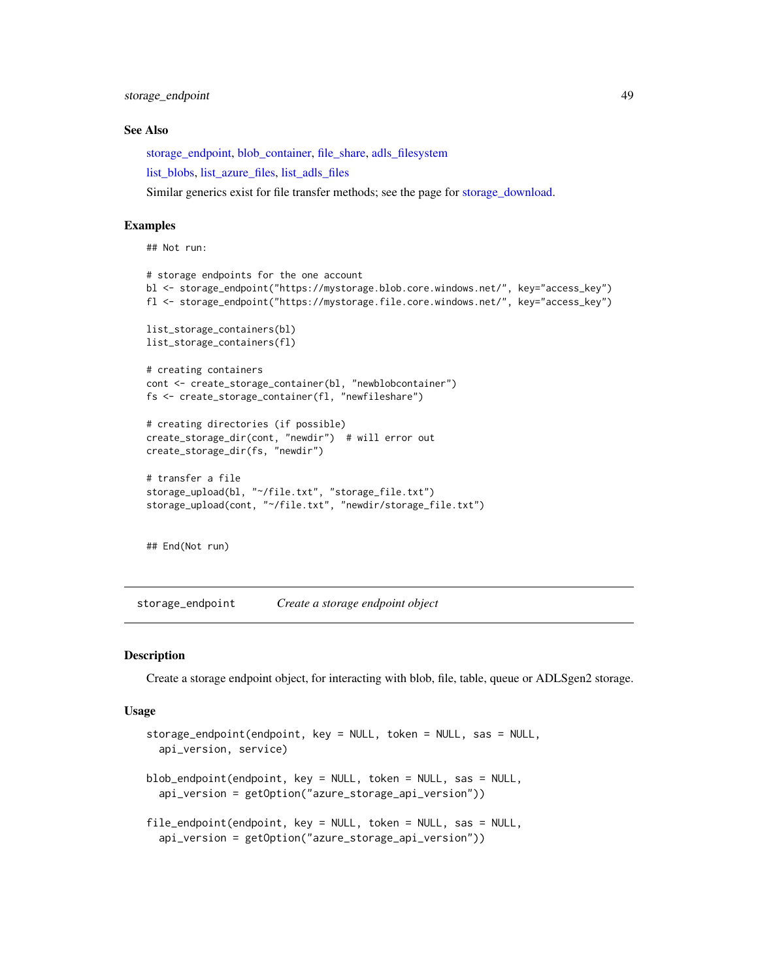<span id="page-48-0"></span>storage\_endpoint 49

#### See Also

[storage\\_endpoint,](#page-48-1) [blob\\_container,](#page-7-1) [file\\_share,](#page-20-1) [adls\\_filesystem](#page-2-1)

[list\\_blobs,](#page-37-2) [list\\_azure\\_files,](#page-34-2) [list\\_adls\\_files](#page-31-2)

Similar generics exist for file transfer methods; see the page for [storage\\_download.](#page-11-1)

# Examples

```
## Not run:
# storage endpoints for the one account
bl <- storage_endpoint("https://mystorage.blob.core.windows.net/", key="access_key")
fl <- storage_endpoint("https://mystorage.file.core.windows.net/", key="access_key")
list_storage_containers(bl)
list_storage_containers(fl)
# creating containers
cont <- create_storage_container(bl, "newblobcontainer")
fs <- create_storage_container(fl, "newfileshare")
# creating directories (if possible)
create_storage_dir(cont, "newdir") # will error out
create_storage_dir(fs, "newdir")
# transfer a file
storage_upload(bl, "~/file.txt", "storage_file.txt")
storage_upload(cont, "~/file.txt", "newdir/storage_file.txt")
## End(Not run)
```
<span id="page-48-1"></span>storage\_endpoint *Create a storage endpoint object*

# <span id="page-48-2"></span>Description

Create a storage endpoint object, for interacting with blob, file, table, queue or ADLSgen2 storage.

# Usage

```
storage_endpoint(endpoint, key = NULL, token = NULL, sas = NULL,
  api_version, service)
blob_endpoint(endpoint, key = NULL, token = NULL, sas = NULL,
  api_version = getOption("azure_storage_api_version"))
file_endpoint(endpoint, key = NULL, token = NULL, sas = NULL,
  api_version = getOption("azure_storage_api_version"))
```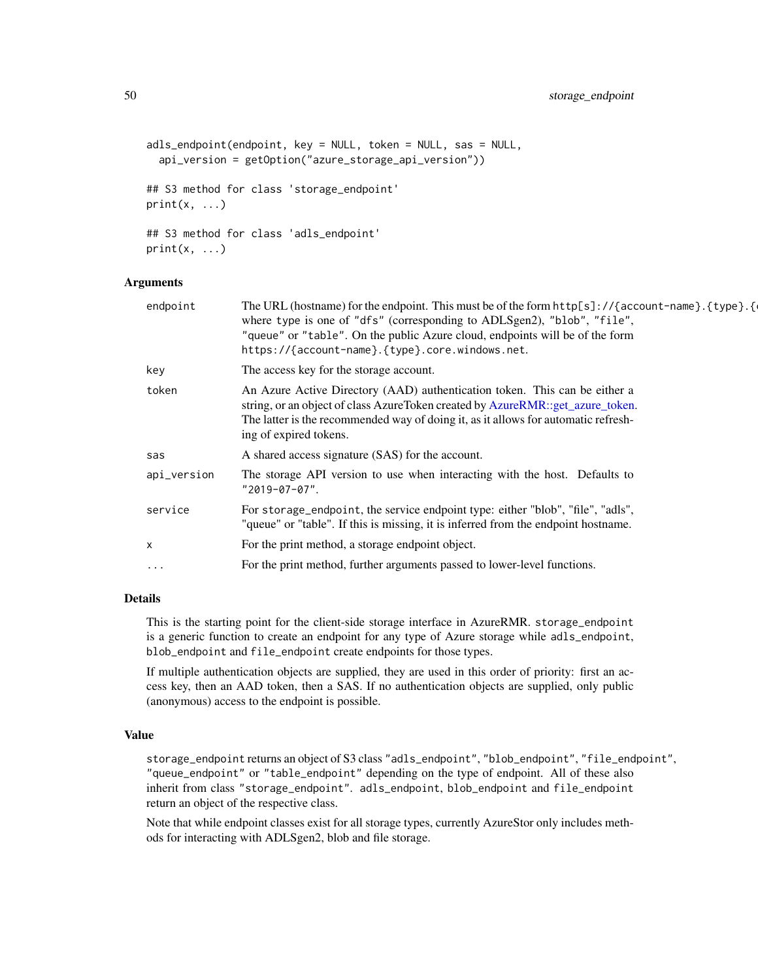```
adls_endpoint(endpoint, key = NULL, token = NULL, sas = NULL,
  api_version = getOption("azure_storage_api_version"))
## S3 method for class 'storage_endpoint'
print(x, \ldots)## S3 method for class 'adls_endpoint'
print(x, \ldots)
```
# **Arguments**

| endpoint    | The URL (hostname) for the endpoint. This must be of the form $http[s]://{account-name}.{type}.{}$<br>where type is one of "dfs" (corresponding to ADLSgen2), "blob", "file",<br>"queue" or "table". On the public Azure cloud, endpoints will be of the form<br>https://{account-name}.{type}.core.windows.net. |
|-------------|------------------------------------------------------------------------------------------------------------------------------------------------------------------------------------------------------------------------------------------------------------------------------------------------------------------|
| key         | The access key for the storage account.                                                                                                                                                                                                                                                                          |
| token       | An Azure Active Directory (AAD) authentication token. This can be either a<br>string, or an object of class AzureToken created by AzureRMR::get_azure_token.<br>The latter is the recommended way of doing it, as it allows for automatic refresh-<br>ing of expired tokens.                                     |
| sas         | A shared access signature (SAS) for the account.                                                                                                                                                                                                                                                                 |
| api_version | The storage API version to use when interacting with the host. Defaults to<br>$"2019-07-07"$ .                                                                                                                                                                                                                   |
| service     | For storage_endpoint, the service endpoint type: either "blob", "file", "adls",<br>"queue" or "table". If this is missing, it is inferred from the endpoint hostname.                                                                                                                                            |
| х           | For the print method, a storage endpoint object.                                                                                                                                                                                                                                                                 |
| $\ddotsc$   | For the print method, further arguments passed to lower-level functions.                                                                                                                                                                                                                                         |
|             |                                                                                                                                                                                                                                                                                                                  |

# Details

This is the starting point for the client-side storage interface in AzureRMR. storage\_endpoint is a generic function to create an endpoint for any type of Azure storage while adls\_endpoint, blob\_endpoint and file\_endpoint create endpoints for those types.

If multiple authentication objects are supplied, they are used in this order of priority: first an access key, then an AAD token, then a SAS. If no authentication objects are supplied, only public (anonymous) access to the endpoint is possible.

# Value

storage\_endpoint returns an object of S3 class "adls\_endpoint", "blob\_endpoint", "file\_endpoint", "queue\_endpoint" or "table\_endpoint" depending on the type of endpoint. All of these also inherit from class "storage\_endpoint". adls\_endpoint, blob\_endpoint and file\_endpoint return an object of the respective class.

Note that while endpoint classes exist for all storage types, currently AzureStor only includes methods for interacting with ADLSgen2, blob and file storage.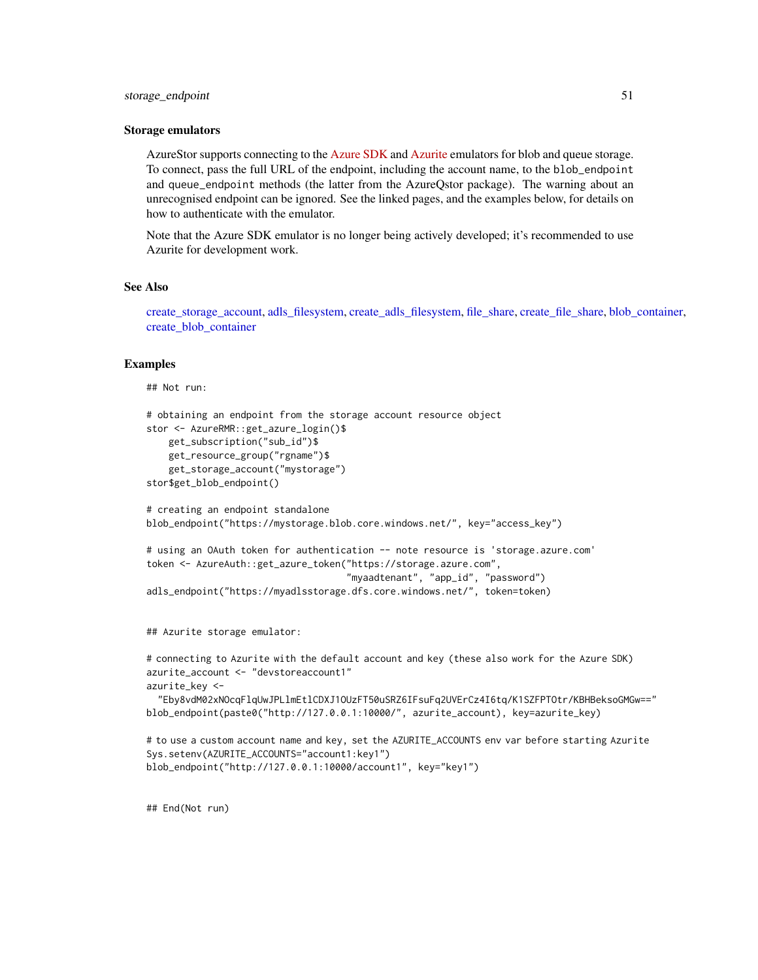#### <span id="page-50-0"></span>Storage emulators

AzureStor supports connecting to the [Azure SDK](https://docs.microsoft.com/en-us/azure/storage/common/storage-use-emulator) and [Azurite](https://docs.microsoft.com/en-us/azure/storage/common/storage-use-azurite) emulators for blob and queue storage. To connect, pass the full URL of the endpoint, including the account name, to the blob\_endpoint and queue\_endpoint methods (the latter from the AzureQstor package). The warning about an unrecognised endpoint can be ignored. See the linked pages, and the examples below, for details on how to authenticate with the emulator.

Note that the Azure SDK emulator is no longer being actively developed; it's recommended to use Azurite for development work.

#### See Also

[create\\_storage\\_account,](#page-15-1) [adls\\_filesystem,](#page-2-1) [create\\_adls\\_filesystem,](#page-2-2) [file\\_share,](#page-20-1) [create\\_file\\_share,](#page-20-2) [blob\\_container,](#page-7-1) [create\\_blob\\_container](#page-7-2)

# Examples

```
## Not run:
```

```
# obtaining an endpoint from the storage account resource object
stor <- AzureRMR::get_azure_login()$
   get_subscription("sub_id")$
   get_resource_group("rgname")$
   get_storage_account("mystorage")
stor$get_blob_endpoint()
# creating an endpoint standalone
blob_endpoint("https://mystorage.blob.core.windows.net/", key="access_key")
# using an OAuth token for authentication -- note resource is 'storage.azure.com'
token <- AzureAuth::get_azure_token("https://storage.azure.com",
                                    "myaadtenant", "app_id", "password")
adls_endpoint("https://myadlsstorage.dfs.core.windows.net/", token=token)
```
## Azurite storage emulator:

# connecting to Azurite with the default account and key (these also work for the Azure SDK) azurite\_account <- "devstoreaccount1" azurite\_key <-

"Eby8vdM02xNOcqFlqUwJPLlmEtlCDXJ1OUzFT50uSRZ6IFsuFq2UVErCz4I6tq/K1SZFPTOtr/KBHBeksoGMGw==" blob\_endpoint(paste0("http://127.0.0.1:10000/", azurite\_account), key=azurite\_key)

```
# to use a custom account name and key, set the AZURITE_ACCOUNTS env var before starting Azurite
Sys.setenv(AZURITE_ACCOUNTS="account1:key1")
blob_endpoint("http://127.0.0.1:10000/account1", key="key1")
```
## End(Not run)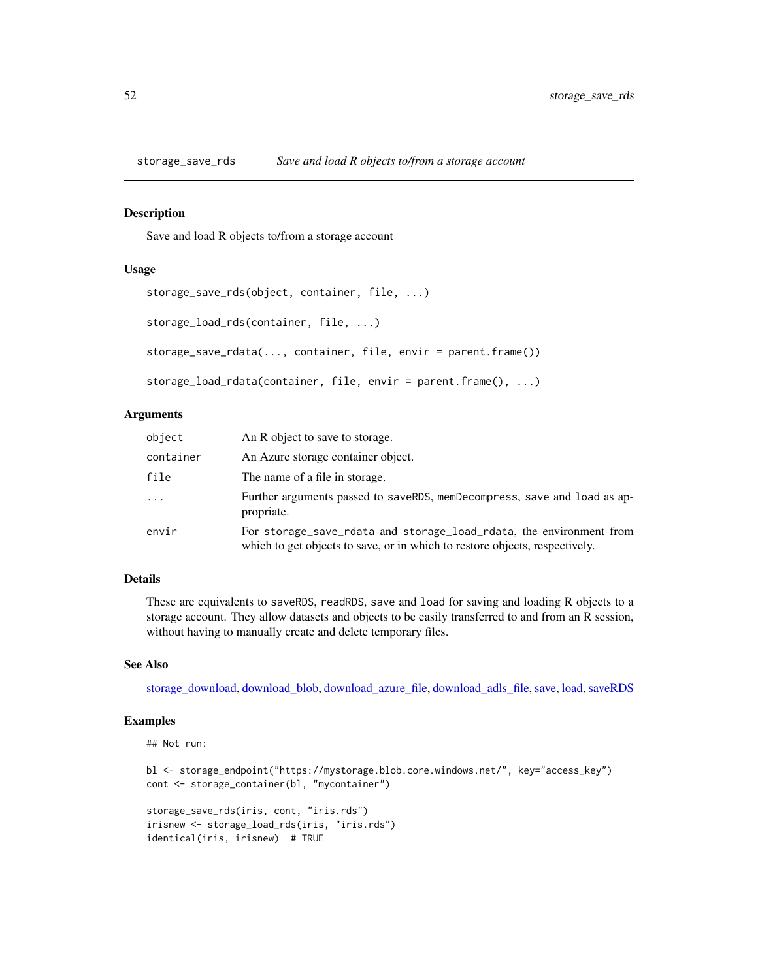<span id="page-51-0"></span>

#### Description

Save and load R objects to/from a storage account

#### Usage

```
storage_save_rds(object, container, file, ...)
storage_load_rds(container, file, ...)
storage_save_rdata(..., container, file, envir = parent.frame())
storage_load_rdata(container, file, envir = parent.frame(), ...)
```
# Arguments

| object    | An R object to save to storage.                                                                                                                    |  |
|-----------|----------------------------------------------------------------------------------------------------------------------------------------------------|--|
| container | An Azure storage container object.                                                                                                                 |  |
| file      | The name of a file in storage.                                                                                                                     |  |
| $\cdot$   | Further arguments passed to saveRDS, memDecompress, save and load as ap-<br>propriate.                                                             |  |
| envir     | For storage_save_rdata and storage_load_rdata, the environment from<br>which to get objects to save, or in which to restore objects, respectively. |  |

# Details

These are equivalents to saveRDS, readRDS, save and load for saving and loading R objects to a storage account. They allow datasets and objects to be easily transferred to and from an R session, without having to manually create and delete temporary files.

#### See Also

[storage\\_download,](#page-11-1) [download\\_blob,](#page-37-1) [download\\_azure\\_file,](#page-34-1) [download\\_adls\\_file,](#page-31-1) [save,](#page-0-0) [load,](#page-0-0) [saveRDS](#page-0-0)

# Examples

```
## Not run:
```

```
bl <- storage_endpoint("https://mystorage.blob.core.windows.net/", key="access_key")
cont <- storage_container(bl, "mycontainer")
```

```
storage_save_rds(iris, cont, "iris.rds")
irisnew <- storage_load_rds(iris, "iris.rds")
identical(iris, irisnew) # TRUE
```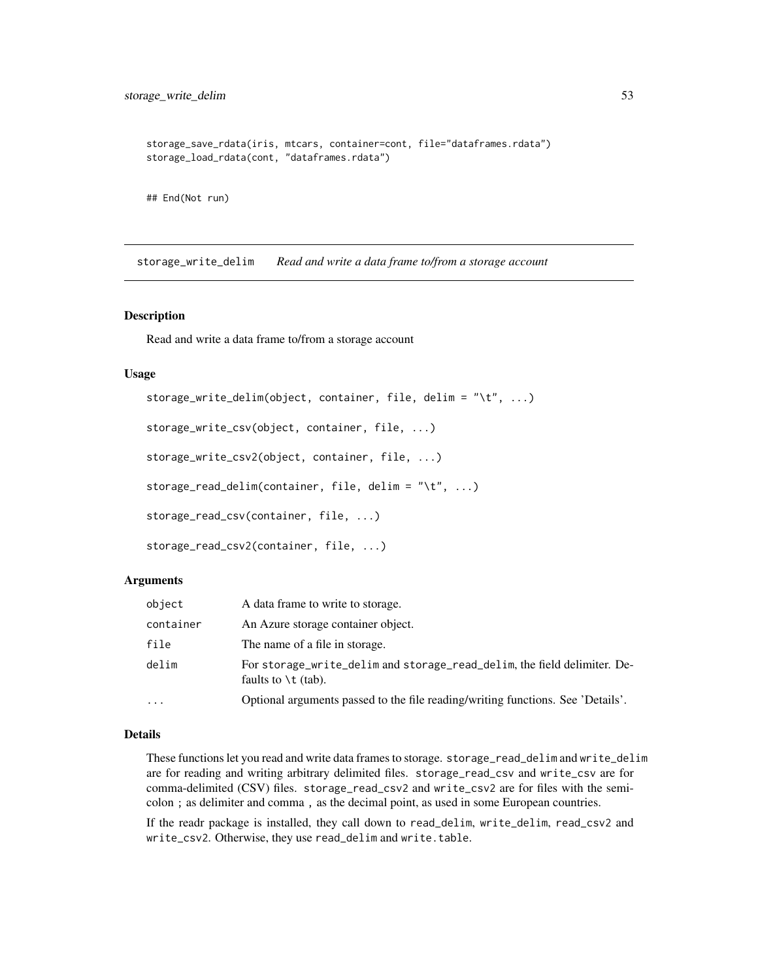```
storage_save_rdata(iris, mtcars, container=cont, file="dataframes.rdata")
storage_load_rdata(cont, "dataframes.rdata")
```
## End(Not run)

storage\_write\_delim *Read and write a data frame to/from a storage account*

#### Description

Read and write a data frame to/from a storage account

# Usage

```
storage_write_delim(object, container, file, delim = "\t", ...)
storage_write_csv(object, container, file, ...)
storage_write_csv2(object, container, file, ...)
storage_read_delim(container, file, delim = "\t", ...)
storage_read_csv(container, file, ...)
storage_read_csv2(container, file, ...)
```
#### Arguments

| object    | A data frame to write to storage.                                                                          |  |
|-----------|------------------------------------------------------------------------------------------------------------|--|
| container | An Azure storage container object.                                                                         |  |
| file      | The name of a file in storage.                                                                             |  |
| delim     | For storage_write_delim and storage_read_delim, the field delimiter. De-<br>faults to $\setminus t$ (tab). |  |
| $\cdots$  | Optional arguments passed to the file reading/writing functions. See 'Details'.                            |  |

#### Details

These functions let you read and write data frames to storage. storage\_read\_delim and write\_delim are for reading and writing arbitrary delimited files. storage\_read\_csv and write\_csv are for comma-delimited (CSV) files. storage\_read\_csv2 and write\_csv2 are for files with the semicolon ; as delimiter and comma , as the decimal point, as used in some European countries.

If the readr package is installed, they call down to read\_delim, write\_delim, read\_csv2 and write\_csv2. Otherwise, they use read\_delim and write.table.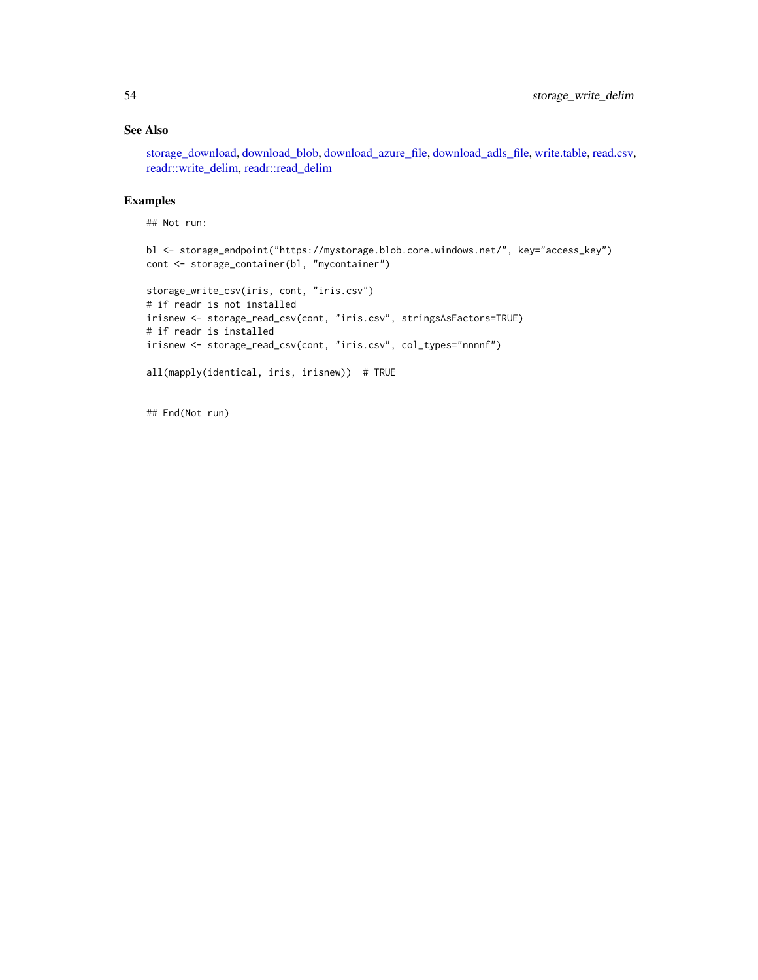# <span id="page-53-0"></span>See Also

[storage\\_download,](#page-11-1) [download\\_blob,](#page-37-1) [download\\_azure\\_file,](#page-34-1) [download\\_adls\\_file,](#page-31-1) [write.table,](#page-0-0) [read.csv,](#page-0-0) [readr::write\\_delim,](#page-0-0) [readr::read\\_delim](#page-0-0)

# Examples

```
## Not run:
```

```
bl <- storage_endpoint("https://mystorage.blob.core.windows.net/", key="access_key")
cont <- storage_container(bl, "mycontainer")
storage_write_csv(iris, cont, "iris.csv")
# if readr is not installed
irisnew <- storage_read_csv(cont, "iris.csv", stringsAsFactors=TRUE)
# if readr is installed
irisnew <- storage_read_csv(cont, "iris.csv", col_types="nnnnf")
all(mapply(identical, iris, irisnew)) # TRUE
```

```
## End(Not run)
```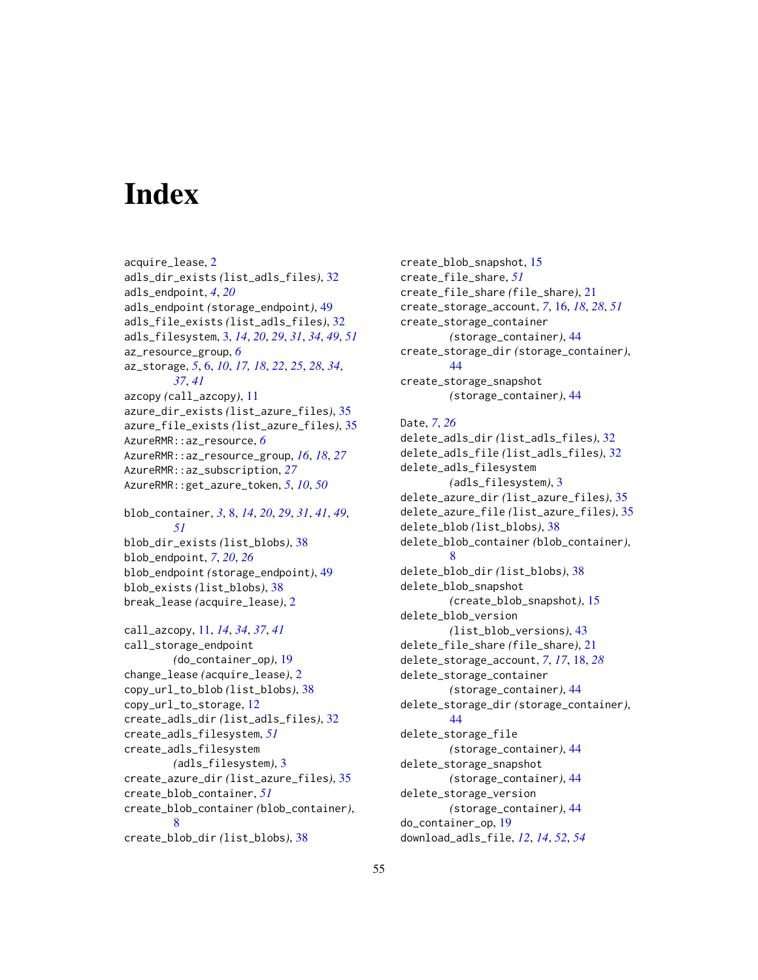# <span id="page-54-0"></span>**Index**

```
acquire_lease, 2
adls_dir_exists (list_adls_files), 32
adls_endpoint, 4, 20
adls_endpoint (storage_endpoint), 49
adls_file_exists (list_adls_files), 32
adls_filesystem, 3, 14, 20, 29, 31, 34, 49, 51
az_resource_group, 6
az_storage, 5, 6, 10, 17, 18, 22, 25, 28, 34,
        37, 41
azcopy (call_azcopy), 11
azure_dir_exists (list_azure_files), 35
azure_file_exists (list_azure_files), 35
AzureRMR::az_resource, 6
AzureRMR::az_resource_group, 16, 18, 27
AzureRMR::az_subscription, 27
AzureRMR::get_azure_token, 5, 10, 50
```

```
blob_container, 3, 8, 14, 20, 29, 31, 41, 49,
        51
blob_dir_exists (list_blobs), 38
blob_endpoint, 7, 20, 26
blob_endpoint (storage_endpoint), 49
blob_exists (list_blobs), 38
break_lease (acquire_lease), 2
```

```
call_azcopy, 11, 14, 34, 37, 41
call_storage_endpoint
        (do_container_op), 19
change_lease (acquire_lease), 2
copy_url_to_blob (list_blobs), 38
copy_url_to_storage, 12
create_adls_dir (list_adls_files), 32
create_adls_filesystem, 51
create_adls_filesystem
        (adls_filesystem), 3
create_azure_dir (list_azure_files), 35
create_blob_container, 51
create_blob_container (blob_container),
        8
create_blob_dir (list_blobs), 38
```

```
create_blob_snapshot, 15
create_file_share, 51
create_file_share (file_share), 21
create_storage_account, 7, 16, 18, 28, 51
create_storage_container
        (storage_container), 44
create_storage_dir (storage_container),
        44
create_storage_snapshot
        (storage_container), 44
Date, 7, 26
delete_adls_dir (list_adls_files), 32
delete_adls_file (list_adls_files), 32
delete_adls_filesystem
        (adls_filesystem), 3
delete_azure_dir (list_azure_files), 35
delete_azure_file (list_azure_files), 35
delete_blob (list_blobs), 38
delete_blob_container (blob_container),
        8
delete_blob_dir (list_blobs), 38
delete_blob_snapshot
        (create_blob_snapshot), 15
```

```
delete_blob_version
        (list_blob_versions), 43
delete_file_share (file_share), 21
delete_storage_account, 7, 17, 18, 28
delete_storage_container
        (storage_container), 44
delete_storage_dir (storage_container),
        44
delete_storage_file
        (storage_container), 44
delete_storage_snapshot
        (storage_container), 44
delete_storage_version
        (storage_container), 44
do_container_op, 19
download_adls_file, 12, 14, 52, 54
```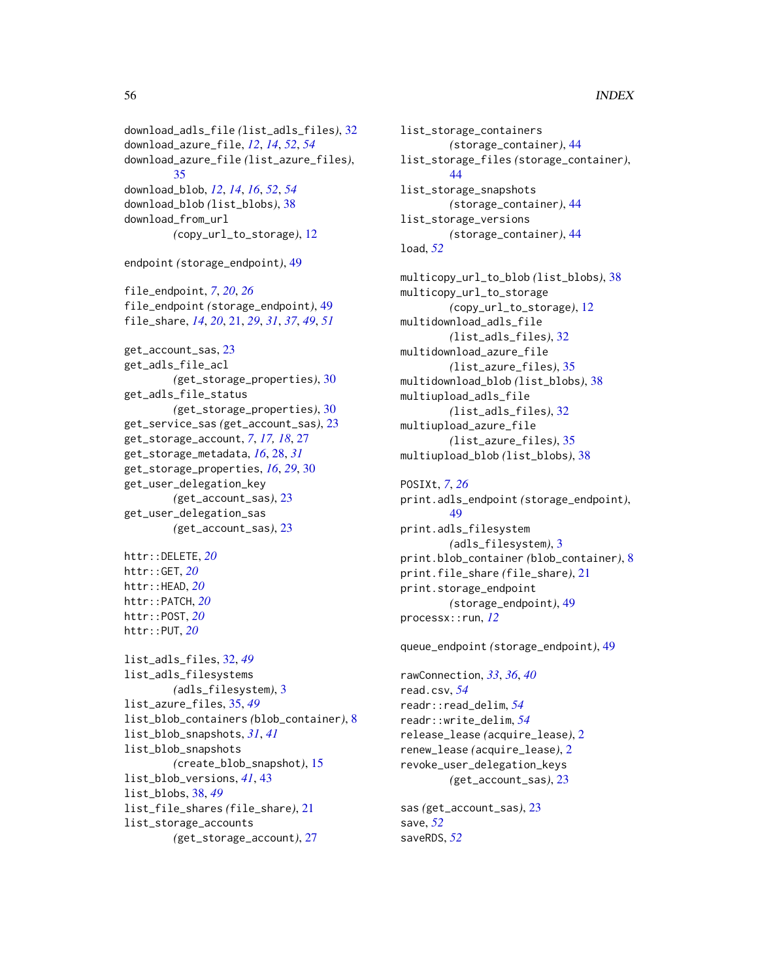```
download_adls_file (list_adls_files), 32
download_azure_file, 12, 14, 52, 54
download_azure_file (list_azure_files),
        35
download_blob, 12, 14, 16, 52, 54
download_blob (list_blobs), 38
download_from_url
        (copy_url_to_storage), 12
endpoint (storage_endpoint), 49
file_endpoint, 7, 20, 26
file_endpoint (storage_endpoint), 49
file_share, 14, 20, 21, 29, 31, 37, 49, 51
get_account_sas, 23
get_adls_file_acl
        (get_storage_properties), 30
get_adls_file_status
        (get_storage_properties), 30
get_service_sas (get_account_sas), 23
get_storage_account, 7, 17, 18, 27
get_storage_metadata, 16, 28, 31
get_storage_properties, 16, 29, 30
get_user_delegation_key
        (get_account_sas), 23
get_user_delegation_sas
        (get_account_sas), 23
httr::DELETE, 20
httr::GET, 20
httr::HEAD, 20
httr::PATCH, 20
httr::POST, 20
httr::PUT, 20
list_adls_files, 32, 49
list_adls_filesystems
        (adls_filesystem), 3
list_azure_files, 35, 49
list_blob_containers (blob_container), 8
list_blob_snapshots, 31, 41
list_blob_snapshots
        (create_blob_snapshot), 15
list_blob_versions, 41, 43
list_blobs, 38, 49
list_file_shares (file_share), 21
list_storage_accounts
        (get_storage_account), 27
```

```
list_storage_containers
        (storage_container), 44
list_storage_files (storage_container),
        44list_storage_snapshots
        (storage_container), 44
list_storage_versions
        (storage_container), 44
load, 52
multicopy_url_to_blob (list_blobs), 38
multicopy_url_to_storage
        (copy_url_to_storage), 12
multidownload_adls_file
        (list_adls_files), 32
multidownload_azure_file
        (list_azure_files), 35
multidownload_blob (list_blobs), 38
multiupload_adls_file
        (list_adls_files), 32
multiupload_azure_file
        (list_azure_files), 35
multiupload_blob (list_blobs), 38
POSIXt, 7, 26
print.adls_endpoint (storage_endpoint),
        49
print.adls_filesystem
        (adls_filesystem), 3
print.blob_container (blob_container), 8
print.file_share (file_share), 21
print.storage_endpoint
        (storage_endpoint), 49
processx::run, 12
queue_endpoint (storage_endpoint), 49
rawConnection, 33, 36, 40
read.csv, 54
readr::read_delim, 54
readr::write_delim, 54
release_lease (acquire_lease), 2
renew_lease (acquire_lease), 2
revoke_user_delegation_keys
        (get_account_sas), 23
```

```
sas (get_account_sas), 23
save, 52
saveRDS, 52
```